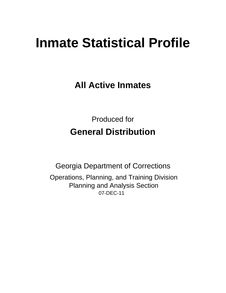# **Inmate Statistical Profile**

**All Active Inmates** 

**Produced for General Distribution** 

**Georgia Department of Corrections** Operations, Planning, and Training Division **Planning and Analysis Section** 07-DEC-11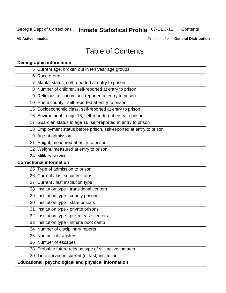#### **Inmate Statistical Profile 07-DEC-11** Contents

**All Active Inmates** 

Produced for General Distribution

# **Table of Contents**

| <b>Demographic information</b>                                       |
|----------------------------------------------------------------------|
| 5 Current age, broken out in ten year age groups                     |
| 6 Race group                                                         |
| 7 Marital status, self-reported at entry to prison                   |
| 8 Number of children, self-reported at entry to prison               |
| 9 Religious affiliation, self-reported at entry to prison            |
| 10 Home county - self-reported at entry to prison                    |
| 15 Socioeconomic class, self-reported at entry to prison             |
| 16 Environment to age 16, self-reported at entry to prison           |
| 17 Guardian status to age 16, self-reported at entry to prison       |
| 18 Employment status before prison, self-reported at entry to prison |
| 19 Age at admission                                                  |
| 21 Height, measured at entry to prison                               |
| 22 Weight, measured at entry to prison                               |
| 24 Military service                                                  |
| <b>Correctional information</b>                                      |
| 25 Type of admission to prison                                       |
| 26 Current / last security status                                    |
| 27 Current / last institution type                                   |
| 28 Institution type - transitional centers                           |
| 29 Institution type - county prisons                                 |
| 30 Institution type - state prisons                                  |
| 31 Institution type - private prisons                                |
| 32 Institution type - pre-release centers                            |
| 33 Institution type - inmate boot camp                               |
| 34 Number of disciplinary reports                                    |
| 35 Number of transfers                                               |
| 36 Number of escapes                                                 |
| 38 Probable future release type of still active inmates              |
| 39 Time served in current (or last) institution                      |
| Educational, psychological and physical information                  |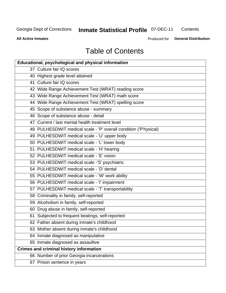# **Inmate Statistical Profile 07-DEC-11**

Contents

**All Active Inmates** 

Produced for General Distribution

# **Table of Contents**

| Educational, psychological and physical information              |
|------------------------------------------------------------------|
| 37 Culture fair IQ scores                                        |
| 40 Highest grade level attained                                  |
| 41 Culture fair IQ scores                                        |
| 42 Wide Range Achievement Test (WRAT) reading score              |
| 43 Wide Range Achievement Test (WRAT) math score                 |
| 44 Wide Range Achievement Test (WRAT) spelling score             |
| 45 Scope of substance abuse - summary                            |
| 46 Scope of substance abuse - detail                             |
| 47 Current / last mental health treatment level                  |
| 48 PULHESDWIT medical scale - 'P' overall condition ('P'hysical) |
| 49 PULHESDWIT medical scale - 'U' upper body                     |
| 50 PULHESDWIT medical scale - 'L' lower body                     |
| 51 PULHESDWIT medical scale - 'H' hearing                        |
| 52 PULHESDWIT medical scale - 'E' vision                         |
| 53 PULHESDWIT medical scale -'S' psychiatric                     |
| 54 PULHESDWIT medical scale - 'D' dental                         |
| 55 PULHESDWIT medical scale - 'W' work ability                   |
| 56 PULHESDWIT medical scale - 'I' impairment                     |
| 57 PULHESDWIT medical scale - 'T' transportability               |
| 58 Criminality in family, self-reported                          |
| 59 Alcoholism in family, self-reported                           |
| 60 Drug abuse in family, self-reported                           |
| 61 Subjected to frequent beatings, self-reported                 |
| 62 Father absent during inmate's childhood                       |
| 63 Mother absent during inmate's childhood                       |
| 64 Inmate diagnosed as manipulative                              |
| 65 Inmate diagnosed as assaultive                                |
| <b>Crimes and criminal history information</b>                   |
| 66 Number of prior Georgia incarcerations                        |
| 67 Prison sentence in years                                      |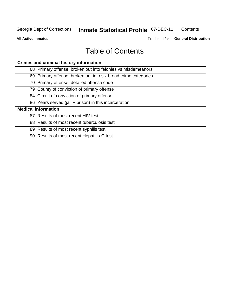#### **Inmate Statistical Profile 07-DEC-11** Contents

**All Active Inmates** 

Produced for General Distribution

# **Table of Contents**

| <b>Crimes and criminal history information</b>                 |
|----------------------------------------------------------------|
| 68 Primary offense, broken out into felonies vs misdemeanors   |
| 69 Primary offense, broken out into six broad crime categories |
| 70 Primary offense, detailed offense code                      |
| 79 County of conviction of primary offense                     |
| 84 Circuit of conviction of primary offense                    |
| 86 Years served (jail + prison) in this incarceration          |
| <b>Medical information</b>                                     |
| 87 Results of most recent HIV test                             |
| 88 Results of most recent tuberculosis test                    |
| 89 Results of most recent syphilis test                        |
| 90 Results of most recent Hepatitis-C test                     |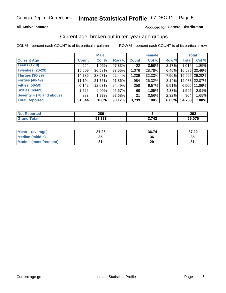#### **Inmate Statistical Profile 07-DEC-11** Page 5

### **All Active Inmates**

### Produced for General Distribution

### Current age, broken out in ten-year age groups

COL % - percent each COUNT is of its particular column

|                          |              | <b>Male</b> |        |              | <b>Female</b> |       | <b>Total</b> |               |
|--------------------------|--------------|-------------|--------|--------------|---------------|-------|--------------|---------------|
| <b>Current Age</b>       | <b>Count</b> | Col %       | Row %  | <b>Count</b> | Col %         | Row % | <b>Total</b> | Col %         |
| <b>Teens (1-19)</b>      | 994          | 1.95%       | 97.83% | 22           | 0.59%         | 2.17% | 1,016        | 1.85%         |
| <b>Twenties (20-29)</b>  | 15,609       | 30.58%      | 93.55% | 1,076        | 28.78%        | 6.45% | 16,685       | 30.46%        |
| <b>Thirties (30-39)</b>  | 14,786       | 28.97%      | 92.44% | 1,209        | 32.33%        | 7.56% |              | 15,995 29.20% |
| <b>Forties (40-49)</b>   | 11,104       | 21.75%      | 91.86% | 984          | 26.32%        | 8.14% |              | 12,088 22.07% |
| <b>Fifties (50-59)</b>   | 6,142        | 12.03%      | 94.49% | 358          | 9.57%         | 5.51% | 6,500        | 11.86%        |
| <b>Sixties (60-69)</b>   | 1,526        | 2.99%       | 95.67% | 69           | 1.85%         | 4.33% | 1,595        | 2.91%         |
| Seventy + (70 and above) | 883          | 1.73%       | 97.68% | 21           | 0.56%         | 2.32% | 904          | 1.65%         |
| <b>Total Reported</b>    | 51,044       | 100%        | 93.17% | 3,739        | 100%          | 6.83% | 54,783       | 100%          |

| <b>Not Reported</b> | າດດ<br>20Y    |      | $20^{\circ}$<br>ZJZ |
|---------------------|---------------|------|---------------------|
| Total               | っっっ<br>5دد, ا | 2712 | 55.075              |

| <b>Mean</b><br>(average)       | 37.26     | 36.74 | 37.22 |
|--------------------------------|-----------|-------|-------|
| Median (middle)                | -25<br>vu | 36    | 35    |
| <b>Mode</b><br>(most frequent) |           | 29    |       |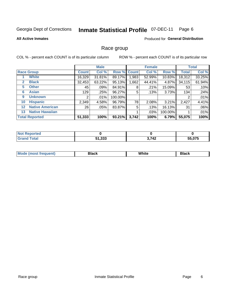#### **Inmate Statistical Profile 07-DEC-11** Page 6

#### **All Active Inmates**

### Produced for General Distribution

### Race group

COL % - percent each COUNT is of its particular column

|              |                        |                 | <b>Male</b> |         |             | <b>Female</b> |         |              | <b>Total</b> |
|--------------|------------------------|-----------------|-------------|---------|-------------|---------------|---------|--------------|--------------|
|              | <b>Race Group</b>      | <b>Count</b>    | Col %       |         | Row % Count | Col %         | Row %   | <b>Total</b> | Col %        |
|              | <b>White</b>           | 16,329          | $31.81\%$   | 89.17%  | 1,983       | 52.99%        | 10.83%  | 18,312       | 33.25%       |
| $\mathbf{2}$ | <b>Black</b>           | 32,453          | 63.22%      | 95.13%  | ,662        | 44.41%        | 4.87%   | 34,115       | 61.94%       |
| 5.           | <b>Other</b>           | 45              | .09%        | 84.91%  | 8           | .21%          | 15.09%  | 53           | .10%         |
| 6            | <b>Asian</b>           | 129             | .25%        | 96.27%  | 5           | .13%          | 3.73%   | 134          | .24%         |
| 9            | <b>Unknown</b>         | 2               | .01%        | 100.00% |             |               |         | 2            | .01%         |
| 10           | <b>Hispanic</b>        | 2,349           | 4.58%       | 96.79%  | 78          | 2.08%         | 3.21%   | 2,427        | 4.41%        |
| $12 \,$      | <b>Native American</b> | 26 <sub>1</sub> | .05%        | 83.87%  | 5           | .13%          | 16.13%  | 31           | .06%         |
| 13           | <b>Native Hawaiian</b> |                 |             |         |             | .03%          | 100.00% |              | .01%         |
|              | <b>Total Reported</b>  | 51,333          | 100%        | 93.21%  | 3,742       | 100%          | 6.79%   | 55,075       | 100%         |

| orted<br><b>NA</b> |        |            |                  |
|--------------------|--------|------------|------------------|
| <b>cotal</b>       | 51,333 | 3712<br>т. | FF 87F<br>.ט / ט |

| Mode (most frequent) | Black | White | <b>Black</b> |
|----------------------|-------|-------|--------------|
|                      |       |       |              |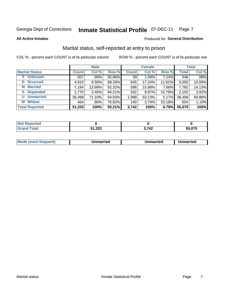#### **Inmate Statistical Profile 07-DEC-11** Page 7

**All Active Inmates** 

### Produced for General Distribution

### Marital status, self-reported at entry to prison

COL % - percent each COUNT is of its particular column

|                       |              | <b>Male</b> |        |              | <b>Female</b> |        |              | <b>Total</b> |
|-----------------------|--------------|-------------|--------|--------------|---------------|--------|--------------|--------------|
| <b>Marital Status</b> | <b>Count</b> | Col %       | Row %  | <b>Count</b> | Col %         | Row %  | <b>Total</b> | Col %        |
| <b>Unknown</b><br>0   | 507          | .99%        | 92.86% | 39           | 1.04%         | 7.14%  | 546          | .99%         |
| <b>Divorced</b><br>D  | 4,910        | $9.56\%$    | 88.39% | 645          | 17.24%        | 11.61% | 5,555        | 10.09%       |
| <b>Married</b><br>M   | 7,184        | 13.99%      | 92.32% | 598          | 15.98%        | 7.68%  | 7,782        | 14.13%       |
| <b>Separated</b><br>S | 1,770        | 3.45%       | 84.21% | 332          | 8.87%         | 15.79% | 2,102        | 3.82%        |
| <b>Unmarried</b><br>U | 36,498       | 71.10%      | 94.83% | 1,988        | 53.13%        | 5.17%  | 38,486       | 69.88%       |
| <b>Widow</b><br>W     | 464          | .90%        | 76.82% | 140          | 3.74%         | 23.18% | 604          | 1.10%        |
| <b>Total Reported</b> | 51,333       | 100%        | 93.21% | 3,742        | 100%          | 6.79%  | 55,075       | 100%         |

| ----<br>rted<br>NO |                 |       |        |
|--------------------|-----------------|-------|--------|
| $int^{\bullet}$    | EA DOO<br>√ט, ו | 3,742 | 55.075 |

|--|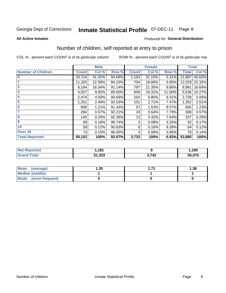#### **Inmate Statistical Profile 07-DEC-11** Page 8

#### **All Active Inmates**

### **Produced for General Distribution**

### Number of children, self reported at entry to prison

COL % - percent each COUNT is of its particular column

ROW % - percent each COUNT is of its particular row

|                           |              | <b>Male</b> |        |              | <b>Female</b> |        | <b>Total</b> |        |
|---------------------------|--------------|-------------|--------|--------------|---------------|--------|--------------|--------|
| <b>Number of Children</b> | <b>Count</b> | Col %       | Row %  | <b>Count</b> | Col %         | Row %  | <b>Total</b> | Col %  |
| $\overline{0}$            | 20,724       | 41.32%      | 94.69% | 1,163        | 31.15%        | 5.31%  | 21,887       | 40.62% |
|                           | 11,325       | 22.58%      | 94.15% | 704          | 18.86%        | 5.85%  | 12,029       | 22.32% |
| $\overline{2}$            | 8,194        | 16.34%      | 91.14% | 797          | 21.35%        | 8.86%  | 8,991        | 16.69% |
| $\overline{\mathbf{3}}$   | 4,927        | 9.82%       | 89.00% | 609          | 16.31%        | 11.00% | 5,536        | 10.27% |
| 4                         | 2,474        | 4.93%       | 90.69% | 254          | 6.80%         | 9.31%  | 2,728        | 5.06%  |
| 5                         | 1,251        | 2.49%       | 92.53% | 101          | 2.71%         | 7.47%  | 1,352        | 2.51%  |
| 6                         | 608          | 1.21%       | 91.43% | 57           | 1.53%         | 8.57%  | 665          | 1.23%  |
| 7                         | 284          | 0.57%       | 92.21% | 24           | 0.64%         | 7.79%  | 308          | 0.57%  |
| 8                         | 145          | 0.29%       | 92.36% | 12           | 0.32%         | 7.64%  | 157          | 0.29%  |
| 9                         | 89           | 0.18%       | 96.74% | 3            | 0.08%         | 3.26%  | 92           | 0.17%  |
| 10                        | 58           | 0.12%       | 90.63% | 6            | 0.16%         | 9.38%  | 64           | 0.12%  |
| Over 10                   | 73           | 0.15%       | 96.05% | 3            | 0.08%         | 3.95%  | 76           | 0.14%  |
| <b>Total Reported</b>     | 50,152       | 100%        | 93.07% | 3,733        | 100%          | 6.93%  | 53,885       | 100%   |

| rteo<br>NO)      | 191<br>101 |           | ,190   |
|------------------|------------|-----------|--------|
| $F_{\mathbf{A}}$ | 51,333     | 742<br>44 | 55,075 |

| <b>Mean</b><br>(average) | l.35 | 1.38 |
|--------------------------|------|------|
| Median (middle)          |      |      |
| Mode (most frequent)     |      |      |

Number of children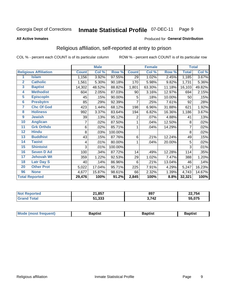#### **Inmate Statistical Profile 07-DEC-11** Page 9

#### **All Active Inmates**

### Produced for General Distribution

### Religious affiliation, self-reported at entry to prison

COL % - percent each COUNT is of its particular column

|                         |                              |              | <b>Male</b> |         |              | <b>Female</b> |        |              | <b>Total</b> |
|-------------------------|------------------------------|--------------|-------------|---------|--------------|---------------|--------|--------------|--------------|
|                         | <b>Religious Affiliation</b> | <b>Count</b> | Col %       | Row %   | <b>Count</b> | Col %         | Row %  | <b>Total</b> | CoI%         |
| 1                       | <b>Islam</b>                 | 1,156        | 3.92%       | 97.55%  | 29           | 1.02%         | 2.45%  | 1,185        | 3.67%        |
| $\overline{2}$          | <b>Catholic</b>              | 1,561        | 5.30%       | 90.18%  | 170          | 5.98%         | 9.82%  | 1,731        | 5.36%        |
| $\mathbf{3}$            | <b>Baptist</b>               | 14,302       | 48.52%      | 88.82%  | 1,801        | 63.30%        | 11.18% | 16,103       | 49.82%       |
| 4                       | <b>Methodist</b>             | 604          | 2.05%       | 87.03%  | 90           | 3.16%         | 12.97% | 694          | 2.15%        |
| $\overline{\mathbf{5}}$ | <b>EpiscopIn</b>             | 45           | .15%        | 90.00%  | 5            | .18%          | 10.00% | 50           | .15%         |
| $6\overline{6}$         | <b>Presbytrn</b>             | 85           | .29%        | 92.39%  | 7            | .25%          | 7.61%  | 92           | .28%         |
| 7                       | <b>Chc Of God</b>            | 423          | 1.44%       | 68.12%  | 198          | 6.96%         | 31.88% | 621          | 1.92%        |
| 8                       | <b>Holiness</b>              | 992          | 3.37%       | 83.64%  | 194          | 6.82%         | 16.36% | 1,186        | 3.67%        |
| 9                       | <b>Jewish</b>                | 39           | .13%        | 95.12%  | 2            | .07%          | 4.88%  | 41           | .13%         |
| 10                      | <b>Anglican</b>              |              | .02%        | 87.50%  |              | .04%          | 12.50% | 8            | .02%         |
| 11                      | <b>Grk Orthdx</b>            | 6            | .02%        | 85.71%  |              | .04%          | 14.29% | 7            | .02%         |
| 12                      | <b>Hindu</b>                 | 8            | .03%        | 100.00% |              |               |        | 8            | .02%         |
| 13                      | <b>Buddhist</b>              | 43           | .15%        | 87.76%  | 6            | .21%          | 12.24% | 49           | .15%         |
| 14                      | <b>Taoist</b>                | 4            | .01%        | 80.00%  | 1            | .04%          | 20.00% | 5            | .02%         |
| 15                      | <b>Shintoist</b>             | 3            | .01%        | 100.00% |              |               |        | 3            | .01%         |
| 16                      | <b>Seven D Ad</b>            | 100          | .34%        | 87.72%  | 14           | .49%          | 12.28% | 114          | .35%         |
| $\overline{17}$         | <b>Jehovah Wt</b>            | 359          | 1.22%       | 92.53%  | 29           | 1.02%         | 7.47%  | 388          | 1.20%        |
| 18                      | <b>Latr Day S</b>            | 40           | .14%        | 86.96%  | 6            | .21%          | 13.04% | 46           | .14%         |
| 20                      | <b>Other Prot</b>            | 5,022        | 17.04%      | 95.71%  | 225          | 7.91%         | 4.29%  | 5,247        | 16.23%       |
| 96                      | <b>None</b>                  | 4,677        | 15.87%      | 98.61%  | 66           | 2.32%         | 1.39%  | 4,743        | 14.67%       |
|                         | <b>Total Reported</b>        | 29,476       | 100%        | 91.2%   | 2,845        | 100%          | 8.8%   | 32,321       | 100%         |

| 21.857<br>- -         | 897                   | 22,754        |
|-----------------------|-----------------------|---------------|
| າາາ<br>E4.<br>ว เ.ววว | 2 7A2<br>$\mathbf{r}$ | $\sim$<br>U/5 |

|  | Mode (most frequent) | 3aptist | 3aptist | Baptist |
|--|----------------------|---------|---------|---------|
|--|----------------------|---------|---------|---------|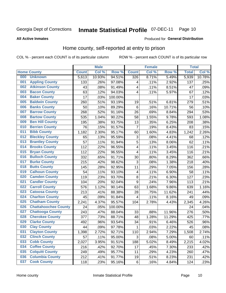#### **Inmate Statistical Profile 07-DEC-11** Page 10

#### **All Active Inmates**

### Produced for General Distribution

### Home county, self-reported at entry to prison

COL % - percent each COUNT is of its particular column

|     |                             |              | <b>Male</b> |         |              | <b>Female</b> |        | <b>Total</b> |        |
|-----|-----------------------------|--------------|-------------|---------|--------------|---------------|--------|--------------|--------|
|     | <b>Home County</b>          | <b>Count</b> | Col %       | Row %   | <b>Count</b> | Col %         | Row %  | <b>Total</b> | Col %  |
| 000 | <b>Unknown</b>              | 5,613        | 10.93%      | 94.51%  | 326          | 8.71%         | 5.49%  | 5,939        | 10.78% |
| 001 | <b>Appling County</b>       | 133          | .26%        | 97.08%  | 4            | .11%          | 2.92%  | 137          | .25%   |
| 002 | <b>Atkinson County</b>      | 43           | .08%        | 91.49%  | 4            | .11%          | 8.51%  | 47           | .09%   |
| 003 | <b>Bacon County</b>         | 63           | .12%        | 94.03%  | 4            | .11%          | 5.97%  | 67           | .12%   |
| 004 | <b>Baker County</b>         | 17           | .03%        | 100.00% |              |               |        | 17           | .03%   |
| 005 | <b>Baldwin County</b>       | 260          | .51%        | 93.19%  | 19           | .51%          | 6.81%  | 279          | .51%   |
| 006 | <b>Banks County</b>         | 50           | .10%        | 89.29%  | $\,6$        | .16%          | 10.71% | 56           | .10%   |
| 007 | <b>Barrow County</b>        | 268          | .52%        | 91.16%  | 26           | .69%          | 8.84%  | 294          | .53%   |
| 008 | <b>Bartow County</b>        | 535          | 1.04%       | 90.22%  | 58           | 1.55%         | 9.78%  | 593          | 1.08%  |
| 009 | <b>Ben Hill County</b>      | 195          | .38%        | 93.75%  | 13           | .35%          | 6.25%  | 208          | .38%   |
| 010 | <b>Berrien County</b>       | 76           | .15%        | 91.57%  | 7            | .19%          | 8.43%  | 83           | .15%   |
| 011 | <b>Bibb County</b>          | 1,182        | 2.30%       | 95.17%  | 60           | 1.60%         | 4.83%  | 1,242        | 2.26%  |
| 012 | <b>Bleckley County</b>      | 65           | .13%        | 95.59%  | 3            | .08%          | 4.41%  | 68           | .12%   |
| 013 | <b>Brantley County</b>      | 57           | .11%        | 91.94%  | 5            | .13%          | 8.06%  | 62           | .11%   |
| 014 | <b>Brooks County</b>        | 112          | .22%        | 96.55%  | 4            | .11%          | 3.45%  | 116          | .21%   |
| 015 | <b>Bryan County</b>         | 112          | .22%        | 96.55%  | 4            | .11%          | 3.45%  | 116          | .21%   |
| 016 | <b>Bulloch County</b>       | 332          | .65%        | 91.71%  | 30           | .80%          | 8.29%  | 362          | .66%   |
| 017 | <b>Burke County</b>         | 215          | .42%        | 98.62%  | 3            | .08%          | 1.38%  | 218          | .40%   |
| 018 | <b>Butts County</b>         | 145          | .28%        | 92.95%  | 11           | .29%          | 7.05%  | 156          | .28%   |
| 019 | <b>Calhoun County</b>       | 54           | .11%        | 93.10%  | 4            | .11%          | 6.90%  | 58           | .11%   |
| 020 | <b>Camden County</b>        | 119          | .23%        | 93.70%  | 8            | .21%          | 6.30%  | 127          | .23%   |
| 021 | <b>Candler County</b>       | 104          | .20%        | 92.04%  | 9            | .24%          | 7.96%  | 113          | .21%   |
| 022 | <b>Carroll County</b>       | 576          | 1.12%       | 90.14%  | 63           | 1.68%         | 9.86%  | 639          | 1.16%  |
| 023 | <b>Catoosa County</b>       | 213          | .41%        | 88.38%  | 28           | .75%          | 11.62% | 241          | .44%   |
| 024 | <b>Charlton County</b>      | 45           | .09%        | 91.84%  | 4            | .11%          | 8.16%  | 49           | .09%   |
| 025 | <b>Chatham County</b>       | 2,241        | 4.37%       | 95.57%  | 104          | 2.78%         | 4.43%  | 2,345        | 4.26%  |
| 026 | <b>Chattahoochee County</b> | 24           | .05%        | 100.00% |              |               |        | 24           | .04%   |
| 027 | <b>Chattooga County</b>     | 243          | .47%        | 88.04%  | 33           | .88%          | 11.96% | 276          | .50%   |
| 028 | <b>Cherokee County</b>      | 377          | .73%        | 88.71%  | 48           | 1.28%         | 11.29% | 425          | .77%   |
| 029 | <b>Clarke County</b>        | 492          | .96%        | 93.54%  | 34           | .91%          | 6.46%  | 526          | .96%   |
| 030 | <b>Clay County</b>          | 44           | .09%        | 97.78%  | $\mathbf{1}$ | .03%          | 2.22%  | 45           | .08%   |
| 031 | <b>Clayton County</b>       | 1,398        | 2.72%       | 92.71%  | 110          | 2.94%         | 7.29%  | 1,508        | 2.74%  |
| 032 | <b>Clinch County</b>        | 57           | .11%        | 95.00%  | 3            | .08%          | 5.00%  | 60           | .11%   |
| 033 | <b>Cobb County</b>          | 2,027        | 3.95%       | 91.51%  | 188          | 5.02%         | 8.49%  | 2,215        | 4.02%  |
| 034 | <b>Coffee County</b>        | 216          | .42%        | 92.70%  | 17           | .45%          | 7.30%  | 233          | .42%   |
| 035 | <b>Colquitt County</b>      | 249          | .49%        | 95.77%  | 11           | .29%          | 4.23%  | 260          | .47%   |
| 036 | <b>Columbia County</b>      | 212          | .41%        | 91.77%  | 19           | .51%          | 8.23%  | 231          | .42%   |
| 037 | <b>Cook County</b>          | 118          | .23%        | 95.16%  | $\,6\,$      | .16%          | 4.84%  | 124          | .23%   |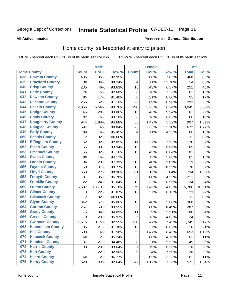#### **Inmate Statistical Profile 07-DEC-11** Page 11

### **All Active Inmates**

### Produced for General Distribution

### Home county, self-reported at entry to prison

COL % - percent each COUNT is of its particular column

|     |                         |              | <b>Male</b> |                  |                  | <b>Female</b> |        | <b>Total</b> |         |
|-----|-------------------------|--------------|-------------|------------------|------------------|---------------|--------|--------------|---------|
|     | <b>Home County</b>      | <b>Count</b> | Col %       | Row <sup>%</sup> | <b>Count</b>     | Col %         | Row %  | <b>Total</b> | Col %   |
| 038 | <b>Coweta County</b>    | 435          | .85%        | 92.95%           | 33               | .88%          | 7.05%  | 468          | $.85\%$ |
| 039 | <b>Crawford County</b>  | 30           | .06%        | 88.24%           | 4                | .11%          | 11.76% | 34           | .06%    |
| 040 | <b>Crisp County</b>     | 235          | .46%        | 93.63%           | 16               | .43%          | 6.37%  | 251          | .46%    |
| 041 | <b>Dade County</b>      | 76           | .15%        | 92.68%           | 6                | .16%          | 7.32%  | 82           | .15%    |
| 042 | <b>Dawson County</b>    | 85           | .17%        | 91.40%           | 8                | .21%          | 8.60%  | 93           | .17%    |
| 043 | <b>Decatur County</b>   | 266          | .52%        | 91.10%           | 26               | .69%          | 8.90%  | 292          | .53%    |
| 044 | <b>Dekalb County</b>    | 2,855        | 5.56%       | 93.76%           | 190              | 5.08%         | 6.24%  | 3,045        | 5.53%   |
| 045 | <b>Dodge County</b>     | 145          | .28%        | 90.06%           | 16               | .43%          | 9.94%  | 161          | .29%    |
| 046 | <b>Dooly County</b>     | 82           | .16%        | 93.18%           | 6                | .16%          | 6.82%  | 88           | .16%    |
| 047 | <b>Dougherty County</b> | 944          | 1.84%       | 94.68%           | 53               | 1.42%         | 5.32%  | 997          | 1.81%   |
| 048 | <b>Douglas County</b>   | 597          | 1.16%       | 88.84%           | 75               | 2.00%         | 11.16% | 672          | 1.22%   |
| 049 | <b>Early County</b>     | 84           | .16%        | 95.45%           | 4                | .11%          | 4.55%  | 88           | .16%    |
| 050 | <b>Echols County</b>    | 12           | .02%        | 100.00%          |                  |               |        | 12           | .02%    |
| 051 | <b>Effingham County</b> | 162          | .32%        | 92.05%           | 14               | .37%          | 7.95%  | 176          | .32%    |
| 052 | <b>Elbert County</b>    | 155          | .30%        | 93.94%           | 10               | .27%          | 6.06%  | 165          | .30%    |
| 053 | <b>Emanuel County</b>   | 165          | .32%        | 91.16%           | 16               | .43%          | 8.84%  | 181          | .33%    |
| 054 | <b>Evans County</b>     | 80           | .16%        | 94.12%           | 5                | .13%          | 5.88%  | 85           | .15%    |
| 055 | <b>Fannin County</b>    | 104          | .20%        | 87.39%           | 15               | .40%          | 12.61% | 119          | .22%    |
| 056 | <b>Fayette County</b>   | 158          | .31%        | 89.77%           | 18               | .48%          | 10.23% | 176          | .32%    |
| 057 | <b>Floyd County</b>     | 653          | 1.27%       | 88.96%           | 81               | 2.16%         | 11.04% | 734          | 1.33%   |
| 058 | <b>Forsyth County</b>   | 181          | .35%        | 85.78%           | 30               | .80%          | 14.22% | 211          | .38%    |
| 059 | <b>Franklin County</b>  | 122          | .24%        | 91.04%           | 12               | .32%          | 8.96%  | 134          | .24%    |
| 060 | <b>Fulton County</b>    | 5,507        | 10.73%      | 95.18%           | 279              | 7.46%         | 4.82%  | 5,786        | 10.51%  |
| 061 | <b>Gilmer County</b>    | 113          | .22%        | 91.87%           | 10               | .27%          | 8.13%  | 123          | .22%    |
| 062 | <b>Glascock County</b>  | 12           | .02%        | 100.00%          |                  |               |        | 12           | .02%    |
| 063 | <b>Glynn County</b>     | 342          | .67%        | 95.00%           | 18               | .48%          | 5.00%  | 360          | .65%    |
| 064 | <b>Gordon County</b>    | 257          | .50%        | 89.55%           | 30               | .80%          | 10.45% | 287          | .52%    |
| 065 | <b>Grady County</b>     | 175          | .34%        | 94.09%           | 11               | .29%          | 5.91%  | 186          | .34%    |
| 066 | <b>Greene County</b>    | 119          | .23%        | 95.97%           | 5                | .13%          | 4.03%  | 124          | .23%    |
| 067 | <b>Gwinnett County</b>  | 1,615        | 3.15%       | 92.55%           | 130              | 3.47%         | 7.45%  | 1,745        | 3.17%   |
| 068 | <b>Habersham County</b> | 106          | .21%        | 91.38%           | 10               | .27%          | 8.62%  | 116          | .21%    |
| 069 | <b>Hall County</b>      | 598          | 1.16%       | 91.58%           | 55               | 1.47%         | 8.42%  | 653          | 1.19%   |
| 070 | <b>Hancock County</b>   | 60           | .12%        | 95.24%           | 3                | .08%          | 4.76%  | 63           | .11%    |
| 071 | <b>Haralson County</b>  | 137          | .27%        | 94.48%           | 8                | .21%          | 5.52%  | 145          | .26%    |
| 072 | <b>Harris County</b>    | 103          | .20%        | 93.64%           | $\overline{7}$   | .19%          | 6.36%  | 110          | .20%    |
| 073 | <b>Hart County</b>      | 111          | .22%        | 92.50%           | $\boldsymbol{9}$ | .24%          | 7.50%  | 120          | .22%    |
| 074 | <b>Heard County</b>     | 60           | .12%        | 96.77%           | $\boldsymbol{2}$ | .05%          | 3.23%  | 62           | .11%    |
| 075 | <b>Henry County</b>     | 529          | 1.03%       | 92.64%           | 42               | 1.12%         | 7.36%  | 571          | 1.04%   |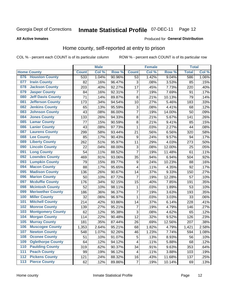# Inmate Statistical Profile 07-DEC-11 Page 12

### **All Active Inmates**

### Produced for General Distribution

### Home county, self-reported at entry to prison

COL % - percent each COUNT is of its particular column

|                  |                          |              | <b>Male</b> |                  |                  | <b>Female</b> |        | <b>Total</b> |       |
|------------------|--------------------------|--------------|-------------|------------------|------------------|---------------|--------|--------------|-------|
|                  | <b>Home County</b>       | <b>Count</b> | Col %       | Row <sup>%</sup> | <b>Count</b>     | Col %         | Row %  | <b>Total</b> | Col % |
| 076              | <b>Houston County</b>    | 533          | 1.04%       | 90.96%           | 53               | 1.42%         | 9.04%  | 586          | 1.06% |
| 077              | <b>Irwin County</b>      | 82           | .16%        | 96.47%           | 3                | .08%          | 3.53%  | 85           | .15%  |
| 078              | <b>Jackson County</b>    | 203          | .40%        | 92.27%           | 17               | .45%          | 7.73%  | 220          | .40%  |
| 079              | <b>Jasper County</b>     | 84           | .16%        | 92.31%           | $\overline{7}$   | .19%          | 7.69%  | 91           | .17%  |
| 080              | <b>Jeff Davis County</b> | 71           | .14%        | 89.87%           | 8                | .21%          | 10.13% | 79           | .14%  |
| 081              | <b>Jefferson County</b>  | 173          | .34%        | 94.54%           | 10               | .27%          | 5.46%  | 183          | .33%  |
| 082              | <b>Jenkins County</b>    | 65           | .13%        | 95.59%           | 3                | .08%          | 4.41%  | 68           | .12%  |
| 083              | <b>Johnson County</b>    | 43           | .08%        | 86.00%           | 7                | .19%          | 14.00% | 50           | .09%  |
| 084              | <b>Jones County</b>      | 133          | .26%        | 94.33%           | 8                | .21%          | 5.67%  | 141          | .26%  |
| 085              | <b>Lamar County</b>      | 77           | .15%        | 90.59%           | $\bf 8$          | .21%          | 9.41%  | 85           | .15%  |
| 086              | <b>Lanier County</b>     | 43           | .08%        | 97.73%           | 1                | .03%          | 2.27%  | 44           | .08%  |
| 087              | <b>Laurens County</b>    | 299          | .58%        | 93.44%           | 21               | .56%          | 6.56%  | 320          | .58%  |
| 088              | <b>Lee County</b>        | 85           | .17%        | 90.43%           | 9                | .24%          | 9.57%  | 94           | .17%  |
| 089              | <b>Liberty County</b>    | 262          | .51%        | 95.97%           | 11               | .29%          | 4.03%  | 273          | .50%  |
| 090              | <b>Lincoln County</b>    | 22           | .04%        | 88.00%           | 3                | .08%          | 12.00% | 25           | .05%  |
| 091              | <b>Long County</b>       | 54           | .11%        | 88.52%           | $\overline{7}$   | .19%          | 11.48% | 61           | .11%  |
| 092              | <b>Lowndes County</b>    | 469          | .91%        | 93.06%           | 35               | .94%          | 6.94%  | 504          | .92%  |
| 093              | <b>Lumpkin County</b>    | 79           | .15%        | 89.77%           | $\boldsymbol{9}$ | .24%          | 10.23% | 88           | .16%  |
| 094              | <b>Macon County</b>      | 88           | .17%        | 95.65%           | 4                | .11%          | 4.35%  | 92           | .17%  |
| 095              | <b>Madison County</b>    | 136          | .26%        | 90.67%           | 14               | .37%          | 9.33%  | 150          | .27%  |
| 096              | <b>Marion County</b>     | 50           | .10%        | 87.72%           | 7                | .19%          | 12.28% | 57           | .10%  |
| 097              | <b>Mcduffie County</b>   | 176          | .34%        | 92.15%           | 15               | .40%          | 7.85%  | 191          | .35%  |
| 098              | <b>Mcintosh County</b>   | 52           | .10%        | 98.11%           | 1                | .03%          | 1.89%  | 53           | .10%  |
| 099              | <b>Meriwether County</b> | 186          | .36%        | 96.37%           | $\overline{7}$   | .19%          | 3.63%  | 193          | .35%  |
| 100              | <b>Miller County</b>     | 32           | .06%        | 96.97%           | 1                | .03%          | 3.03%  | 33           | .06%  |
| 101              | <b>Mitchell County</b>   | 214          | .42%        | 93.86%           | 14               | .37%          | 6.14%  | 228          | .41%  |
| 102              | <b>Monroe County</b>     | 139          | .27%        | 95.21%           | $\overline{7}$   | .19%          | 4.79%  | 146          | .27%  |
| 103              | <b>Montgomery County</b> | 62           | .12%        | 95.38%           | 3                | .08%          | 4.62%  | 65           | .12%  |
| 104              | <b>Morgan County</b>     | 114          | .22%        | 90.48%           | 12               | .32%          | 9.52%  | 126          | .23%  |
| 105              | <b>Murray County</b>     | 181          | .35%        | 87.44%           | 26               | .69%          | 12.56% | 207          | .38%  |
| 106              | <b>Muscogee County</b>   | 1,353        | 2.64%       | 95.21%           | 68               | 1.82%         | 4.79%  | 1,421        | 2.58% |
| 107              | <b>Newton County</b>     | 548          | 1.07%       | 92.26%           | 46               | 1.23%         | 7.74%  | 594          | 1.08% |
| 108              | <b>Oconee County</b>     | 51           | .10%        | 91.07%           | 5                | .13%          | 8.93%  | 56           | .10%  |
| 109              | <b>Oglethorpe County</b> | 64           | .12%        | 94.12%           | 4                | .11%          | 5.88%  | 68           | .12%  |
| 110              | <b>Paulding County</b>   | 319          | .62%        | 90.37%           | 34               | .91%          | 9.63%  | 353          | .64%  |
| 111              | <b>Peach County</b>      | 99           | .19%        | 96.12%           | 4                | .11%          | 3.88%  | 103          | .19%  |
| $\overline{112}$ | <b>Pickens County</b>    | 121          | .24%        | 88.32%           | 16               | .43%          | 11.68% | 137          | .25%  |
| 113              | <b>Pierce County</b>     | 62           | .12%        | 89.86%           | $\overline{7}$   | .19%          | 10.14% | 69           | .13%  |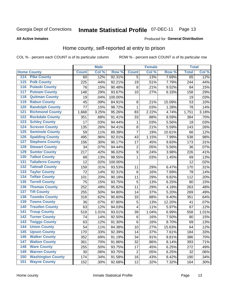#### **Inmate Statistical Profile 07-DEC-11** Page 13

**All Active Inmates** 

### Produced for General Distribution

### Home county, self-reported at entry to prison

COL % - percent each COUNT is of its particular column

|                  |                          |              | <b>Male</b> |                  |                  | <b>Female</b> |        | <b>Total</b> |       |
|------------------|--------------------------|--------------|-------------|------------------|------------------|---------------|--------|--------------|-------|
|                  | <b>Home County</b>       | <b>Count</b> | Col %       | Row <sup>%</sup> | <b>Count</b>     | Col %         | Row %  | <b>Total</b> | Col % |
| 114              | <b>Pike County</b>       | 60           | .12%        | 92.31%           | 5                | .13%          | 7.69%  | 65           | .12%  |
| 115              | <b>Polk County</b>       | 225          | .44%        | 92.21%           | 19               | .51%          | 7.79%  | 244          | .44%  |
| 116              | <b>Pulaski County</b>    | 76           | .15%        | 90.48%           | 8                | .21%          | 9.52%  | 84           | .15%  |
| 117              | <b>Putnam County</b>     | 148          | .29%        | 93.67%           | 10               | .27%          | 6.33%  | 158          | .29%  |
| 118              | <b>Quitman County</b>    | 19           | .04%        | 100.00%          |                  |               |        | 19           | .03%  |
| 119              | <b>Rabun County</b>      | 45           | .09%        | 84.91%           | 8                | .21%          | 15.09% | 53           | .10%  |
| 120              | <b>Randolph County</b>   | 77           | .15%        | 98.72%           | $\mathbf{1}$     | .03%          | 1.28%  | 78           | .14%  |
| 121              | <b>Richmond County</b>   | 1,668        | 3.25%       | 95.26%           | 83               | 2.22%         | 4.74%  | 1,751        | 3.18% |
| 122              | <b>Rockdale County</b>   | 351          | .68%        | 91.41%           | 33               | .88%          | 8.59%  | 384          | .70%  |
| 123              | <b>Schley County</b>     | 17           | .03%        | 94.44%           | 1                | .03%          | 5.56%  | 18           | .03%  |
| 124              | <b>Screven County</b>    | 135          | .26%        | 94.41%           | $\bf 8$          | .21%          | 5.59%  | 143          | .26%  |
| 125              | <b>Seminole County</b>   | 59           | .11%        | 89.39%           | $\overline{7}$   | .19%          | 10.61% | 66           | .12%  |
| 126              | <b>Spalding County</b>   | 495          | .96%        | 92.01%           | 43               | 1.15%         | 7.99%  | 538          | .98%  |
| 127              | <b>Stephens County</b>   | 156          | .30%        | 90.17%           | 17               | .45%          | 9.83%  | 173          | .31%  |
| 128              | <b>Stewart County</b>    | 34           | .07%        | 94.44%           | 2                | .05%          | 5.56%  | 36           | .07%  |
| 129              | <b>Sumter County</b>     | 217          | .42%        | 96.02%           | $\boldsymbol{9}$ | .24%          | 3.98%  | 226          | .41%  |
| 130              | <b>Talbot County</b>     | 68           | .13%        | 98.55%           | $\mathbf{1}$     | .03%          | 1.45%  | 69           | .13%  |
| 131              | <b>Taliaferro County</b> | 12           | .02%        | 100.00%          |                  |               |        | 12           | .02%  |
| 132              | <b>Tattnall County</b>   | 159          | .31%        | 93.53%           | 11               | .29%          | 6.47%  | 170          | .31%  |
| 133              | <b>Taylor County</b>     | 72           | .14%        | 92.31%           | 6                | .16%          | 7.69%  | 78           | .14%  |
| 134              | <b>Telfair County</b>    | 101          | .20%        | 90.18%           | 11               | .29%          | 9.82%  | 112          | .20%  |
| $\overline{135}$ | <b>Terrell County</b>    | 75           | .15%        | 93.75%           | 5                | .13%          | 6.25%  | 80           | .15%  |
| 136              | <b>Thomas County</b>     | 252          | .49%        | 95.82%           | 11               | .29%          | 4.18%  | 263          | .48%  |
| 137              | <b>Tift County</b>       | 255          | .50%        | 94.80%           | 14               | .37%          | 5.20%  | 269          | .49%  |
| 138              | <b>Toombs County</b>     | 318          | .62%        | 90.60%           | 33               | .88%          | 9.40%  | 351          | .64%  |
| 139              | <b>Towns County</b>      | 36           | .07%        | 87.80%           | 5                | .13%          | 12.20% | 41           | .07%  |
| 140              | <b>Treutlen County</b>   | 63           | .12%        | 94.03%           | 4                | .11%          | 5.97%  | 67           | .12%  |
| 141              | <b>Troup County</b>      | 519          | 1.01%       | 93.01%           | 39               | 1.04%         | 6.99%  | 558          | 1.01% |
| $\overline{142}$ | <b>Turner County</b>     | 74           | .14%        | 92.50%           | $\,6$            | .16%          | 7.50%  | 80           | .15%  |
| 143              | <b>Twiggs County</b>     | 63           | .12%        | 91.30%           | $\,6$            | .16%          | 8.70%  | 69           | .13%  |
| 144              | <b>Union County</b>      | 54           | .11%        | 84.38%           | 10               | .27%          | 15.63% | 64           | .12%  |
| 145              | <b>Upson County</b>      | 170          | .33%        | 92.39%           | 14               | .37%          | 7.61%  | 184          | .33%  |
| 146              | <b>Walker County</b>     | 352          | .69%        | 91.19%           | 34               | .91%          | 8.81%  | 386          | .70%  |
| 147              | <b>Walton County</b>     | 361          | .70%        | 91.86%           | 32               | .86%          | 8.14%  | 393          | .71%  |
| 148              | <b>Ware County</b>       | 255          | .50%        | 93.75%           | 17               | .45%          | 6.25%  | 272          | .49%  |
| 149              | <b>Warren County</b>     | 30           | .06%        | 93.75%           | $\overline{2}$   | .05%          | 6.25%  | 32           | .06%  |
| 150              | <b>Washington County</b> | 174          | .34%        | 91.58%           | 16               | .43%          | 8.42%  | 190          | .34%  |
| 151              | <b>Wayne County</b>      | 152          | .30%        | 92.68%           | 12               | .32%          | 7.32%  | 164          | .30%  |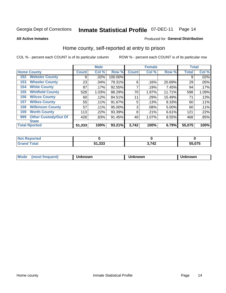#### **Inmate Statistical Profile 07-DEC-11** Page 14

**All Active Inmates** 

### Produced for General Distribution

### Home county, self-reported at entry to prison

COL % - percent each COUNT is of its particular column

|     |                             |              | <b>Male</b> |         |              | <b>Female</b> |        | <b>Total</b> |       |
|-----|-----------------------------|--------------|-------------|---------|--------------|---------------|--------|--------------|-------|
|     | <b>Home County</b>          | <b>Count</b> | Col %       | Row %   | <b>Count</b> | Col %         | Row %  | <b>Total</b> | Col % |
| 152 | <b>Webster County</b>       | 9            | .02%        | 100.00% |              |               |        | 9            | .02%  |
| 153 | <b>Wheeler County</b>       | 23           | .04%        | 79.31%  | 6            | .16%          | 20.69% | 29           | .05%  |
| 154 | <b>White County</b>         | 87           | $.17\%$     | 92.55%  | 7            | .19%          | 7.45%  | 94           | .17%  |
| 155 | <b>Whitfield County</b>     | 528          | 1.03%       | 88.29%  | 70           | 1.87%         | 11.71% | 598          | 1.09% |
| 156 | <b>Wilcox County</b>        | 60           | .12%        | 84.51%  | 11           | .29%          | 15.49% | 71           | .13%  |
| 157 | <b>Wilkes County</b>        | 55           | .11%        | 91.67%  | 5            | .13%          | 8.33%  | 60           | .11%  |
| 158 | <b>Wilkinson County</b>     | 57           | $.11\%$     | 95.00%  | 3            | .08%          | 5.00%  | 60           | .11%  |
| 159 | <b>Worth County</b>         | 113          | .22%        | 93.39%  | 8            | .21%          | 6.61%  | 121          | .22%  |
| 999 | <b>Other Custody/Out Of</b> | 428          | .83%        | 91.45%  | 40           | 1.07%         | 8.55%  | 468          | .85%  |
|     | <b>State</b>                |              |             |         |              |               |        |              |       |
|     | <b>Total Rported</b>        | 51,333       | 100%        | 93.21%  | 3,742        | 100%          | 6.79%  | 55,075       | 100%  |

| ueo |                      |                    |                          |
|-----|----------------------|--------------------|--------------------------|
|     | ാരര<br>E4.<br>31.JJJ | <b>742</b><br>- 74 | $F = \triangle T$<br>U75 |

| Mode<br><b>Tequent)</b><br>ns | nown | mown | เทown |
|-------------------------------|------|------|-------|
|                               |      |      |       |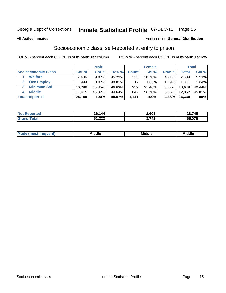# Inmate Statistical Profile 07-DEC-11 Page 15

### **All Active Inmates**

### **Produced for General Distribution**

### Socioeconomic class, self-reported at entry to prison

COL % - percent each COUNT is of its particular column

|                       |        | <b>Male</b> |        |              | <b>Female</b> |          |        | <b>Total</b> |
|-----------------------|--------|-------------|--------|--------------|---------------|----------|--------|--------------|
| Socioeconomic Class   | Count  | Col %       | Row %  | <b>Count</b> | Col %         | Row %    | Total  | Col %        |
| <b>Welfare</b>        | 2,486  | 9.87%       | 95.29% | 123          | 10.78%        | $4.71\%$ | 2,609  | 9.91%        |
| <b>Occ Employ</b>     | 999    | 3.97%       | 98.81% | 12           | 1.05%         | $1.19\%$ | 1,011  | 3.84%        |
| <b>Minimum Std</b>    | 10,289 | 40.85%      | 96.63% | 359          | 31.46%        | 3.37%    | 10,648 | 40.44%       |
| <b>Middle</b><br>4    | 11.415 | 45.32%      | 94.64% | 647          | 56.70%        | 5.36%    | 12,062 | 45.81%       |
| <b>Total Reported</b> | 25,189 | 100%        | 95.67% | 1,141        | 100%          | 4.33%    | 26,330 | 100%         |

| <b>orted</b><br><b>INOT</b> | 26,144 | 2,601 | ∠8,745 |
|-----------------------------|--------|-------|--------|
| $-$                         | 51,333 | 742   | 55,075 |

| Mo<br><b>Middle</b><br><b>Middle</b><br>uuıt<br>___<br>____<br>____ |  |
|---------------------------------------------------------------------|--|
|---------------------------------------------------------------------|--|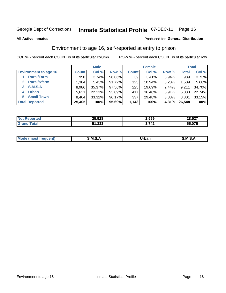# Inmate Statistical Profile 07-DEC-11 Page 16

**All Active Inmates** 

### Produced for General Distribution

### Environment to age 16, self-reported at entry to prison

COL % - percent each COUNT is of its particular column

|                                   |              | <b>Male</b> |        |              | <b>Female</b> |       |              | <b>Total</b> |
|-----------------------------------|--------------|-------------|--------|--------------|---------------|-------|--------------|--------------|
| <b>Environment to age 16</b>      | <b>Count</b> | Col %       | Row %  | <b>Count</b> | Col %         | Row % | <b>Total</b> | Col %        |
| <b>Rural/Farm</b>                 | 950          | 3.74%       | 96.06% | 39           | 3.41%         | 3.94% | 989          | 3.73%        |
| <b>Rural/Nfarm</b><br>$2^{\circ}$ | 1,384        | 5.45%       | 91.72% | 125          | 10.94%        | 8.28% | 1,509        | 5.68%        |
| 3 S.M.S.A                         | 8,986        | 35.37%      | 97.56% | 225          | 19.69%        | 2.44% | 9,211        | 34.70%       |
| <b>Urban</b><br>4                 | 5,621        | 22.13%      | 93.09% | 417          | 36.48%        | 6.91% | 6,038        | 22.74%       |
| <b>Small Town</b><br>5.           | 8,464        | 33.32%      | 96.17% | 337          | 29.48%        | 3.83% | 8,801        | 33.15%       |
| <b>Total Reported</b>             | 25,405       | 100%        | 95.69% | 1,143        | 100%          | 4.31% | 26,548       | 100%         |

| <b>Not Reported</b> | 25,928 | 2,599 | 28,527 |
|---------------------|--------|-------|--------|
|                     | 51,333 | 3.742 | 55,075 |

| Mo | M<br>______ | Irhan<br>rva<br>_____ | M<br>______ |
|----|-------------|-----------------------|-------------|
|    |             |                       |             |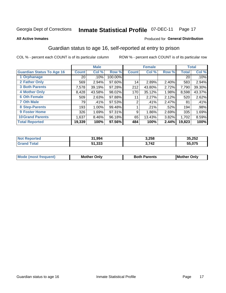# Inmate Statistical Profile 07-DEC-11 Page 17

#### **All Active Inmates**

### Produced for General Distribution

### Guardian status to age 16, self-reported at entry to prison

COL % - percent each COUNT is of its particular column

|                                  |                 | <b>Male</b> |         |              | <b>Female</b> |       |        | <b>Total</b> |
|----------------------------------|-----------------|-------------|---------|--------------|---------------|-------|--------|--------------|
| <b>Guardian Status To Age 16</b> | <b>Count</b>    | Col %       | Row %   | <b>Count</b> | Col %         | Row % | Total  | Col %        |
| 1 Orphanage                      | 20 <sub>1</sub> | .10%        | 100.00% |              |               |       | 20     | $.10\%$      |
| 2 Father Only                    | 569             | 2.94%       | 97.60%  | 14           | 2.89%         | 2.40% | 583    | 2.94%        |
| <b>3 Both Parents</b>            | 7,578           | 39.19%      | 97.28%  | 212          | 43.80%        | 2.72% | 7,790  | 39.30%       |
| <b>4 Mother Only</b>             | 8,428           | 43.58%      | 98.02%  | 170          | 35.12%        | 1.98% | 8,598  | 43.37%       |
| <b>6 Oth Female</b>              | 509             | 2.63%       | 97.88%  | 11           | 2.27%         | 2.12% | 520    | 2.62%        |
| <b>7 Oth Male</b>                | 79              | .41%        | 97.53%  | 2            | .41%          | 2.47% | 81     | .41%         |
| 8 Step-Parents                   | 193             | 1.00%       | 99.48%  |              | .21%          | .52%  | 194    | .98%         |
| <b>9 Foster Home</b>             | 326             | 1.69%       | 97.31%  | 9            | 1.86%         | 2.69% | 335    | 1.69%        |
| <b>10 Grand Parents</b>          | 1,637           | 8.46%       | 96.18%  | 65           | 13.43%        | 3.82% | 1,702  | 8.59%        |
| <b>Total Reported</b>            | 19,339          | 100%        | 97.56%  | 484          | 100%          | 2.44% | 19,823 | 100%         |

| Reported<br><b>Not</b> | 1,994<br>-94 | 3,258 | 35,252           |
|------------------------|--------------|-------|------------------|
| ⊺ota⊾                  | 51,333       | 3,742 | 55.075<br>$\sim$ |

| Mode | วทIv<br>Mot | <b>Both Parents</b><br>Parents | lM.<br>Only<br>. |
|------|-------------|--------------------------------|------------------|
|      |             |                                |                  |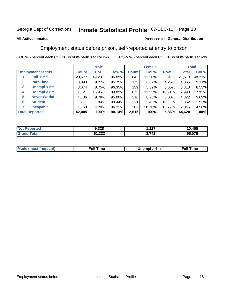#### **Inmate Statistical Profile 07-DEC-11** Page 18

### **All Active Inmates**

### Produced for General Distribution

### Employment status before prison, self-reported at entry to prison

COL % - percent each COUNT is of its particular column

|                                  |              | <b>Male</b> |        |              | <b>Female</b> |        |        | <b>Total</b> |
|----------------------------------|--------------|-------------|--------|--------------|---------------|--------|--------|--------------|
| <b>Employment Status</b>         | <b>Count</b> | Col %       | Row %  | <b>Count</b> | Col %         | Row %  | Total  | Col %        |
| <b>Full Time</b>                 | 20,677       | 49.23%      | 96.09% | 842          | 32.20%        | 3.91%  | 21,519 | 48.23%       |
| <b>Part Time</b><br>$\mathbf{2}$ | 3,893        | 9.27%       | 95.75% | 173          | 6.62%         | 4.25%  | 4,066  | 9.11%        |
| Unempl $<$ 6m<br>3               | 3,674        | 8.75%       | 96.35% | 139          | 5.32%         | 3.65%  | 3,813  | 8.55%        |
| Unempl > 6m<br>4                 | 7,121        | 16.95%      | 89.09% | 872          | 33.35%        | 10.91% | 7,993  | 17.91%       |
| <b>Never Workd</b><br>5          | 4,106        | 9.78%       | 95.00% | 216          | 8.26%         | 5.00%  | 4,322  | 9.69%        |
| <b>Student</b><br>6              | 771          | 1.84%       | 89.44% | 91           | 3.48%         | 10.56% | 862    | 1.93%        |
| <b>Incapable</b>                 | 1,763        | 4.20%       | 86.21% | 282          | 10.78%        | 13.79% | 2,045  | 4.58%        |
| <b>Total Reported</b>            | 42,005       | 100%        | 94.14% | 2,615        | 100%          | 5.86%  | 44,620 | 100%         |

| Reported<br><b>NOT</b> | 9,328  | 107<br>. | 10,455 |
|------------------------|--------|----------|--------|
| ota                    | 51,333 | 3,742    | .075   |

| <b>Moo.</b><br><b>THOST</b> | the contract of the contract of the contract of the contract of the contract of the contract of the contract of | 6m | ıme |
|-----------------------------|-----------------------------------------------------------------------------------------------------------------|----|-----|
|                             |                                                                                                                 |    |     |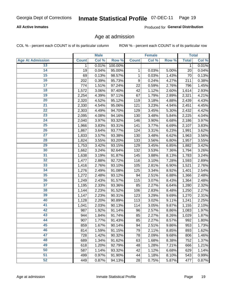# Inmate Statistical Profile 07-DEC-11 Page 19

### **All Active Inmates**

Produced for General Distribution

### Age at admission

COL % - percent each COUNT is of its particular column

|                         |              | <b>Male</b> |         |              | <b>Female</b> |       |              | <b>Total</b> |
|-------------------------|--------------|-------------|---------|--------------|---------------|-------|--------------|--------------|
| <b>Age At Admission</b> | <b>Count</b> | Col %       | Row %   | <b>Count</b> | Col %         | Row % | <b>Total</b> | Col %        |
| 13                      | 1            | 0.01%       | 100.00% |              |               |       | 1            | 0.01%        |
| $\overline{14}$         | 19           | 0.04%       | 95.00%  | 1            | 0.03%         | 5.00% | 20           | 0.04%        |
| 15                      | 69           | 0.13%       | 98.57%  | 1            | 0.03%         | 1.43% | 70           | 0.13%        |
| 16                      | 202          | 0.39%       | 95.73%  | 9            | 0.24%         | 4.27% | 211          | 0.38%        |
| $\overline{17}$         | 774          | 1.51%       | 97.24%  | 22           | 0.59%         | 2.76% | 796          | 1.45%        |
| 18                      | 1,572        | 3.06%       | 97.40%  | 42           | 1.12%         | 2.60% | 1,614        | 2.93%        |
| 19                      | 2,254        | 4.39%       | 97.11%  | 67           | 1.79%         | 2.89% | 2,321        | 4.21%        |
| 20                      | 2,320        | 4.52%       | 95.12%  | 119          | 3.18%         | 4.88% | 2,439        | 4.43%        |
| $\overline{21}$         | 2,330        | 4.54%       | 95.06%  | 121          | 3.23%         | 4.94% | 2,451        | 4.45%        |
| $\overline{22}$         | 2,303        | 4.49%       | 94.70%  | 129          | 3.45%         | 5.30% | 2,432        | 4.42%        |
| 23                      | 2,095        | 4.08%       | 94.16%  | 130          | 3.48%         | 5.84% | 2,225        | 4.04%        |
| 24                      | 2,040        | 3.97%       | 93.32%  | 146          | 3.90%         | 6.68% | 2,186        | 3.97%        |
| $\overline{25}$         | 1,966        | 3.83%       | 93.31%  | 141          | 3.77%         | 6.69% | 2,107        | 3.83%        |
| 26                      | 1,867        | 3.64%       | 93.77%  | 124          | 3.31%         | 6.23% | 1,991        | 3.62%        |
| 27                      | 1,833        | 3.57%       | 93.38%  | 130          | 3.48%         | 6.62% | 1,963        | 3.56%        |
| 28                      | 1,824        | 3.55%       | 93.20%  | 133          | 3.56%         | 6.80% | 1,957        | 3.55%        |
| 29                      | 1,753        | 3.42%       | 93.15%  | 129          | 3.45%         | 6.85% | 1,882        | 3.42%        |
| 30                      | 1,662        | 3.24%       | 92.64%  | 132          | 3.53%         | 7.36% | 1,794        | 3.26%        |
| 31                      | 1,638        | 3.19%       | 91.87%  | 145          | 3.88%         | 8.13% | 1,783        | 3.24%        |
| 32                      | 1,477        | 2.88%       | 92.72%  | 116          | 3.10%         | 7.28% | 1,593        | 2.89%        |
| 33                      | 1,416        | 2.76%       | 93.10%  | 105          | 2.81%         | 6.90% | 1,521        | 2.76%        |
| 34                      | 1,276        | 2.49%       | 91.08%  | 125          | 3.34%         | 8.92% | 1,401        | 2.54%        |
| 35                      | 1,272        | 2.48%       | 93.12%  | 94           | 2.51%         | 6.88% | 1,366        | 2.48%        |
| 36                      | 1,249        | 2.43%       | 91.57%  | 115          | 3.07%         | 8.43% | 1,364        | 2.48%        |
| $\overline{37}$         | 1,195        | 2.33%       | 93.36%  | 85           | 2.27%         | 6.64% | 1,280        | 2.32%        |
| 38                      | 1,144        | 2.23%       | 91.52%  | 106          | 2.83%         | 8.48% | 1,250        | 2.27%        |
| 39                      | 1,147        | 2.23%       | 90.31%  | 123          | 3.29%         | 9.69% | 1,270        | 2.31%        |
| 40                      | 1,128        | 2.20%       | 90.89%  | 113          | 3.02%         | 9.11% | 1,241        | 2.25%        |
| 41                      | 1,041        | 2.03%       | 90.13%  | 114          | 3.05%         | 9.87% | 1,155        | 2.10%        |
| 42                      | 987          | 1.92%       | 91.14%  | 96           | 2.57%         | 8.86% | 1,083        | 1.97%        |
| 43                      | 944          | 1.84%       | 91.74%  | 85           | 2.27%         | 8.26% | 1,029        | 1.87%        |
| 44                      | 907          | 1.77%       | 91.43%  | 85           | 2.27%         | 8.57% | 992          | 1.80%        |
| 45                      | 859          | 1.67%       | 90.14%  | 94           | 2.51%         | 9.86% | 953          | 1.73%        |
| 46                      | 814          | 1.59%       | 91.15%  | 79           | 2.11%         | 8.85% | 893          | 1.62%        |
| 47                      | 728          | 1.42%       | 90.32%  | 78           | 2.09%         | 9.68% | 806          | 1.46%        |
| 48                      | 689          | 1.34%       | 91.62%  | 63           | 1.68%         | 8.38% | 752          | 1.37%        |
| 49                      | 618          | 1.20%       | 92.79%  | 48           | 1.28%         | 7.21% | 666          | 1.21%        |
| 50                      | 587          | 1.14%       | 93.32%  | 42           | 1.12%         | 6.68% | 629          | 1.14%        |
| 51                      | 499          | 0.97%       | 91.90%  | 44           | 1.18%         | 8.10% | 543          | 0.99%        |
| 52                      | 449          | 0.87%       | 94.13%  | 28           | 0.75%         | 5.87% | 477          | 0.87%        |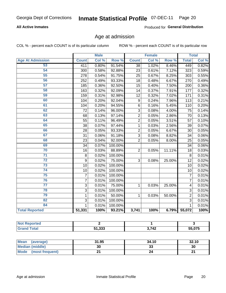# Inmate Statistical Profile 07-DEC-11 Page 20

### **All Active Inmates**

Produced for General Distribution

### Age at admission

COL % - percent each COUNT is of its particular column

|                         | <b>Male</b>    |       | <b>Female</b> |                |       | <b>Total</b> |                |       |
|-------------------------|----------------|-------|---------------|----------------|-------|--------------|----------------|-------|
| <b>Age At Admission</b> | <b>Count</b>   | Col % | Row %         | <b>Count</b>   | Col % | Row %        | <b>Total</b>   | Col % |
| 53                      | 411            | 0.80% | 91.54%        | 38             | 1.02% | 8.46%        | 449            | 0.82% |
| 54                      | 300            | 0.58% | 92.88%        | 23             | 0.61% | 7.12%        | 323            | 0.59% |
| 55                      | 278            | 0.54% | 91.75%        | 25             | 0.67% | 8.25%        | 303            | 0.55% |
| 56                      | 252            | 0.49% | 93.33%        | 18             | 0.48% | 6.67%        | 270            | 0.49% |
| 57                      | 185            | 0.36% | 92.50%        | 15             | 0.40% | 7.50%        | 200            | 0.36% |
| 58                      | 163            | 0.32% | 92.09%        | 14             | 0.37% | 7.91%        | 177            | 0.32% |
| 59                      | 159            | 0.31% | 92.98%        | 12             | 0.32% | 7.02%        | 171            | 0.31% |
| 60                      | 104            | 0.20% | 92.04%        | 9              | 0.24% | 7.96%        | 113            | 0.21% |
| 61                      | 104            | 0.20% | 94.55%        | 6              | 0.16% | 5.45%        | 110            | 0.20% |
| 62                      | 72             | 0.14% | 96.00%        | 3              | 0.08% | 4.00%        | 75             | 0.14% |
| 63                      | 68             | 0.13% | 97.14%        | $\overline{2}$ | 0.05% | 2.86%        | 70             | 0.13% |
| 64                      | 55             | 0.11% | 96.49%        | $\overline{2}$ | 0.05% | 3.51%        | 57             | 0.10% |
| 65                      | 38             | 0.07% | 97.44%        | 1              | 0.03% | 2.56%        | 39             | 0.07% |
| 66                      | 28             | 0.05% | 93.33%        | $\overline{2}$ | 0.05% | 6.67%        | 30             | 0.05% |
| 67                      | 31             | 0.06% | 91.18%        | 3              | 0.08% | 8.82%        | 34             | 0.06% |
| 68                      | 23             | 0.04% | 92.00%        | $\overline{2}$ | 0.05% | 8.00%        | 25             | 0.05% |
| 69                      | 34             | 0.07% | 100.00%       |                |       |              | 34             | 0.06% |
| 70                      | 16             | 0.03% | 88.89%        | $\overline{2}$ | 0.05% | 11.11%       | 18             | 0.03% |
| $\overline{71}$         | 8              | 0.02% | 100.00%       |                |       |              | 8              | 0.01% |
| $\overline{72}$         | 9              | 0.02% | 75.00%        | 3              | 0.08% | 25.00%       | 12             | 0.02% |
| $\overline{73}$         | 10             | 0.02% | 100.00%       |                |       |              | 10             | 0.02% |
| 74                      | 10             | 0.02% | 100.00%       |                |       |              | 10             | 0.02% |
| 75                      | $\overline{7}$ | 0.01% | 100.00%       |                |       |              | $\overline{7}$ | 0.01% |
| 76                      | $\overline{7}$ | 0.01% | 100.00%       |                |       |              | $\overline{7}$ | 0.01% |
| $\overline{77}$         | 3              | 0.01% | 75.00%        | 1              | 0.03% | 25.00%       | 4              | 0.01% |
| 78                      | 3              | 0.01% | 100.00%       |                |       |              | 3              | 0.01% |
| 79                      | $\mathbf{1}$   | 0.01% | 50.00%        | $\mathbf{1}$   | 0.03% | 50.00%       | $\overline{2}$ | 0.01% |
| 82                      | $\overline{3}$ | 0.01% | 100.00%       |                |       |              | $\overline{3}$ | 0.01% |
| 84                      | 1              | 0.01% | 100.00%       |                |       |              | 1              | 0.01% |
| <b>Total Reported</b>   | 51,331         | 100%  | 93.21%        | 3,741          | 100%  | 6.79%        | 55,072         | 100%  |

| <b>Not Reported</b> |        |              |        |
|---------------------|--------|--------------|--------|
| <b>c</b> otal       | 51,333 | : 742<br>- - | 55,075 |

| Mean (average)         | 31.95 | 34.10   | 32.10  |
|------------------------|-------|---------|--------|
| <b>Median (middle)</b> | 30    | ົ<br>دد | 30     |
| Mode (most frequent)   |       |         | $\sim$ |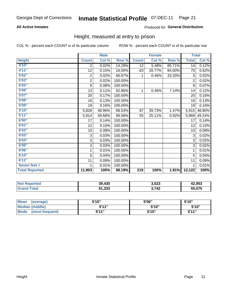#### **Inmate Statistical Profile 07-DEC-11** Page 21

### **All Active Inmates**

### Produced for General Distribution

### Height, measured at entry to prison

COL % - percent each COUNT is of its particular column

|                       | <b>Male</b>    |        |         | <b>Female</b>    |        |        | <b>Total</b>   |        |
|-----------------------|----------------|--------|---------|------------------|--------|--------|----------------|--------|
| <b>Height</b>         | <b>Count</b>   | Col %  | Row %   | <b>Count</b>     | Col %  | Row %  | <b>Total</b>   | Col %  |
| 4'10"                 | 2              | 0.02%  | 14.29%  | 12               | 5.48%  | 85.71% | 14             | 0.12%  |
| 4'11''                | 12             | 0.10%  | 16.00%  | 63               | 28.77% | 84.00% | 75             | 0.62%  |
| 5'02''                | $\overline{c}$ | 0.02%  | 66.67%  | 1                | 0.46%  | 33.33% | 3              | 0.02%  |
| 5'03''                | $\overline{c}$ | 0.02%  | 100.00% |                  |        |        | $\overline{2}$ | 0.02%  |
| 5'05''                | 9              | 0.08%  | 100.00% |                  |        |        | 9              | 0.07%  |
| 5'06''                | 13             | 0.11%  | 92.86%  | 1                | 0.46%  | 7.14%  | 14             | 0.12%  |
| 5'07''                | 20             | 0.17%  | 100.00% |                  |        |        | 20             | 0.16%  |
| 5'08''                | 16             | 0.13%  | 100.00% |                  |        |        | 16             | 0.13%  |
| 5'09''                | 19             | 0.16%  | 100.00% |                  |        |        | 19             | 0.16%  |
| 5'10''                | 5,828          | 48.96% | 98.53%  | 87               | 39.73% | 1.47%  | 5,915          | 48.80% |
| 5'11''                | 5,914          | 49.68% | 99.08%  | 55               | 25.11% | 0.92%  | 5,969          | 49.24% |
| 6'00''                | 17             | 0.14%  | 100.00% |                  |        |        | 17             | 0.14%  |
| 6'01''                | 12             | 0.10%  | 100.00% |                  |        |        | 12             | 0.10%  |
| 6'02''                | 10             | 0.08%  | 100.00% |                  |        |        | 10             | 0.08%  |
| 6'03''                | 3              | 0.03%  | 100.00% |                  |        |        | 3              | 0.02%  |
| 6'04''                | 3              | 0.03%  | 100.00% |                  |        |        | 3              | 0.02%  |
| 6'05''                | 3              | 0.03%  | 100.00% |                  |        |        | 3              | 0.02%  |
| 6'06''                | 1              | 0.01%  | 100.00% |                  |        |        | 1              | 0.01%  |
| 6'10''                | 5              | 0.04%  | 100.00% |                  |        |        | 5              | 0.04%  |
| 6'11''                | 11             | 0.09%  | 100.00% |                  |        |        | 11             | 0.09%  |
| Seven feet +          | 1              | 0.01%  | 100.00% |                  |        |        | 1              | 0.01%  |
| <b>Total Reported</b> | 11,903         | 100%   | 98.19%  | $\overline{219}$ | 100%   | 1.81%  | 12,122         | 100%   |

| <b>Not</b><br>Reported | 39,430              | 3,523 | 42,953 |
|------------------------|---------------------|-------|--------|
| ™otar                  | っっっ<br>51<br>31.JJJ | 3,742 | 55,075 |

| <b>Mean</b><br>(average)       | 5'10" | 5'06" | 5'10" |
|--------------------------------|-------|-------|-------|
| Median (middle)                | 544"  | 5'10" | 5'10" |
| <b>Mode</b><br>(most frequent) | 5'11" | 5'10" | 544"  |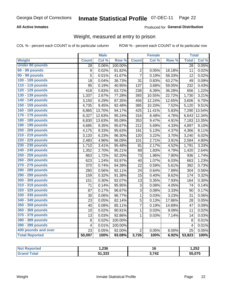#### **Inmate Statistical Profile 07-DEC-11** Page 22

### **All Active Inmates**

### Produced for General Distribution

### Weight, measured at entry to prison

COL % - percent each COUNT is of its particular column

|                        |                         | <b>Male</b> |                  |                | <b>Female</b> |        | <b>Total</b>    |        |
|------------------------|-------------------------|-------------|------------------|----------------|---------------|--------|-----------------|--------|
| Weight                 | <b>Count</b>            | Col %       | Row <sup>%</sup> | <b>Count</b>   | Col %         | Row %  | <b>Total</b>    | Col %  |
| <b>Under 80 pounds</b> | $\overline{28}$         | 0.06%       | 100.00%          |                |               |        | $\overline{28}$ | 0.05%  |
| 80 - 89 pounds         | $\boldsymbol{9}$        | 0.02%       | 81.82%           | 2              | 0.05%         | 18.18% | 11              | 0.02%  |
| 90 - 99 pounds         | 5                       | 0.01%       | 41.67%           | $\overline{7}$ | 0.19%         | 58.33% | 12              | 0.02%  |
| 100 - 109 pounds       | 18                      | 0.04%       | 36.73%           | 31             | 0.83%         | 63.27% | 49              | 0.09%  |
| 110 - 119 pounds       | 95                      | 0.19%       | 40.95%           | 137            | 3.68%         | 59.05% | 232             | 0.43%  |
| 120 - 129 pounds       | 418                     | 0.83%       | 63.72%           | 238            | 6.39%         | 36.28% | 656             | 1.22%  |
| 130 - 139 pounds       | 1,337                   | 2.67%       | 77.28%           | 393            | 10.55%        | 22.72% | 1,730           | 3.21%  |
| 140 - 149 pounds       | 3,150                   | 6.29%       | 87.35%           | 456            | 12.24%        | 12.65% | 3,606           | 6.70%  |
| 150 - 159 pounds       | 4,735                   | 9.45%       | 92.48%           | 385            | 10.33%        | 7.52%  | 5,120           | 9.51%  |
| 160 - 169 pounds       | 6,865                   | 13.70%      | 94.17%           | 425            | 11.41%        | 5.83%  | 7,290           | 13.54% |
| 170 - 179 pounds       | 6,327                   | 12.63%      | 95.24%           | 316            | 8.48%         | 4.76%  | 6,643           | 12.34% |
| 180 - 189 pounds       | 6,830                   | 13.63%      | 95.09%           | 353            | 9.47%         | 4.91%  | 7,183           | 13.35% |
| 190 - 199 pounds       | 4,685                   | 9.35%       | 95.67%           | 212            | 5.69%         | 4.33%  | 4,897           | 9.10%  |
| 200 - 209 pounds       | 4,175                   | 8.33%       | 95.63%           | 191            | 5.13%         | 4.37%  | 4,366           | 8.11%  |
| 210 - 219 pounds       | 3,120                   | 6.23%       | 96.30%           | 120            | 3.22%         | 3.70%  | 3,240           | 6.02%  |
| 220 - 229 pounds       | 2,483                   | 4.96%       | 96.09%           | 101            | 2.71%         | 3.91%  | 2,584           | 4.80%  |
| 230 - 239 pounds       | 1,710                   | 3.41%       | 95.48%           | 81             | 2.17%         | 4.52%  | 1,791           | 3.33%  |
| 240 - 249 pounds       | 1,352                   | 2.70%       | 95.21%           | 68             | 1.83%         | 4.79%  | 1,420           | 2.64%  |
| 250 - 259 pounds       | 863                     | 1.72%       | 92.20%           | 73             | 1.96%         | 7.80%  | 936             | 1.74%  |
| 260 - 269 pounds       | 623                     | 1.24%       | 93.97%           | 40             | 1.07%         | 6.03%  | 663             | 1.23%  |
| 270 - 279 pounds       | 370                     | 0.74%       | 94.39%           | 22             | 0.59%         | 5.61%  | 392             | 0.73%  |
| 280 - 289 pounds       | 280                     | 0.56%       | 92.11%           | 24             | 0.64%         | 7.89%  | 304             | 0.56%  |
| 290 - 299 pounds       | 159                     | 0.32%       | 91.38%           | 15             | 0.40%         | 8.62%  | 174             | 0.32%  |
| 300 - 309 pounds       | 151                     | 0.30%       | 92.07%           | 13             | 0.35%         | 7.93%  | 164             | 0.30%  |
| 310 - 319 pounds       | 71                      | 0.14%       | 95.95%           | 3              | 0.08%         | 4.05%  | 74              | 0.14%  |
| 320 - 329 pounds       | 87                      | 0.17%       | 96.67%           | 3              | 0.08%         | 3.33%  | 90              | 0.17%  |
| 330 - 339 pounds       | 30                      | 0.06%       | 96.77%           | $\mathbf{1}$   | 0.03%         | 3.23%  | 31              | 0.06%  |
| 340 - 349 pounds       | 23                      | 0.05%       | 82.14%           | 5              | 0.13%         | 17.86% | 28              | 0.05%  |
| 350 - 359 pounds       | 40                      | 0.08%       | 85.11%           | $\overline{7}$ | 0.19%         | 14.89% | 47              | 0.09%  |
| 360 - 369 pounds       | 10                      | 0.02%       | 90.91%           | $\mathbf{1}$   | 0.03%         | 9.09%  | 11              | 0.02%  |
| 370 - 379 pounds       | 13                      | 0.03%       | 92.86%           | 1              | 0.03%         | 7.14%  | 14              | 0.03%  |
| 380 - 389 pounds       | 8                       | 0.02%       | 100.00%          |                |               |        | 8               | 0.01%  |
| 390 - 399 pounds       | $\overline{\mathbf{4}}$ | 0.01%       | 100.00%          |                |               |        | $\overline{4}$  | 0.01%  |
| 400 pounds and over    | 23                      | 0.05%       | 92.00%           | $\overline{2}$ | 0.05%         | 8.00%  | 25              | 0.05%  |
| <b>Total Reported</b>  | 50,097                  | 100%        | 93.08%           | 3,726          | 100%          | 6.92%  | 53,823          | 100%   |

| <b>Not</b><br>ported<br>neu | nne<br>50. . |       | 1,252  |
|-----------------------------|--------------|-------|--------|
| <b>Total</b>                | 51,333       | 3,742 | 55,075 |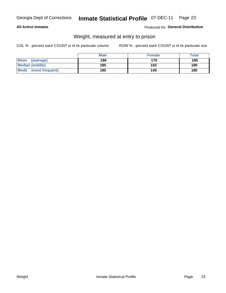## Inmate Statistical Profile 07-DEC-11 Page 23

### **All Active Inmates**

### Produced for General Distribution

### Weight, measured at entry to prison

COL % - percent each COUNT is of its particular column

|                          | <b>Male</b> | <b>Female</b> | Total |
|--------------------------|-------------|---------------|-------|
| <b>Mean</b><br>(average) | 186         | 170           | 185   |
| <b>Median (middle)</b>   | 180         | 163           | 180   |
| Mode<br>(most frequent)  | 180         | 140           | 180   |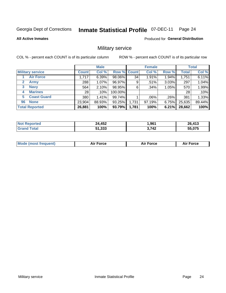#### **Inmate Statistical Profile 07-DEC-11** Page 24

**All Active Inmates** 

Produced for General Distribution

### Military service

COL % - percent each COUNT is of its particular column

|                          | <b>Male</b>  |          |         | <b>Female</b>      |         |          | <b>Total</b> |        |
|--------------------------|--------------|----------|---------|--------------------|---------|----------|--------------|--------|
| <b>Military service</b>  | <b>Count</b> | Col %    |         | <b>Row % Count</b> | Col %   | Row %    | <b>Total</b> | Col %  |
| <b>Air Force</b>         | 1,717        | 6.39%    | 98.06%  | 34                 | 1.91%   | 1.94%    | 1,751        | 6.11%  |
| $\mathbf{2}$<br>Army     | 288          | $1.07\%$ | 96.97%  | 9                  | .51%    | 3.03%    | 297          | 1.04%  |
| <b>Navy</b><br>3         | 564          | 2.10%    | 98.95%  | 6                  | .34%    | 1.05%    | 570          | 1.99%  |
| <b>Marines</b><br>4      | 28           | $.10\%$  | 100.00% |                    |         |          | 28           | .10%   |
| <b>Coast Guard</b><br>5. | 380          | 1.41%    | 99.74%  |                    | $.06\%$ | .26%     | 381          | 1.33%  |
| <b>None</b><br>96        | 23,904       | 88.93%   | 93.25%  | 1,731              | 97.19%  | $6.75\%$ | 25,635       | 89.44% |
| <b>Total Reported</b>    | 26,881       | 100%     | 93.79%  | 1,781              | 100%    | 6.21%    | 28,662       | 100%   |

| <b>Not</b><br>Reported | 24,452 | ,961  | 26.413<br>9 I J                    |
|------------------------|--------|-------|------------------------------------|
| ™ota.                  | 51,333 | 3,742 | $F \Gamma$ $\sim$ $\tau$<br>55,075 |

|  | <b>Mode (most frequent)</b> | Force | <b>Force</b><br>Л і Р | <b>Force</b><br>ΑL |
|--|-----------------------------|-------|-----------------------|--------------------|
|--|-----------------------------|-------|-----------------------|--------------------|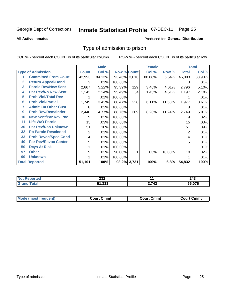#### **Inmate Statistical Profile 07-DEC-11** Page 25

**All Active Inmates** 

### Produced for General Distribution

### Type of admission to prison

COL % - percent each COUNT is of its particular column

|                |                             |              | <b>Male</b> |                    |     | <b>Female</b> |        |              | <b>Total</b> |
|----------------|-----------------------------|--------------|-------------|--------------------|-----|---------------|--------|--------------|--------------|
|                | <b>Type of Admission</b>    | <b>Count</b> | Col %       | <b>Row % Count</b> |     | Col %         | Row %  | <b>Total</b> | Col %        |
| 1              | <b>Committed From Court</b> | 42,993       | 84.13%      | 93.46% 3,010       |     | 80.68%        | 6.54%  | 46,003       | 83.90%       |
| $\overline{2}$ | <b>Return Appeal/Bond</b>   | 3            | .01%        | 100.00%            |     |               |        | 3            | .01%         |
| 3              | <b>Parole Rev/New Sent</b>  | 2,667        | 5.22%       | 95.39%             | 129 | 3.46%         | 4.61%  | 2,796        | 5.10%        |
| 4              | <b>Par Rev/No New Sent</b>  | 1,143        | 2.24%       | 95.49%             | 54  | 1.45%         | 4.51%  | 1,197        | 2.18%        |
| 5              | <b>Prob Viol/Total Rev</b>  |              | .01%        | 100.00%            |     |               |        |              | .01%         |
| 6              | <b>Prob Viol/Partial</b>    | 1,749        | 3.42%       | 88.47%             | 228 | 6.11%         | 11.53% | 1,977        | 3.61%        |
| 7              | <b>Admit Fm Other Cust</b>  | 8            | $.02\%$     | 100.00%            |     |               |        | 8            | .01%         |
| 9              | <b>Prob Rev/Remainder</b>   | 2,440        | 4.77%       | 88.76%             | 309 | 8.28%         | 11.24% | 2,749        | 5.01%        |
| 10             | <b>New Sent/Par Rev Pnd</b> | 9            | .02%        | 100.00%            |     |               |        | 9            | .02%         |
| 11             | <b>Life W/O Parole</b>      | 15           | .03%        | 100.00%            |     |               |        | 15           | .03%         |
| 30             | Par Rev/Rsn Unknown         | 51           | .10%        | 100.00%            |     |               |        | 51           | .09%         |
| 32             | <b>Pb Parole Rescinded</b>  | 2            | .01%        | 100.00%            |     |               |        | 2            | .01%         |
| 33             | <b>Prob Revoc/Spec Cond</b> | 4            | .01%        | 100.00%            |     |               |        | 4            | .01%         |
| 40             | <b>Par Rev/Revoc Center</b> | 5            | .01%        | 100.00%            |     |               |        | 5            | .01%         |
| 50             | <b>Dcys At Risk</b>         | 1            | .01%        | 100.00%            |     |               |        |              | .01%         |
| 97             | <b>Other</b>                | 9            | .02%        | 90.00%             |     | .03%          | 10.00% | 10           | .02%         |
| 99             | <b>Unknown</b>              |              | .01%        | 100.00%            |     |               |        |              | .01%         |
|                | <b>Total Reported</b>       | 51,101       | 100%        | $93.2\%$ 3,731     |     | 100%          | 6.8%   | 54,832       | 100%         |

| eported<br>'NO. | ົດລຸດ<br>ZJZ | . .   | 243    |
|-----------------|--------------|-------|--------|
| <b>Tota</b>     | $-1.000$     | 3,742 | 55,075 |
| 'Grano          | 31,JJJ       | v.    |        |

| <b>Mode (most frequent)</b> | Court Cmmt | <b>Court Cmmt</b> | Court Cmmt |
|-----------------------------|------------|-------------------|------------|
|                             |            |                   |            |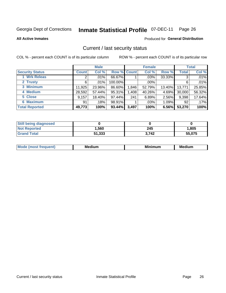#### **Inmate Statistical Profile 07-DEC-11** Page 26

**All Active Inmates** 

### Produced for General Distribution

### Current / last security status

COL % - percent each COUNT is of its particular column

|                        |              | <b>Male</b> |             |       | <b>Female</b> |        |              | <b>Total</b> |
|------------------------|--------------|-------------|-------------|-------|---------------|--------|--------------|--------------|
| <b>Security Status</b> | <b>Count</b> | Col %       | Row % Count |       | Col %         | Row %  | <b>Total</b> | Col %        |
| <b>Wrk Releas</b>      | 2            | .01%        | 66.67%      |       | $.03\%$       | 33.33% | 3            | .01%         |
| 2 Trusty               | 6            | $.01\%$     | 100.00%     |       | .00%          |        | 6            | .01%         |
| 3 Minimum              | 11,925       | 23.96%      | 86.60%      | 1,846 | 52.79%        | 13.40% | 13,771       | 25.85%       |
| 4 Medium               | 28,592       | 57.44%      | 95.31%      | 1,408 | 40.26%        | 4.69%  | 30,000       | 56.32%       |
| 5 Close                | 9,157        | 18.40%      | 97.44%      | 241   | 6.89%         | 2.56%  | 9,398        | 17.64%       |
| <b>6 Maximum</b>       | 91           | .18%        | 98.91%      |       | .03%          | 1.09%  | 92           | .17%         |
| <b>Total Reported</b>  | 49,773       | 100%        | 93.44%      | 3,497 | 100%          | 6.56%  | 53,270       | 100%         |

| <b>Still being diagnosed</b> |        |       |        |
|------------------------------|--------|-------|--------|
| <b>Not Reported</b>          | .560   | 245   | 1,805  |
| <b>Grand Total</b>           | 51,333 | 3.742 | 55.075 |

| M | NЛ<br><br>dilim<br>_____ | ---<br>-- | . .<br>Medium<br>Me |
|---|--------------------------|-----------|---------------------|
|   |                          |           |                     |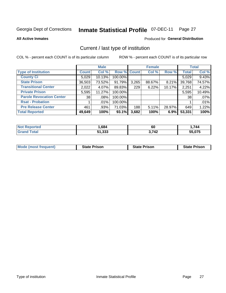#### Inmate Statistical Profile 07-DEC-11 Page 27

**All Active Inmates** 

### Produced for General Distribution

### Current / last type of institution

COL % - percent each COUNT is of its particular column

|                                 |              | <b>Male</b> |             |       | <b>Female</b> |        |              | <b>Total</b> |
|---------------------------------|--------------|-------------|-------------|-------|---------------|--------|--------------|--------------|
| <b>Type of Institution</b>      | <b>Count</b> | Col %       | Row % Count |       | Col %         | Row %  | <b>Total</b> | Col %        |
| <b>County Ci</b>                | 5,029        | 10.13%      | 100.00%     |       |               |        | 5,029        | 9.43%        |
| <b>State Prison</b>             | 36,503       | 73.52%      | 91.79%      | 3,265 | 88.67%        | 8.21%  | 39,768       | 74.57%       |
| <b>Transitional Center</b>      | 2,022        | 4.07%       | 89.83%      | 229   | 6.22%         | 10.17% | 2,251        | 4.22%        |
| <b>Private Prison</b>           | 5,595        | 11.27%      | 100.00%     |       |               |        | 5,595        | 10.49%       |
| <b>Parole Revocation Center</b> | 38           | $.08\%$     | 100.00%     |       |               |        | 38           | .07%         |
| <b>Rsat - Probation</b>         |              | .01%        | 100.00%     |       |               |        |              | .01%         |
| <b>Pre Release Center</b>       | 461          | $.93\%$     | 71.03%      | 188   | $5.11\%$      | 28.97% | 649          | 1.22%        |
| <b>Total Reported</b>           | 49,649       | 100%        | 93.1%       | 3,682 | 100%          | 6.9%   | 53,331       | 100%         |

| νrtea<br>NO | ,684        | 60    | ,744               |
|-------------|-------------|-------|--------------------|
|             | 1,333<br>E4 | 3,742 | $F = 0.7F$<br>.075 |

| <b>Mode (most frequent)</b> | <b>State Prison</b> | <b>State Prison</b> | <b>State Prison</b> |
|-----------------------------|---------------------|---------------------|---------------------|
|                             |                     |                     |                     |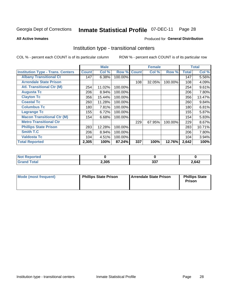#### **Inmate Statistical Profile 07-DEC-11** Page 28

**All Active Inmates** 

### Produced for General Distribution

### Institution type - transitional centers

COL % - percent each COUNT is of its particular column

|                                          |              | <b>Male</b> |         |              | <b>Female</b> |         |              | <b>Total</b> |
|------------------------------------------|--------------|-------------|---------|--------------|---------------|---------|--------------|--------------|
| <b>Institution Type - Trans. Centers</b> | <b>Count</b> | Col %       | Row %   | <b>Count</b> | Col %         | Row %   | <b>Total</b> | Col %        |
| <b>Albany Transitional Ct</b>            | 147          | 6.38%       | 100.00% |              |               |         | 147          | 5.56%        |
| <b>Arrendale State Prison</b>            |              |             |         | 108          | 32.05%        | 100.00% | 108          | 4.09%        |
| <b>Atl. Transitional Ctr (M)</b>         | 254          | 11.02%      | 100.00% |              |               |         | 254          | 9.61%        |
| <b>Augusta Tc</b>                        | 206          | 8.94%       | 100.00% |              |               |         | 206          | 7.80%        |
| <b>Clayton Tc</b>                        | 356          | 15.44%      | 100.00% |              |               |         | 356          | 13.47%       |
| <b>Coastal Tc</b>                        | 260          | 11.28%      | 100.00% |              |               |         | 260          | 9.84%        |
| <b>Columbus Tc</b>                       | 180          | 7.81%       | 100.00% |              |               |         | 180          | 6.81%        |
| <b>Lagrange Tc</b>                       | 155          | 6.72%       | 100.00% |              |               |         | 155          | 5.87%        |
| <b>Macon Transitional Ctr (M)</b>        | 154          | 6.68%       | 100.00% |              |               |         | 154          | 5.83%        |
| <b>Metro Transitional Ctr</b>            |              |             |         | 229          | 67.95%        | 100.00% | 229          | 8.67%        |
| <b>Phillips State Prison</b>             | 283          | 12.28%      | 100.00% |              |               |         | 283          | 10.71%       |
| <b>Smith T.C</b>                         | 206          | 8.94%       | 100.00% |              |               |         | 206          | 7.80%        |
| <b>Valdosta Tc</b>                       | 104          | 4.51%       | 100.00% |              |               |         | 104          | 3.94%        |
| <b>Total Reported</b>                    | 2,305        | 100%        | 87.24%  | 337          | 100%          | 12.76%  | 2,642        | 100%         |

| orted<br>  |       |     |       |
|------------|-------|-----|-------|
| <b>ota</b> | 2,305 | 027 | 2,642 |

| Mode (most frequent) | <b>Phillips State Prison</b> | Arrendale State Prison | <b>Phillips State</b><br>Prison |
|----------------------|------------------------------|------------------------|---------------------------------|
|                      |                              |                        |                                 |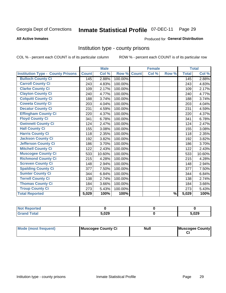#### **Inmate Statistical Profile 07-DEC-11** Page 29

#### **All Active Inmates**

### **Produced for General Distribution**

### Institution type - county prisons

COL % - percent each COUNT is of its particular column

|                                          |              | <b>Male</b> |         |              | <b>Female</b> |               |              | <b>Total</b> |
|------------------------------------------|--------------|-------------|---------|--------------|---------------|---------------|--------------|--------------|
| <b>Institution Type - County Prisons</b> | <b>Count</b> | Col %       | Row %   | <b>Count</b> | Col %         | Row %         | <b>Total</b> | Col %        |
| <b>Bulloch County Ci</b>                 | 145          | 2.88%       | 100.00% |              |               |               | 145          | 2.88%        |
| <b>Carroll County Ci</b>                 | 243          | 4.83%       | 100.00% |              |               |               | 243          | 4.83%        |
| <b>Clarke County Ci</b>                  | 109          | 2.17%       | 100.00% |              |               |               | 109          | 2.17%        |
| <b>Clayton County Ci</b>                 | 240          | 4.77%       | 100.00% |              |               |               | 240          | 4.77%        |
| <b>Colquitt County Ci</b>                | 188          | 3.74%       | 100.00% |              |               |               | 188          | 3.74%        |
| <b>Coweta County Ci</b>                  | 203          | 4.04%       | 100.00% |              |               |               | 203          | 4.04%        |
| <b>Decatur County Ci</b>                 | 231          | 4.59%       | 100.00% |              |               |               | 231          | 4.59%        |
| <b>Effingham County Ci</b>               | 220          | 4.37%       | 100.00% |              |               |               | 220          | 4.37%        |
| <b>Floyd County Ci</b>                   | 341          | 6.78%       | 100.00% |              |               |               | 341          | 6.78%        |
| <b>Gwinnett County Ci</b>                | 124          | 2.47%       | 100.00% |              |               |               | 124          | 2.47%        |
| <b>Hall County Ci</b>                    | 155          | 3.08%       | 100.00% |              |               |               | 155          | 3.08%        |
| <b>Harris County Ci</b>                  | 118          | 2.35%       | 100.00% |              |               |               | 118          | 2.35%        |
| <b>Jackson County Ci</b>                 | 192          | 3.82%       | 100.00% |              |               |               | 192          | 3.82%        |
| <b>Jefferson County Ci</b>               | 186          | 3.70%       | 100.00% |              |               |               | 186          | 3.70%        |
| <b>Mitchell County Ci</b>                | 122          | 2.43%       | 100.00% |              |               |               | 122          | 2.43%        |
| <b>Muscogee County Ci</b>                | 533          | 10.60%      | 100.00% |              |               |               | 533          | 10.60%       |
| <b>Richmond County Ci</b>                | 215          | 4.28%       | 100.00% |              |               |               | 215          | 4.28%        |
| <b>Screven County Ci</b>                 | 148          | 2.94%       | 100.00% |              |               |               | 148          | 2.94%        |
| <b>Spalding County Ci</b>                | 377          | 7.50%       | 100.00% |              |               |               | 377          | 7.50%        |
| <b>Sumter County Ci</b>                  | 344          | 6.84%       | 100.00% |              |               |               | 344          | 6.84%        |
| <b>Terrell County Ci</b>                 | 138          | 2.74%       | 100.00% |              |               |               | 138          | 2.74%        |
| <b>Thomas County Ci</b>                  | 184          | 3.66%       | 100.00% |              |               |               | 184          | 3.66%        |
| <b>Troup County Ci</b>                   | 273          | 5.43%       | 100.00% |              |               |               | 273          | 5.43%        |
| <b>Total Reported</b>                    | 5,029        | 100%        | 100%    |              |               | $\frac{9}{6}$ | 5,029        | 100%         |

| <b>Not Reported</b> |       |       |  |
|---------------------|-------|-------|--|
| <b>Grand Total</b>  | 5,029 | 5,029 |  |

| <b>Mode (most frequent)</b> | Muscogee County Ci | <b>Null</b> | Muscogee County |
|-----------------------------|--------------------|-------------|-----------------|
|-----------------------------|--------------------|-------------|-----------------|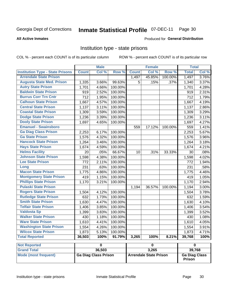#### **Inmate Statistical Profile 07-DEC-11** Page 30

#### **All Active Inmates**

### Produced for General Distribution

### Institution type - state prisons

COL % - percent each COUNT is of its particular column

ROW % - percent each COUNT is of its particular row

|                                         |              | <b>Male</b>                 |         |              | <b>Female</b>                 |         | <b>Total</b>            |       |
|-----------------------------------------|--------------|-----------------------------|---------|--------------|-------------------------------|---------|-------------------------|-------|
| <b>Institution Type - State Prisons</b> | <b>Count</b> | Col %                       | Row %   | <b>Count</b> | Col %                         | Row %   | <b>Total</b>            | Col % |
| <b>Arrendale State Prison</b>           |              |                             |         | 1,497        | 45.85%                        | 100.00% | 1,497                   | 3.76% |
| <b>Augusta State Med. Prison</b>        | 1,335        | 3.66%                       | 99.63%  | 5            | .15%                          | .37%    | 1,340                   | 3.37% |
| <b>Autry State Prison</b>               | 1,701        | 4.66%                       | 100.00% |              |                               |         | 1,701                   | 4.28% |
| <b>Baldwin State Prison</b>             | 919          | 2.52%                       | 100.00% |              |                               |         | 919                     | 2.31% |
| <b>Burrus Corr Trn Cntr</b>             | 712          | 1.95%                       | 100.00% |              |                               |         | 712                     | 1.79% |
| <b>Calhoun State Prison</b>             | 1,667        | 4.57%                       | 100.00% |              |                               |         | 1,667                   | 4.19% |
| <b>Central State Prison</b>             | 1,137        | 3.11%                       | 100.00% |              |                               |         | 1,137                   | 2.86% |
| <b>Coastal State Prison</b>             | 1,309        | 3.59%                       | 100.00% |              |                               |         | 1,309                   | 3.29% |
| <b>Dodge State Prison</b>               | 1,236        | 3.39%                       | 100.00% |              |                               |         | 1,236                   | 3.11% |
| <b>Dooly State Prison</b>               | 1,697        | 4.65%                       | 100.00% |              |                               |         | 1,697                   | 4.27% |
| <b>Emanuel - Swainsboro</b>             |              |                             |         | 559          | 17.12%                        | 100.00% | 559                     | 1.41% |
| <b>Ga Diag Class Prison</b>             | 2,253        | 6.17%                       | 100.00% |              |                               |         | 2,253                   | 5.67% |
| <b>Ga State Prison</b>                  | 1,576        | 4.32%                       | 100.00% |              |                               |         | 1,576                   | 3.96% |
| <b>Hancock State Prison</b>             | 1,264        | 3.46%                       | 100.00% |              |                               |         | 1,264                   | 3.18% |
| <b>Hays State Prison</b>                | 1,674        | 4.59%                       | 100.00% |              |                               |         | 1,674                   | 4.21% |
| <b>Helms Facility</b>                   | 20           | .05%                        | 66.67%  | 10           | .31%                          | 33.33%  | 30                      | .08%  |
| <b>Johnson State Prison</b>             | 1,598        | 4.38%                       | 100.00% |              |                               |         | 1,598                   | 4.02% |
| <b>Lee State Prison</b>                 | 772          | 2.11%                       | 100.00% |              |                               |         | 772                     | 1.94% |
| Long                                    | 231          | .63%                        | 100.00% |              |                               |         | 231                     | .58%  |
| <b>Macon State Prison</b>               | 1,775        | 4.86%                       | 100.00% |              |                               |         | 1,775                   | 4.46% |
| <b>Montgomery State Prison</b>          | 419          | 1.15%                       | 100.00% |              |                               |         | 419                     | 1.05% |
| <b>Phillips State Prison</b>            | 1,170        | 3.21%                       | 100.00% |              |                               |         | 1,170                   | 2.94% |
| <b>Pulaski State Prison</b>             |              |                             |         | 1,194        | 36.57%                        | 100.00% | 1,194                   | 3.00% |
| <b>Rogers State Prison</b>              | 1,504        | 4.12%                       | 100.00% |              |                               |         | 1,504                   | 3.78% |
| <b>Rutledge State Prison</b>            | 632          | 1.73%                       | 100.00% |              |                               |         | 632                     | 1.59% |
| <b>Smith State Prison</b>               | 1,630        | 4.47%                       | 100.00% |              |                               |         | 1,630                   | 4.10% |
| <b>Telfair State Prison</b>             | 1,406        | 3.85%                       | 100.00% |              |                               |         | 1,406                   | 3.54% |
| <b>Valdosta Sp</b>                      | 1,399        | 3.83%                       | 100.00% |              |                               |         | 1,399                   | 3.52% |
| <b>Walker State Prison</b>              | 430          | 1.18%                       | 100.00% |              |                               |         | 430                     | 1.08% |
| <b>Ware State Prison</b>                | 1,610        | 4.41%                       | 100.00% |              |                               |         | 1,610                   | 4.05% |
| <b>Washington State Prison</b>          | 1,554        | 4.26%                       | 100.00% |              |                               |         | 1,554                   | 3.91% |
| <b>Wilcox State Prison</b>              | 1,873        | 5.13%                       | 100.00% |              |                               |         | 1,873                   | 4.71% |
| <b>Total Reported</b>                   | 36,503       | 100%                        | 91.79%  | 3,265        | 100%                          | 8.21%   | 39,768                  | 100%  |
| <b>Not Reported</b>                     |              | $\overline{\mathbf{0}}$     |         |              | $\pmb{0}$                     |         | $\overline{\mathbf{0}}$ |       |
| <b>Grand Total</b>                      |              | 36,503                      |         |              | 3,265                         |         | 39,768                  |       |
| <b>Mode (most frequent)</b>             |              | <b>Ga Diag Class Prison</b> |         |              | <b>Arrendale State Prison</b> |         | <b>Ga Diag Class</b>    |       |

Prison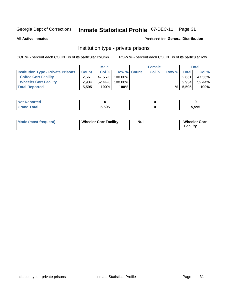# Inmate Statistical Profile 07-DEC-11 Page 31

**All Active Inmates** 

### Produced for General Distribution

### Institution type - private prisons

COL % - percent each COUNT is of its particular column

|                                           |              | <b>Male</b> |                    | <b>Female</b> |       |              | <b>Total</b> |
|-------------------------------------------|--------------|-------------|--------------------|---------------|-------|--------------|--------------|
| <b>Institution Type - Private Prisons</b> | <b>Count</b> | Col%        | <b>Row % Count</b> | Col %         | Row % | <b>Total</b> | Col %        |
| <b>Coffee Corr Facility</b>               | 2.661        | 47.56%      | $100.00\%$         |               |       | 2.661        | 47.56%       |
| <b>Wheeler Corr Facility</b>              | 2.934        | $52.44\%$   | 100.00%            |               |       | 2.934        | 52.44%       |
| <b>Total Reported</b>                     | 5,595        | 100%        | 100%               |               | %     | 5,595        | 100%         |

| <b>Reported</b><br>' NOT |       |       |
|--------------------------|-------|-------|
| <b>otal</b>              | 5,595 | 5,595 |

| Mode (most frequent) | Wheeler Corr Facility | <b>Null</b> | <b>Wheeler Corr</b><br><b>Facility</b> |
|----------------------|-----------------------|-------------|----------------------------------------|
|----------------------|-----------------------|-------------|----------------------------------------|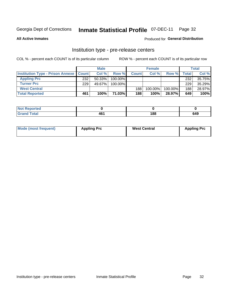# Inmate Statistical Profile 07-DEC-11 Page 32

**All Active Inmates** 

### Produced for General Distribution

# Institution type - pre-release centers

COL % - percent each COUNT is of its particular column

|                                                   |     | <b>Male</b> |            |                  | <b>Female</b> |         |       | <b>Total</b> |
|---------------------------------------------------|-----|-------------|------------|------------------|---------------|---------|-------|--------------|
| <b>Institution Type - Prison Annexe   Count  </b> |     | Col %       | Row %      | <b>Count</b>     | Col %         | Row %   | Total | Col %        |
| <b>Appling Prc</b>                                | 232 | $50.33\%$   | 100.00%    |                  |               |         | 232   | 35.75%       |
| <b>Turner Prc</b>                                 | 229 | 49.67%      | $100.00\%$ |                  |               |         | 229   | 35.29%       |
| <b>West Central</b>                               |     |             |            | 188              | $100.00\%$    | 100.00% | 188   | 28.97%       |
| <b>Total Reported</b>                             | 461 | 100%        | 71.03%I    | 188 <sub>1</sub> | 100%          | 28.97%  | 649   | 100%         |

| <b>v</b> ur | 46. | 188 | <b>CAC</b> |
|-------------|-----|-----|------------|
| $\sim$      | . . |     | 045        |

| Mode (most frequent) | <b>Appling Prc</b> | <b>West Central</b> | <b>Appling Prc</b> |
|----------------------|--------------------|---------------------|--------------------|
|----------------------|--------------------|---------------------|--------------------|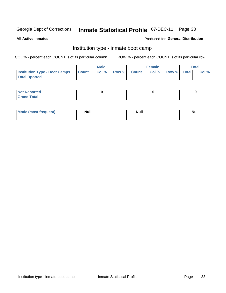# Inmate Statistical Profile 07-DEC-11 Page 33

**All Active Inmates** 

### Produced for General Distribution

### Institution type - inmate boot camp

COL % - percent each COUNT is of its particular column

|                                      |              | <b>Male</b> |               |              | <b>Female</b> |             | <b>Total</b> |
|--------------------------------------|--------------|-------------|---------------|--------------|---------------|-------------|--------------|
| <b>Institution Type - Boot Camps</b> | <b>Count</b> | Col %       | <b>Row %I</b> | <b>Count</b> | Col %         | Row % Total | Col %        |
| <b>Total Rported</b>                 |              |             |               |              |               |             |              |

| <b>Not Reported</b>                   |  |  |
|---------------------------------------|--|--|
| <b>Total</b><br><b>C HAM</b><br>_____ |  |  |

| <b>I Mode (most frequent)</b> | <b>Null</b> | <b>Null</b> | <b>Null</b> |
|-------------------------------|-------------|-------------|-------------|
|                               |             |             |             |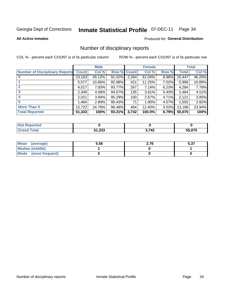# Inmate Statistical Profile 07-DEC-11 Page 34

#### **All Active Inmates**

### **Produced for General Distribution**

### Number of disciplinary reports

COL % - percent each COUNT is of its particular column

|                                       |              | <b>Male</b> |        |       | <b>Female</b> |          |              | <b>Total</b> |
|---------------------------------------|--------------|-------------|--------|-------|---------------|----------|--------------|--------------|
| <b>Number of Disciplinary Reports</b> | <b>Count</b> | Col %       | Row %  | Count | Col %         | Row %    | <b>Total</b> | Col %        |
| $\bf{0}$                              | 23,163       | 45.12%      | 91.02% | 2,284 | 61.04%        | $8.98\%$ | 25,447       | 46.20%       |
|                                       | 5,577        | 10.86%      | 92.98% | 421   | 11.25%        | $7.02\%$ | 5,998        | 10.89%       |
| $\overline{2}$                        | 4,017        | 7.83%       | 93.77% | 267   | 7.14%         | 6.23%    | 4,284        | 7.78%        |
| 3                                     | 2,349        | 4.58%       | 94.57% | 135   | $3.61\%$      | 5.43%    | 2,484        | 4.51%        |
| 4                                     | 2,021        | $3.94\%$    | 95.29% | 100   | 2.67%         | 4.71%    | 2,121        | 3.85%        |
| 5                                     | 1,484        | 2.89%       | 95.43% | 71    | 1.90%         | $4.57\%$ | 1,555        | 2.82%        |
| <b>More Than 5</b>                    | 12,722       | 24.78%      | 96.48% | 464   | 12.40%        | $3.52\%$ | 13,186       | 23.94%       |
| <b>Total Reported</b>                 | 51,333       | 100%        | 93.21% | 3,742 | 100.0%        | 6.79%    | 55,075       | 100%         |

| วrted<br>NO. |        |       |                                                |
|--------------|--------|-------|------------------------------------------------|
| <b>Total</b> | 51,333 | 3,742 | $F \Gamma$ $G \overline{\gamma}$ $F$<br>.u / o |

| Mean (average)         | 5.56 | 2.76 | E 97<br>ว.ง เ |
|------------------------|------|------|---------------|
| <b>Median (middle)</b> |      |      |               |
| Mode (most frequent)   |      |      |               |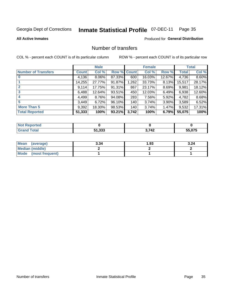# Inmate Statistical Profile 07-DEC-11 Page 35

**All Active Inmates** 

### **Produced for General Distribution**

### Number of transfers

COL % - percent each COUNT is of its particular column

|                            |              | <b>Male</b> |                    |       | <b>Female</b> |          |              | <b>Total</b> |
|----------------------------|--------------|-------------|--------------------|-------|---------------|----------|--------------|--------------|
| <b>Number of Transfers</b> | <b>Count</b> | Col %       | <b>Row % Count</b> |       | Col %         | Row %    | <b>Total</b> | Col %        |
| $\bf{0}$                   | 4,136        | $8.06\%$    | 87.33%             | 600   | 16.03%        | 12.67%   | 4,736        | 8.60%        |
|                            | 14,255       | 27.77%      | 91.87%             | 1,262 | 33.73%        | $8.13\%$ | 15,517       | 28.17%       |
| $\mathbf{2}$               | 9,114        | 17.75%      | $91.31\%$          | 867   | 23.17%        | 8.69%    | 9,981        | 18.12%       |
| 3                          | 6,488        | 12.64%      | $93.51\%$          | 450   | 12.03%        | $6.49\%$ | 6,938        | 12.60%       |
|                            | 4,499        | 8.76%       | 94.08%             | 283   | 7.56%         | 5.92%    | 4,782        | 8.68%        |
| 5                          | 3,449        | 6.72%       | 96.10%             | 140   | 3.74%         | 3.90%    | 3,589        | 6.52%        |
| <b>More Than 5</b>         | 9,392        | 18.30%      | 98.53%             | 140   | 3.74%         | 1.47%    | 9,532        | 17.31%       |
| <b>Total Reported</b>      | 51,333       | 100%        | 93.21%             | 3,742 | 100%          | 6.79%    | 55,075       | 100%         |

| <b>Not Reported</b> |        |       |                  |
|---------------------|--------|-------|------------------|
| Total               | 51,333 | 3,742 | FF 87F<br>.u / o |

| Mean (average)       | 3.34 | 93. ا | 3.24 |
|----------------------|------|-------|------|
| Median (middle)      |      |       |      |
| Mode (most frequent) |      |       |      |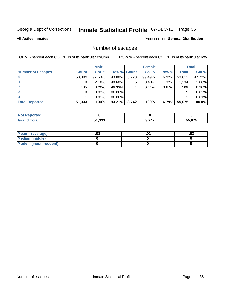# Inmate Statistical Profile 07-DEC-11 Page 36

#### **All Active Inmates**

### Produced for General Distribution

### Number of escapes

COL % - percent each COUNT is of its particular column

|                          |              | <b>Male</b> |                    |       | <b>Female</b> |          |              | <b>Total</b> |
|--------------------------|--------------|-------------|--------------------|-------|---------------|----------|--------------|--------------|
| <b>Number of Escapes</b> | <b>Count</b> | Col %       | <b>Row % Count</b> |       | Col %         | Row %    | <b>Total</b> | Col %        |
|                          | 50,099       | 97.60%      | 93.08%             | 3,723 | 99.49%        | $6.92\%$ | 53,822       | 97.72%       |
|                          | 1,119        | 2.18%       | 98.68%             | 15    | 0.40%         | 1.32%    | 1,134        | 2.06%        |
| 2                        | 105          | 0.20%       | 96.33%             | 4     | 0.11%         | 3.67%    | 109          | 0.20%        |
| 3                        | 9            | 0.02%       | 100.00%            |       |               |          | 9            | $0.02\%$     |
|                          |              | 0.01%       | 100.00%            |       |               |          |              | 0.01%        |
| <b>Total Reported</b>    | 51,333       | 100%        | 93.21%             | 3,742 | 100%          | 6.79%    | 55,075       | 100.0%       |

| <b>Not Reported</b> |        |       |        |
|---------------------|--------|-------|--------|
| ັ∩tal               | 51,333 | 3,742 | 55.075 |

| Mean (average)         | .ט. | .03 |
|------------------------|-----|-----|
| <b>Median (middle)</b> |     |     |
| Mode (most frequent)   |     |     |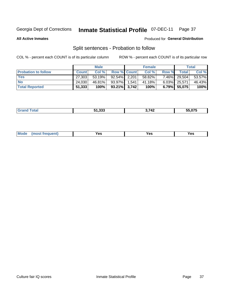#### **Inmate Statistical Profile 07-DEC-11** Page 37

**All Active Inmates** 

### Produced for General Distribution

# Split sentences - Probation to follow

COL % - percent each COUNT is of its particular column

|                            |              | <b>Male</b> |                    | <b>Female</b> |          |              | <b>Total</b> |
|----------------------------|--------------|-------------|--------------------|---------------|----------|--------------|--------------|
| <b>Probation to follow</b> | <b>Count</b> | Col %       | <b>Row % Count</b> | Col %         | Row %    | <b>Total</b> | Col %        |
| <b>Yes</b>                 | 27,303       | 53.19%      | 92.54% 2,201       | 58.82%        |          | 7.46% 29,504 | 53.57%       |
| <b>No</b>                  | 24.030       | 46.81%      | 93.97% 1.541       | 41.18%        |          | 6.03% 25,571 | 46.43%       |
| <b>Total Reported</b>      | 51,333       | 100%        | $93.21\%$ 3,742    | 100%          | $6.79\%$ | 55,075       | 100%         |

|  |  | 51.333 | $\sim$ 7.40<br>$\overline{ }$ | EE OTE<br>55.U75 |
|--|--|--------|-------------------------------|------------------|
|--|--|--------|-------------------------------|------------------|

| reauent)<br>Yes<br>v.c<br>0٥<br>.<br>. .<br>$\sim$ |  | <b>Mode</b> |  |  |  |
|----------------------------------------------------|--|-------------|--|--|--|
|----------------------------------------------------|--|-------------|--|--|--|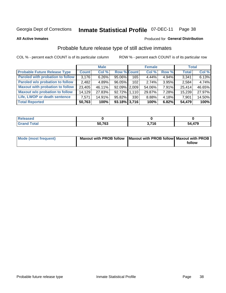#### **Inmate Statistical Profile 07-DEC-11** Page 38

**All Active Inmates** 

### Produced for General Distribution

# Probable future release type of still active inmates

COL % - percent each COUNT is of its particular column

|                                         |              | <b>Male</b> |                    |                  | <b>Female</b> |          | <b>Total</b> |        |
|-----------------------------------------|--------------|-------------|--------------------|------------------|---------------|----------|--------------|--------|
| <b>Probable Future Release Type</b>     | <b>Count</b> | Col %       | <b>Row % Count</b> |                  | Col%          | Row %    | <b>Total</b> | Col %  |
| <b>Paroled with probation to follow</b> | 3,176        | $6.26\%$    | 95.06%             | 165              | 4.44%         | 4.94%    | 3,341        | 6.13%  |
| Paroled w/o probation to follow         | 2,482        | 4.89%       | 96.05%             | 102 <sub>2</sub> | 2.74%         | 3.95%    | 2,584        | 4.74%  |
| <b>Maxout with probation to follow</b>  | 23,405       | 46.11%      | $92.09\%$   2,009  |                  | 54.06%        | $7.91\%$ | 25,414       | 46.65% |
| <b>Maxout w/o probation to follow</b>   | 14,129       | 27.83%      | 92.72% 1.110       |                  | 29.87%        | 7.28%    | 15,239       | 27.97% |
| Life, LWOP or death sentence            | 7,571        | 14.91%      | 95.82%             | 330              | 8.88%         | 4.18%    | 7,901        | 14.50% |
| <b>Total Reported</b>                   | 50,763       | 100%        | $93.18\%$ 3,716    |                  | 100%          | 6.82%    | 54,479       | 100%   |

| . otal | <b>50 762</b><br>ാ | 574c | ,479<br>51 |
|--------|--------------------|------|------------|

| Mode (most frequent) | Maxout with PROB follow   Maxout with PROB follow   Maxout with PROB |        |
|----------------------|----------------------------------------------------------------------|--------|
|                      |                                                                      | follow |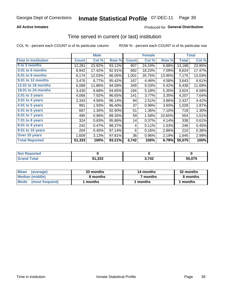## **All Active Inmates**

## **Produced for General Distribution**

# Time served in current (or last) institution

COL % - percent each COUNT is of its particular column

|                            |              | <b>Male</b> |        |              | <b>Female</b> |        |              | <b>Total</b> |
|----------------------------|--------------|-------------|--------|--------------|---------------|--------|--------------|--------------|
| <b>Time In Institution</b> | <b>Count</b> | Col %       | Row %  | <b>Count</b> | Col %         | Row %  | <b>Total</b> | Col %        |
| 0 to 3 months              | 12,281       | 23.92%      | 93.12% | 907          | 24.24%        | 6.88%  | 13,188       | 23.95%       |
| 3.01 to 6 months           | 8,942        | 17.42%      | 92.91% | 682          | 18.23%        | 7.09%  | 9,624        | 17.47%       |
| 6.01 to 9 months           | 6,174        | 12.03%      | 86.05% | 1,001        | 26.75%        | 13.95% | 7,175        | 13.03%       |
| 9.01 to 12 months          | 3,476        | 6.77%       | 95.42% | 167          | 4.46%         | 4.58%  | 3,643        | 6.61%        |
| 12.01 to 18 months         | 6,089        | 11.86%      | 94.58% | 349          | 9.33%         | 5.42%  | 6,438        | 11.69%       |
| <b>18.01 to 24 months</b>  | 3,430        | 6.68%       | 94.65% | 194          | 5.18%         | 5.35%  | 3,624        | 6.58%        |
| $2.01$ to 3 years          | 4,066        | 7.92%       | 96.65% | 141          | 3.77%         | 3.35%  | 4,207        | 7.64%        |
| 3.01 to 4 years            | 2,343        | 4.56%       | 96.14% | 94           | 2.51%         | 3.86%  | 2,437        | 4.42%        |
| $4.01$ to 5 years          | 991          | 1.93%       | 96.40% | 37           | 0.99%         | 3.60%  | 1,028        | 1.87%        |
| 5.01 to 6 years            | 667          | 1.30%       | 92.90% | 51           | 1.36%         | 7.10%  | 718          | 1.30%        |
| 6.01 to 7 years            | 495          | 0.96%       | 89.35% | 59           | 1.58%         | 10.65% | 554          | 1.01%        |
| 7.01 to 8 years            | 324          | 0.63%       | 95.86% | 14           | 0.37%         | 4.14%  | 338          | 0.61%        |
| $8.01$ to 9 years          | 242          | 0.47%       | 98.37% | 4            | 0.11%         | 1.63%  | 246          | 0.45%        |
| 9.01 to 10 years           | 204          | 0.40%       | 97.14% | 6            | 0.16%         | 2.86%  | 210          | 0.38%        |
| Over 10 years              | 1,609        | 3.13%       | 97.81% | 36           | 0.96%         | 2.19%  | 1,645        | 2.99%        |
| <b>Total Reported</b>      | 51,333       | 100%        | 93.21% | 3,742        | 100%          | 6.79%  | 55,075       | 100%         |

| orted<br><b>NOT</b> |                         |       |                            |
|---------------------|-------------------------|-------|----------------------------|
| .'nta'              | <b>E4 222</b><br>31,JJJ | ! フィク | $F = A \rightarrow F$<br>. |

| <b>Mean</b><br>(average) | 33 months | 14 months | 32 months |
|--------------------------|-----------|-----------|-----------|
| Median (middle)          | 8 months  | 7 months  | 8 months  |
| Mode (most frequent)     | months    | months    | l months  |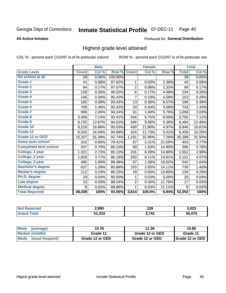#### **Inmate Statistical Profile 07-DEC-11** Page 40

### **All Active Inmates**

### Produced for General Distribution

## Highest grade level attained

COL % - percent each COUNT is of its particular column

|                              |              | <b>Male</b> |         |                | <b>Female</b> |        |              | <b>Total</b> |
|------------------------------|--------------|-------------|---------|----------------|---------------|--------|--------------|--------------|
| <b>Grade Level</b>           | <b>Count</b> | Col %       | Row %   | <b>Count</b>   | Col %         | Row %  | <b>Total</b> | Col %        |
| No school at all             | 28           | 0.06%       | 100.00% |                |               |        | 28           | 0.05%        |
| <b>Grade 1</b>               | 41           | 0.08%       | 97.62%  | 1              | 0.03%         | 2.38%  | 42           | 0.08%        |
| <b>Grade 2</b>               | 84           | 0.17%       | 97.67%  | $\overline{c}$ | 0.06%         | 2.33%  | 86           | 0.17%        |
| Grade 3                      | 128          | 0.26%       | 95.52%  | 6              | 0.17%         | 4.48%  | 134          | $0.26\%$     |
| Grade 4                      | 146          | 0.30%       | 95.42%  | $\overline{7}$ | 0.19%         | 4.58%  | 153          | 0.29%        |
| Grade 5                      | 185          | 0.38%       | 93.43%  | 13             | 0.36%         | 6.57%  | 198          | 0.38%        |
| Grade 6                      | 709          | 1.46%       | 95.42%  | 34             | 0.94%         | 4.58%  | 743          | 1.43%        |
| <b>Grade 7</b>               | 998          | 2.06%       | 94.24%  | 61             | 1.69%         | 5.76%  | 1,059        | 2.03%        |
| Grade 8                      | 3,458        | 7.14%       | 93.41%  | 244            | 6.75%         | 6.59%  | 3,702        | 7.11%        |
| Grade 9                      | 6,135        | 12.67%      | 94.62%  | 349            | 9.66%         | 5.38%  | 6,484        | 12.46%       |
| Grade 10                     | 8,216        | 16.96%      | 95.03%  | 430            | 11.90%        | 4.97%  | 8,646        | 16.61%       |
| Grade 11                     | 8,035        | 16.59%      | 94.99%  | 424            | 11.73%        | 5.01%  | 8,459        | 16.25%       |
| <b>Grade 12 or GED</b>       | 15,207       | 31.39%      | 92.74%  | 1,191          | 32.96%        | 7.26%  | 16,398       | 31.50%       |
| Some tech school             | 316          | 0.65%       | 78.41%  | 87             | 2.41%         | 21.59% | 403          | 0.77%        |
| <b>Completed tech school</b> | 337          | 0.70%       | 85.10%  | 59             | 1.63%         | 14.90% | 396          | 0.76%        |
| College, 1 year              | 1,321        | 2.73%       | 85.12%  | 231            | 6.39%         | 14.88% | 1,552        | 2.98%        |
| College, 2 year              | 1,828        | 3.77%       | 86.19%  | 293            | 8.11%         | 13.81% | 2,121        | 4.07%        |
| College, 3 year              | 485          | 1.00%       | 89.48%  | 57             | 1.58%         | 10.52% | 542          | 1.04%        |
| <b>Bachelor's degree</b>     | 627          | 1.29%       | 85.89%  | 103            | 2.85%         | 14.11% | 730          | 1.40%        |
| <b>Master's degree</b>       | 112          | 0.23%       | 86.15%  | 18             | 0.50%         | 13.85% | 130          | 0.25%        |
| Ph.D. degree                 | 19           | 0.04%       | 95.00%  | $\mathbf{1}$   | 0.03%         | 5.00%  | 20           | 0.04%        |
| Law degree                   | 15           | 0.03%       | 88.24%  | $\overline{2}$ | 0.06%         | 11.76% | 17           | 0.03%        |
| <b>Medical degree</b>        | 8            | 0.02%       | 88.89%  | 1              | 0.03%         | 11.11% | 9            | 0.02%        |
| <b>Total Reported</b>        | 48,438       | 100%        | 93.06%  | 3,614          | 100.0%        | 6.94%  | 52,052       | 100%         |

| 2,895  | 190<br>170   | <b>מרח כ</b><br>3.UZ3 |
|--------|--------------|-----------------------|
| 51.333 | 3 742<br>-14 | EE OTE                |

| Mean<br>(average)              | 10.76           | 11.36           | 10.80                    |
|--------------------------------|-----------------|-----------------|--------------------------|
| Median (middle)                | Grade 11        | Grade 12 or GED | Grade 11                 |
| <b>Mode</b><br>(most frequent) | Grade 12 or GED | Grade 12 or GED | <b>I</b> Grade 12 or GED |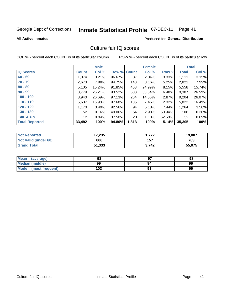# Inmate Statistical Profile 07-DEC-11 Page 41

**All Active Inmates** 

## **Produced for General Distribution**

## Culture fair IQ scores

COL % - percent each COUNT is of its particular column

|                       |                 | <b>Male</b> |             |                 | <b>Female</b> |        |              | <b>Total</b> |
|-----------------------|-----------------|-------------|-------------|-----------------|---------------|--------|--------------|--------------|
| <b>IQ Scores</b>      | <b>Count</b>    | Col %       | Row % Count |                 | Col %         | Row %  | <b>Total</b> | Col %        |
| $60 - 69$             | 1,074           | 3.21%       | 96.67%      | 37              | 2.04%         | 3.33%  | 1,111        | 3.15%        |
| $70 - 79$             | 2,673           | 7.98%       | 94.75%      | 148             | 8.16%         | 5.25%  | 2,821        | 7.99%        |
| $80 - 89$             | 5,105           | 15.24%      | 91.85%      | 453             | 24.99%        | 8.15%  | 5,558        | 15.74%       |
| $90 - 99$             | 8,779           | 26.21%      | 93.52%      | 608             | 33.54%        | 6.48%  | 9,387        | 26.59%       |
| $100 - 109$           | 8,940           | 26.69%      | 97.13%      | 264             | 14.56%        | 2.87%  | 9,204        | 26.07%       |
| $110 - 119$           | 5,687           | 16.98%      | 97.68%      | 135             | 7.45%         | 2.32%  | 5,822        | 16.49%       |
| $120 - 129$           | 1,170           | 3.49%       | 92.56%      | 94              | 5.18%         | 7.44%  | 1,264        | 3.58%        |
| $130 - 139$           | 52              | 0.16%       | 49.06%      | 54              | 2.98%         | 50.94% | 106          | 0.30%        |
| 140 & Up              | 12 <sup>2</sup> | 0.04%       | 37.50%      | 20 <sub>1</sub> | 1.10%         | 62.50% | 32           | 0.09%        |
| <b>Total Reported</b> | 33,492          | 100%        | 94.86%      | 1,813           | 100%          | 5.14%  | 35,305       | 100%         |

| <b>Not Reported</b>         | 17,235 | .772  | 19,007 |
|-----------------------------|--------|-------|--------|
| <b>Not Valid (under 60)</b> | 606    | 157   | 763    |
| <b>Grand Total</b>          | 51,333 | 3,742 | 55,075 |

| Mean<br>(average)       | 98  | כח | 98 |
|-------------------------|-----|----|----|
| <b>Median (middle)</b>  | 99  | 94 | 99 |
| Mode<br>(most frequent) | 103 |    | 99 |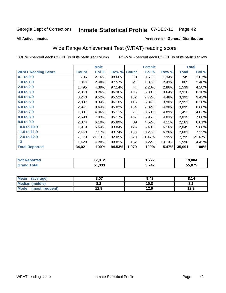#### **Inmate Statistical Profile 07-DEC-11** Page 42

**All Active Inmates** 

### Produced for General Distribution

# Wide Range Achievement Test (WRAT) reading score

COL % - percent each COUNT is of its particular column

|                           |              | <b>Male</b> |        |                 | <b>Female</b> |        |              | <b>Total</b>                                 |
|---------------------------|--------------|-------------|--------|-----------------|---------------|--------|--------------|----------------------------------------------|
| <b>WRAT Reading Score</b> | <b>Count</b> | Col %       | Row %  | <b>Count</b>    | Col %         | Row %  | <b>Total</b> | Col %                                        |
| $0.1$ to $0.9$            | 735          | 2.16%       | 98.66% | 10 <sup>1</sup> | 0.51%         | 1.34%  | 745          | 2.07%                                        |
| 1.0 to 1.9                | 844          | 2.48%       | 97.57% | 21              | 1.07%         | 2.43%  | 865          | 2.40%                                        |
| 2.0 to 2.9                | 1,495        | 4.39%       | 97.14% | 44              | 2.23%         | 2.86%  | 1,539        | 4.28%                                        |
| 3.0 to 3.9                | 2,810        | 8.26%       | 96.36% | 106             | 5.38%         | 3.64%  | 2,916        | 8.10%                                        |
| 4.0 to 4.9                | 3,240        | 9.52%       | 95.52% | 152             | 7.72%         | 4.48%  | 3,392        | 9.42%                                        |
| 5.0 to 5.9                | 2,837        | 8.34%       | 96.10% | 115             | 5.84%         | 3.90%  | 2,952        | 8.20%                                        |
| 6.0 to 6.9                | 2,941        | 8.64%       | 95.02% | 154             | 7.82%         | 4.98%  | 3,095        | 8.60%                                        |
| 7.0 to 7.9                | 1,381        | 4.06%       | 95.11% | 71              | 3.60%         | 4.89%  | 1,452        | 4.03%                                        |
| 8.0 to 8.9                | 2,698        | 7.93%       | 95.17% | 137             | 6.95%         | 4.83%  | 2,835        | 7.88%                                        |
| 9.0 to 9.9                | 2,074        | 6.10%       | 95.89% | 89              | 4.52%         | 4.11%  | 2,163        | 6.01%                                        |
| 10.0 to 10.9              | 1,919        | 5.64%       | 93.84% | 126             | 6.40%         | 6.16%  | 2,045        | 5.68%                                        |
| 11.0 to 11.9              | 2,440        | 7.17%       | 93.74% | 163             | 8.27%         | 6.26%  | 2,603        | 7.23%                                        |
| 12.0 to 12.9              | 7,179        | 21.10%      | 92.05% | 620             | 31.47%        | 7.95%  | 7,799        | 21.67%                                       |
| 13                        | 1,428        | 4.20%       | 89.81% | 162             | 8.22%         | 10.19% | 1,590        | 4.42%                                        |
| <b>Total Reported</b>     | 34,021       | 100%        | 94.53% | 1,970           | 100%          | 5.47%  | 35,991       | 100%                                         |
|                           |              |             |        |                 |               |        |              |                                              |
| <b>Net Departed</b>       |              | 17.210      |        |                 | 4770          |        |              | $\overline{A}$ $\overline{A}$ $\overline{A}$ |

| <b>Not Reported</b>   | 17,312 | フフつ<br>1. I I Z | 19,084 |
|-----------------------|--------|-----------------|--------|
| Total<br><b>Grand</b> | 51,333 | 3,742           | 55,075 |
|                       |        |                 |        |

| <b>Mean</b><br>(average)       | 8.07       | 9.42 | 8.14 |
|--------------------------------|------------|------|------|
| <b>Median (middle)</b>         | י ה<br>0.Z | 10.8 | o.z  |
| <b>Mode</b><br>(most frequent) | 12.9       | 12.9 | 12.9 |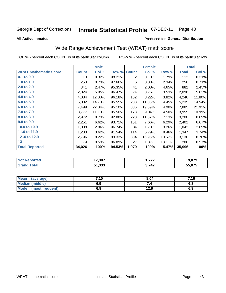#### **Inmate Statistical Profile 07-DEC-11** Page 43

**All Active Inmates** 

### Produced for General Distribution

# Wide Range Achievement Test (WRAT) math score

COL % - percent each COUNT is of its particular column

|                              |              | <b>Male</b> |        |                | <b>Female</b> |        |              | <b>Total</b> |
|------------------------------|--------------|-------------|--------|----------------|---------------|--------|--------------|--------------|
| <b>WRAT Mathematic Score</b> | <b>Count</b> | Col %       | Row %  | <b>Count</b>   | Col %         | Row %  | <b>Total</b> | Col %        |
| $0.1$ to $0.9$               | 110          | 0.32%       | 98.21% | $\overline{2}$ | 0.10%         | 1.79%  | 112          | 0.31%        |
| 1.0 to 1.9                   | 250          | 0.73%       | 97.66% | 6              | 0.30%         | 2.34%  | 256          | 0.71%        |
| 2.0 to 2.9                   | 841          | 2.47%       | 95.35% | 41             | 2.08%         | 4.65%  | 882          | 2.45%        |
| 3.0 to 3.9                   | 2,024        | 5.95%       | 96.47% | 74             | 3.76%         | 3.53%  | 2,098        | 5.83%        |
| 4.0 to 4.9                   | 4,084        | 12.00%      | 96.18% | 162            | 8.22%         | 3.82%  | 4,246        | 11.80%       |
| 5.0 to 5.9                   | 5,002        | 14.70%      | 95.55% | 233            | 11.83%        | 4.45%  | 5,235        | 14.54%       |
| 6.0 to 6.9                   | 7,499        | 22.04%      | 95.10% | 386            | 19.59%        | 4.90%  | 7,885        | 21.91%       |
| 7.0 to 7.9                   | 3,777        | 11.10%      | 95.50% | 178            | 9.04%         | 4.50%  | 3,955        | 10.99%       |
| 8.0 to 8.9                   | 2,972        | 8.73%       | 92.88% | 228            | 11.57%        | 7.13%  | 3,200        | 8.89%        |
| 9.0 to 9.9                   | 2,251        | 6.62%       | 93.71% | 151            | 7.66%         | 6.29%  | 2,402        | 6.67%        |
| 10.0 to 10.9                 | 1,008        | 2.96%       | 96.74% | 34             | 1.73%         | 3.26%  | 1,042        | 2.89%        |
| 11.0 to 11.9                 | 1,233        | 3.62%       | 91.54% | 114            | 5.79%         | 8.46%  | 1,347        | 3.74%        |
| 12.0 to 12.9                 | 2,796        | 8.22%       | 89.33% | 334            | 16.95%        | 10.67% | 3,130        | 8.70%        |
| 13                           | 179          | 0.53%       | 86.89% | 27             | 1.37%         | 13.11% | 206          | 0.57%        |
| <b>Total Reported</b>        | 34,026       | 100%        | 94.53% | 1,970          | 100%          | 5.47%  | 35,996       | 100%         |
|                              |              |             |        |                |               |        |              |              |

| <b>Not Reported</b> | 17,307 | フフへ<br>. | 19,079 |
|---------------------|--------|----------|--------|
| Total               | 51,333 | 3,742    | 55,075 |

| <b>Mean</b><br>(average)       | 7.10 | 8.04 | 7.16 |
|--------------------------------|------|------|------|
| <b>Median (middle)</b>         | ხ. J |      | o.o  |
| <b>Mode</b><br>(most frequent) | 6.9  | 12.9 | 6.9  |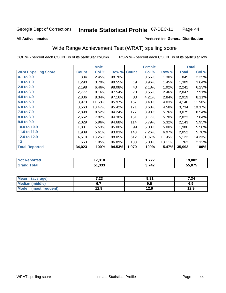#### **Inmate Statistical Profile 07-DEC-11** Page 44

### **All Active Inmates**

## Produced for General Distribution

## Wide Range Achievement Test (WRAT) spelling score

COL % - percent each COUNT is of its particular column

ROW % - percent each COUNT is of its particular row

|                            |              | <b>Male</b> |        |              | <b>Female</b> |        |              | <b>Total</b> |
|----------------------------|--------------|-------------|--------|--------------|---------------|--------|--------------|--------------|
| <b>WRAT Spelling Score</b> | <b>Count</b> | Col %       | Row %  | <b>Count</b> | Col %         | Row %  | <b>Total</b> | Col %        |
| $0.1$ to $0.9$             | 834          | 2.45%       | 98.70% | 11           | 0.56%         | 1.30%  | 845          | 2.35%        |
| 1.0 to 1.9                 | 1,290        | 3.79%       | 98.55% | 19           | 0.96%         | 1.45%  | 1,309        | 3.64%        |
| 2.0 to 2.9                 | 2,198        | 6.46%       | 98.08% | 43           | 2.18%         | 1.92%  | 2,241        | 6.23%        |
| 3.0 to 3.9                 | 2,777        | 8.16%       | 97.54% | 70           | 3.55%         | 2.46%  | 2,847        | 7.91%        |
| 4.0 to 4.9                 | 2,836        | 8.34%       | 97.16% | 83           | 4.21%         | 2.84%  | 2,919        | 8.11%        |
| 5.0 to 5.9                 | 3,973        | 11.68%      | 95.97% | 167          | 8.48%         | 4.03%  | 4,140        | 11.50%       |
| 6.0 to 6.9                 | 3,563        | 10.47%      | 95.42% | 171          | 8.68%         | 4.58%  | 3,734        | 10.37%       |
| 7.0 to 7.9                 | 2,898        | 8.52%       | 94.24% | 177          | 8.98%         | 5.76%  | 3,075        | 8.54%        |
| 8.0 to 8.9                 | 2,662        | 7.82%       | 94.30% | 161          | 8.17%         | 5.70%  | 2,823        | 7.84%        |
| 9.0 to 9.9                 | 2,029        | 5.96%       | 94.68% | 114          | 5.79%         | 5.32%  | 2,143        | 5.95%        |
| 10.0 to 10.9               | 1,881        | 5.53%       | 95.00% | 99           | 5.03%         | 5.00%  | 1,980        | 5.50%        |
| 11.0 to 11.9               | 1,909        | 5.61%       | 93.03% | 143          | 7.26%         | 6.97%  | 2,052        | 5.70%        |
| 12.0 to 12.9               | 4,510        | 13.26%      | 88.05% | 612          | 31.07%        | 11.95% | 5,122        | 14.23%       |
| 13                         | 663          | 1.95%       | 86.89% | 100          | 5.08%         | 13.11% | 763          | 2.12%        |
| <b>Total Reported</b>      | 34,023       | 100%        | 94.53% | 1,970        | 100%          | 5.47%  | 35,993       | 100%         |
|                            |              |             |        |              |               |        |              |              |
| <b>Not Reported</b>        |              | 17,310      |        |              | 1,772         |        |              | 19,082       |
| <b>Grand Total</b>         |              | 51,333      |        |              | 3,742         |        |              | 55,075       |

| Mean<br>(average)       | 7.23 | 9.31 | 7.34 |
|-------------------------|------|------|------|
| <b>Median (middle)</b>  | ο. Ι | 9.6  | 6.9  |
| Mode<br>(most frequent) | 12.9 | 12.9 | 12.9 |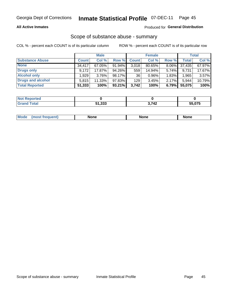### **All Active Inmates**

## Produced for General Distribution

# Scope of substance abuse - summary

COL % - percent each COUNT is of its particular column

|                        |                     | <b>Male</b> |           |              | <b>Female</b> |          |        | <b>Total</b> |
|------------------------|---------------------|-------------|-----------|--------------|---------------|----------|--------|--------------|
| <b>Substance Abuse</b> | <b>Count</b>        | Col %       | Row %     | <b>Count</b> | Col %         | Row %    | Total  | Col %        |
| <b>None</b>            | $34.41\overline{7}$ | 67.05%      | 91.94%    | 3,018        | 80.65%        | $8.06\%$ | 37,435 | 67.97%       |
| <b>Drugs only</b>      | 9.172               | 17.87%      | $94.26\%$ | 559          | 14.94%        | 5.74%    | 9,731  | 17.67%       |
| <b>Alcohol only</b>    | .929                | $3.76\%$    | $98.17\%$ | 36           | $0.96\%$      | 1.83%    | 1,965  | 3.57%        |
| Drugs and alcohol      | 5.815               | $11.33\%$   | 97.83%    | 129          | 3.45%         | 2.17%    | 5,944  | 10.79%       |
| <b>Total Reported</b>  | 51,333              | 100%        | $93.21\%$ | 3,742        | 100%          | 6.79%    | 55,075 | 100%         |

| <b>Not</b><br><b>Reported</b> |        |       |        |
|-------------------------------|--------|-------|--------|
| Total                         | 51,333 | 3,742 | 55.075 |

|  | Mode<br>auenu | None | None | None |
|--|---------------|------|------|------|
|--|---------------|------|------|------|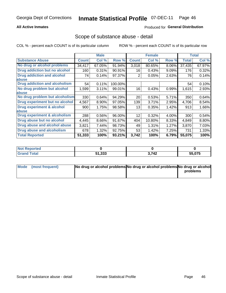## **All Active Inmates**

## **Produced for General Distribution**

## Scope of substance abuse - detail

COL % - percent each COUNT is of its particular column

|                                      |              | <b>Male</b> |         |              | <b>Female</b> |       |        | <b>Total</b> |
|--------------------------------------|--------------|-------------|---------|--------------|---------------|-------|--------|--------------|
| <b>Substance Abuse</b>               | <b>Count</b> | Col %       | Row %   | <b>Count</b> | Col %         | Row % | Total  | Col %        |
| No drug or alcohol problems          | 34,417       | 67.05%      | 91.94%  | 3,018        | 80.65%        | 8.06% | 37,435 | 67.97%       |
| Drug addiction but no alcohol        | 160          | 0.31%       | 90.91%  | 16           | 0.43%         | 9.09% | 176    | 0.32%        |
| <b>Drug addiction and alcohol</b>    | 74           | 0.14%       | 97.37%  | 2            | 0.05%         | 2.63% | 76     | 0.14%        |
| <b>labuse</b>                        |              |             |         |              |               |       |        |              |
| <b>Drug addiction and alcoholism</b> | 54           | 0.11%       | 100.00% |              |               |       | 54     | 0.10%        |
| No drug problem but alcohol          | 1,599        | 3.11%       | 99.01%  | 16           | 0.43%         | 0.99% | 1,615  | 2.93%        |
| <b>labuse</b>                        |              |             |         |              |               |       |        |              |
| No drug problem but alcoholism       | 330          | 0.64%       | 94.29%  | 20           | 0.53%         | 5.71% | 350    | 0.64%        |
| Drug experiment but no alcohol       | 4,567        | 8.90%       | 97.05%  | 139          | 3.71%         | 2.95% | 4,706  | 8.54%        |
| <b>Drug experiment &amp; alcohol</b> | 900          | 1.75%       | 98.58%  | 13           | 0.35%         | 1.42% | 913    | 1.66%        |
| abuse                                |              |             |         |              |               |       |        |              |
| Drug experiment & alcoholism         | 288          | 0.56%       | 96.00%  | 12           | 0.32%         | 4.00% | 300    | 0.54%        |
| Drug abuse but no alcohol            | 4,445        | 8.66%       | 91.67%  | 404          | 10.80%        | 8.33% | 4,849  | 8.80%        |
| Drug abuse and alcohol abuse         | 3,821        | 7.44%       | 98.73%  | 49           | 1.31%         | 1.27% | 3,870  | 7.03%        |
| <b>Drug abuse and alcoholism</b>     | 678          | 1.32%       | 92.75%  | 53           | 1.42%         | 7.25% | 731    | 1.33%        |
| <b>Total Reported</b>                | 51,333       | 100%        | 93.21%  | 3,742        | 100%          | 6.79% | 55,075 | 100%         |

| oorted<br>NOT |        |       |        |
|---------------|--------|-------|--------|
|               | 51,333 | 3,742 | 55,075 |

| Mode (most frequent) | No drug or alcohol problems No drug or alcohol problems No drug or alcohol |          |
|----------------------|----------------------------------------------------------------------------|----------|
|                      |                                                                            | problems |
|                      |                                                                            |          |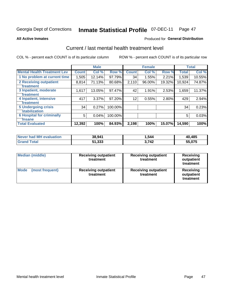#### **Inmate Statistical Profile 07-DEC-11** Page 47

**All Active Inmates** 

### Produced for General Distribution

# Current / last mental health treatment level

COL % - percent each COUNT is of its particular column

|                                    |              | <b>Male</b> |         |              | <b>Female</b> |        |              | <b>Total</b> |
|------------------------------------|--------------|-------------|---------|--------------|---------------|--------|--------------|--------------|
| <b>Mental Health Treatment Lev</b> | <b>Count</b> | Col %       | Row %   | <b>Count</b> | Col %         | Row %  | <b>Total</b> | Col %        |
| 1 No problem at current time       | 1,505        | 12.14%      | 97.79%  | 34           | 1.55%         | 2.21%  | 1,539        | 10.55%       |
| 2 Receiving outpatient             | 8,814        | 71.13%      | 80.68%  | 2,110        | 96.00%        | 19.32% | 10,924       | 74.87%       |
| <b>Treatment</b>                   |              |             |         |              |               |        |              |              |
| 3 Inpatient, moderate              | 1,617        | 13.05%      | 97.47%  | 42           | 1.91%         | 2.53%  | 1,659        | 11.37%       |
| <b>Treatment</b>                   |              |             |         |              |               |        |              |              |
| 4 Inpatient, intensive             | 417          | 3.37%       | 97.20%  | 12           | 0.55%         | 2.80%  | 429          | 2.94%        |
| <b>Treatment</b>                   |              |             |         |              |               |        |              |              |
| <b>5 Undergoing crisis</b>         | 34           | 0.27%       | 100.00% |              |               |        | 34           | 0.23%        |
| <b>stabilization</b>               |              |             |         |              |               |        |              |              |
| <b>6 Hospital for criminally</b>   | 5            | 0.04%       | 100.00% |              |               |        | 5            | 0.03%        |
| <b>Tinsane</b>                     |              |             |         |              |               |        |              |              |
| <b>Total Evaluated</b>             | 12,392       | 100%        | 84.93%  | 2,198        | 100%          | 15.07% | 14,590       | 100%         |

| Never had MH evaluation | 38,941 | 1,544 | 40,485 |
|-------------------------|--------|-------|--------|
| <b>Grand Total</b>      | 51,333 | 3.742 | 55,075 |

| <b>Median (middle)</b>         | <b>Receiving outpatient</b><br>treatment | <b>Receiving outpatient</b><br>treatment | <b>Receiving</b><br>outpatient<br>treatment |  |  |
|--------------------------------|------------------------------------------|------------------------------------------|---------------------------------------------|--|--|
| <b>Mode</b><br>(most frequent) | <b>Receiving outpatient</b><br>treatment | <b>Receiving outpatient</b><br>treatment | Receiving<br>outpatient<br>treatment        |  |  |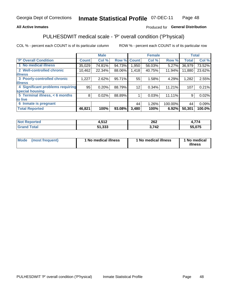## **All Active Inmates**

## Produced for General Distribution

# PULHESDWIT medical scale - 'P' overall condition ('P'hysical)

COL % - percent each COUNT is of its particular column

|                                  |              | <b>Male</b> |        |                   | <b>Female</b> |         |              | <b>Total</b> |
|----------------------------------|--------------|-------------|--------|-------------------|---------------|---------|--------------|--------------|
| <b>P' Overall Condition</b>      | <b>Count</b> | Col %       | Row %  | <b>Count</b>      | Col %         | Row %   | <b>Total</b> | Col %        |
| 1 No medical illness             | 35,029       | 74.81%      | 94.73% | 1.950             | 56.03%        | 5.27%   | 36,979       | 73.52%       |
| 2 Well-controlled chronic        | 10,462       | 22.34%      | 88.06% | 1,418             | 40.75%        | 11.94%  | 11,880       | 23.62%       |
| <b>lillness</b>                  |              |             |        |                   |               |         |              |              |
| 3 Poorly-controlled chronic      | 1,227        | 2.62%       | 95.71% | 55                | 1.58%         | 4.29%   | 1,282        | 2.55%        |
| <b>illness</b>                   |              |             |        |                   |               |         |              |              |
| 4 Significant problems requiring | 95           | 0.20%       | 88.79% | $12 \overline{ }$ | 0.34%         | 11.21%  | 107          | 0.21%        |
| special housing                  |              |             |        |                   |               |         |              |              |
| 5 Terminal illness, $< 6$ months | 8            | 0.02%       | 88.89% |                   | 0.03%         | 11.11%  | 9            | 0.02%        |
| to live                          |              |             |        |                   |               |         |              |              |
| 6 Inmate is pregnant             |              |             |        | 44                | 1.26%         | 100.00% | 44           | 0.09%        |
| <b>Total Reported</b>            | 46,821       | 100%        | 93.08% | 3,480             | 100%          | 6.92%   | 50,301       | 100.0%       |

| тео | <b>E49</b><br>7,J I 4 | つよつ<br>ZUZ | ---                        |
|-----|-----------------------|------------|----------------------------|
|     | $-1.222$<br>.         | フハつ<br>- - | EE ATE<br>$\sim$<br>.v / 5 |

| Mode<br>(most frequent) |  | <sup>1</sup> No medical illness | 1 No medical illness | 1 No medical<br>illness |
|-------------------------|--|---------------------------------|----------------------|-------------------------|
|-------------------------|--|---------------------------------|----------------------|-------------------------|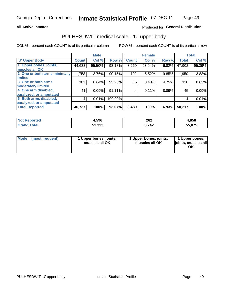### **All Active Inmates**

## Produced for General Distribution

# PULHESDWIT medical scale - 'U' upper body

COL % - percent each COUNT is of its particular column

|                              |              | <b>Male</b> |           |              | <b>Female</b> |       |              | <b>Total</b> |
|------------------------------|--------------|-------------|-----------|--------------|---------------|-------|--------------|--------------|
| <b>U' Upper Body</b>         | <b>Count</b> | Col %       | Row %     | <b>Count</b> | Col %         | Row % | <b>Total</b> | Col %        |
| 1 Upper bones, joints,       | 44,633       | 95.50%      | 93.18%    | 3,269        | 93.94%        | 6.82% | 47,902       | 95.39%       |
| muscles all OK               |              |             |           |              |               |       |              |              |
| 2 One or both arms minimally | 1,758        | 3.76%       | 90.15%    | 192          | 5.52%         | 9.85% | 1,950        | 3.88%        |
| limited                      |              |             |           |              |               |       |              |              |
| 3 One or both arms           | 301          | 0.64%       | 95.25%    | 15           | 0.43%         | 4.75% | 316          | 0.63%        |
| <b>moderately limited</b>    |              |             |           |              |               |       |              |              |
| 4 One arm disabled,          | 41           | 0.09%       | 91.11%    | 4            | 0.11%         | 8.89% | 45           | 0.09%        |
| paralyzed, or amputated      |              |             |           |              |               |       |              |              |
| 5 Both arms disabled,        | 4            | 0.01%       | 100.00%   |              |               |       | 4            | 0.01%        |
| paralyzed, or amputated      |              |             |           |              |               |       |              |              |
| <b>Total Reported</b>        | 46,737       | 100%        | $93.07\%$ | 3,480        | 100%          | 6.93% | 50,217       | 100%         |

| <b>Not Reported</b>          | 4,596  | 262  | 4,858  |
|------------------------------|--------|------|--------|
| <b>Total</b><br><b>Grand</b> | 51,333 | ,742 | 55,075 |

| Mode<br>(most frequent) | 1 Upper bones, joints,<br>muscles all OK | 1 Upper bones, joints,<br>muscles all OK | 1 Upper bones,<br>joints, muscles all<br>ΟK |
|-------------------------|------------------------------------------|------------------------------------------|---------------------------------------------|
|-------------------------|------------------------------------------|------------------------------------------|---------------------------------------------|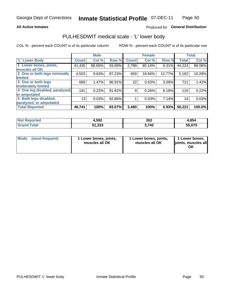### **All Active Inmates**

## Produced for General Distribution

## PULHESDWIT medical scale - 'L' lower body

COL % - percent each COUNT is of its particular column

|                                |              | <b>Male</b> |        |              | <b>Female</b> |        |                 | <b>Total</b> |
|--------------------------------|--------------|-------------|--------|--------------|---------------|--------|-----------------|--------------|
| 'L' Lower Body                 | <b>Count</b> | Col %       | Row %  | <b>Count</b> | Col %         | Row %  | <b>Total</b>    | Col %        |
| 1 Lower bones, joints,         | 41,435       | 88.65%      | 93.69% | 2,789        | 80.14%        | 6.31%  | 44,224          | 88.06%       |
| muscles all OK                 |              |             |        |              |               |        |                 |              |
| 2 One or both legs minimally   | 4,503        | 9.63%       | 87.23% | 659          | 18.94%        | 12.77% | 5,162           | 10.28%       |
| <b>limited</b>                 |              |             |        |              |               |        |                 |              |
| 3 One or both legs             | 689          | 1.47%       | 96.91% | 22           | 0.63%         | 3.09%  | 711             | 1.42%        |
| moderately limited             |              |             |        |              |               |        |                 |              |
| 4 One leg disabled, paralyzed, | 101          | 0.22%       | 91.82% | 9            | 0.26%         | 8.18%  | 110             | 0.22%        |
| or amputated                   |              |             |        |              |               |        |                 |              |
| 5 Both legs disabled,          | 13           | 0.03%       | 92.86% |              | 0.03%         | 7.14%  | 14 <sub>1</sub> | 0.03%        |
| paralyzed, or amputated        |              |             |        |              |               |        |                 |              |
| <b>Total Reported</b>          | 46,741       | 100%        | 93.07% | 3,480        | 100%          | 6.93%  | 50,221          | 100.0%       |

| <b>Not Reported</b>          | 4,592  | 262           | 4,854  |
|------------------------------|--------|---------------|--------|
| <b>Total</b><br><b>Grano</b> | 51,333 | 742<br>J.I TŁ | 55,075 |

| Mode | (most frequent) | 1 Lower bones, joints,<br>muscles all OK | 1 Lower bones, joints,<br>muscles all OK | 1 Lower bones,<br>joints, muscles all<br>ΟK |
|------|-----------------|------------------------------------------|------------------------------------------|---------------------------------------------|
|------|-----------------|------------------------------------------|------------------------------------------|---------------------------------------------|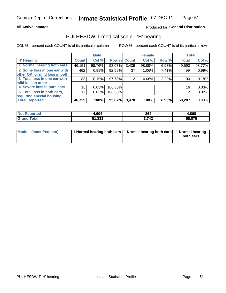### **All Active Inmates**

## Produced for General Distribution

## PULHESDWIT medical scale - 'H' hearing

COL % - percent each COUNT is of its particular column

|                                |              | <b>Male</b> |             |       | <b>Female</b> |       | <b>Total</b> |        |
|--------------------------------|--------------|-------------|-------------|-------|---------------|-------|--------------|--------|
| <b>H'</b> Hearing              | <b>Count</b> | Col %       | Row % Count |       | Col %         | Row % | <b>Total</b> | Col %  |
| 1 Normal hearing both ears     | 46,151       | 98.76%      | 93.07%      | 3,439 | 98.88%        | 6.93% | 49,590       | 98.77% |
| 2 Some loss in one ear with    | 462          | 0.99%       | 92.59%      | 37    | $1.06\%$      | 7.41% | 499          | 0.99%  |
| other OK, or mild loss in both |              |             |             |       |               |       |              |        |
| 3 Total loss in one ear with   | 88           | 0.19%       | 97.78%      | 2     | $0.06\%$      | 2.22% | 90           | 0.18%  |
| mild loss in other             |              |             |             |       |               |       |              |        |
| 4 Severe loss in both ears     | 16           | 0.03%       | 100.00%     |       |               |       | 16           | 0.03%  |
| 5 Total loss in both ears,     | 12           | 0.03%       | 100.00%     |       |               |       | 12           | 0.02%  |
| requiring special housing      |              |             |             |       |               |       |              |        |
| <b>Total Reported</b>          | 46,729       | 100%        | 93.07%      | 3,478 | 100%          | 6.93% | 50,207       | 100%   |

| morted and   | ,604   | 264<br>____ | .868   |
|--------------|--------|-------------|--------|
| <b>Total</b> | 51,333 | ,742        | 55,075 |

| Mode (most frequent) | 1 Normal hearing both ears 1 Normal hearing both ears 1 Normal hearing |           |
|----------------------|------------------------------------------------------------------------|-----------|
|                      |                                                                        | both ears |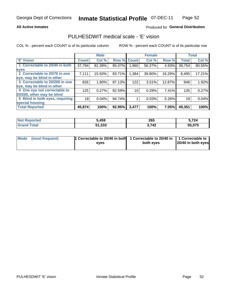### **All Active Inmates**

## Produced for General Distribution

## PULHESDWIT medical scale - 'E' vision

COL % - percent each COUNT is of its particular column

|                                 |              | <b>Male</b> |        |                 | <b>Female</b> |        |              | <b>Total</b> |
|---------------------------------|--------------|-------------|--------|-----------------|---------------|--------|--------------|--------------|
| <b>E' Vision</b>                | <b>Count</b> | Col %       | Row %  | <b>Count</b>    | Col %         | Row %  | <b>Total</b> | Col %        |
| 1 Correctable to 20/40 in both  | 37,794       | 82.39%      | 95.07% | .960            | 56.37%        | 4.93%  | 39,754       | 80.55%       |
| eyes                            |              |             |        |                 |               |        |              |              |
| 2 Correctable to 20/70 in one   | 7,111        | 15.50%      | 83.71% | 1,384           | 39.80%        | 16.29% | 8,495        | 17.21%       |
| eye, may be blind in other      |              |             |        |                 |               |        |              |              |
| 3 Correctable to 20/200 in one  | 826          | 1.80%       | 87.13% | 122             | 3.51%         | 12.87% | 948          | 1.92%        |
| eye, may be blind in other      |              |             |        |                 |               |        |              |              |
| 4 One eye not correctable to    | 125          | 0.27%       | 92.59% | 10 <sub>1</sub> | 0.29%         | 7.41%  | 135          | 0.27%        |
| 20/200, other may be blind      |              |             |        |                 |               |        |              |              |
| 5 Blind in both eyes, requiring | 18           | 0.04%       | 94.74% |                 | 0.03%         | 5.26%  | 19           | 0.04%        |
| special housing                 |              |             |        |                 |               |        |              |              |
| <b>Total Reported</b>           | 45,874       | 100%        | 92.95% | 3,477           | 100%          | 7.05%  | 49,351       | 100%         |

| <b>Not Reported</b> | ,459   | 265   | ;724   |
|---------------------|--------|-------|--------|
| <b>Total</b>        | 51,333 | 3,742 | 55.075 |

| Mode (most frequent) | 1 Correctable to 20/40 in both<br>eves | 1 Correctable to 20/40 in   1 Correctable to  <br>both eves | 20/40 in both eyes |
|----------------------|----------------------------------------|-------------------------------------------------------------|--------------------|
|                      |                                        |                                                             |                    |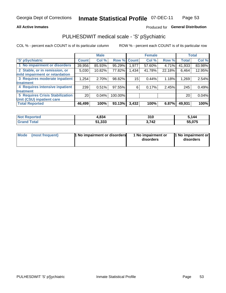### **All Active Inmates**

## Produced for General Distribution

# PULHESDWIT medical scale - 'S' pSychiatric

COL % - percent each COUNT is of its particular column

|                                        |                 | <b>Male</b> |         |              | <b>Female</b> |        |              | <b>Total</b> |
|----------------------------------------|-----------------|-------------|---------|--------------|---------------|--------|--------------|--------------|
| 'S' pSychiatric                        | <b>Count</b>    | Col %       | Row %   | <b>Count</b> | Col %         | Row %  | <b>Total</b> | Col %        |
| 1 No impairment or disorders           | 39,956          | 85.93%      | 95.29%  | 1,977        | 57.60%        | 4.71%  | 41,933       | 83.98%       |
| 2 Stable, or in remission, or          | 5,030           | 10.82%      | 77.82%  | 1,434        | 41.78%        | 22.18% | 6,464        | 12.95%       |
| mild impairment or retardation         |                 |             |         |              |               |        |              |              |
| 3 Requires moderate inpatient          | 1,254           | 2.70%       | 98.82%  | 15           | 0.44%         | 1.18%  | 1,269        | 2.54%        |
| treatment                              |                 |             |         |              |               |        |              |              |
| 4 Requires intensive inpatient         | 239             | 0.51%       | 97.55%  | 6            | 0.17%         | 2.45%  | 245          | 0.49%        |
| treatment                              |                 |             |         |              |               |        |              |              |
| <b>5 Requires Crisis Stabilization</b> | 20 <sub>1</sub> | 0.04%       | 100.00% |              |               |        | 20           | 0.04%        |
| Unit (CSU) inpatient care              |                 |             |         |              |               |        |              |              |
| <b>Total Reported</b>                  | 46,499          | 100%        | 93.13%  | 3,432        | 100%          | 6.87%  | 49,931       | 100%         |

| <b>Not Reported</b> | 4,834  | 310   | 5,144  |
|---------------------|--------|-------|--------|
| Total<br>⊦Gran      | 51,333 | 3,742 | 55,075 |

| Mode<br>1 No impairment or disorders<br>(most frequent) | 1 No impairment or<br>disorders | 1 No impairment or<br>disorders |
|---------------------------------------------------------|---------------------------------|---------------------------------|
|---------------------------------------------------------|---------------------------------|---------------------------------|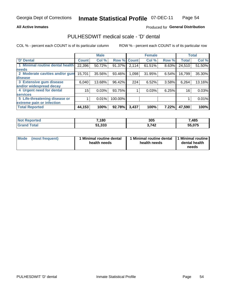### **All Active Inmates**

## Produced for General Distribution

## PULHESDWIT medical scale - 'D' dental

COL % - percent each COUNT is of its particular column

|                                 |              | <b>Male</b> |         |              | <b>Female</b> |       |              | <b>Total</b> |
|---------------------------------|--------------|-------------|---------|--------------|---------------|-------|--------------|--------------|
| <b>D'</b> Dental                | <b>Count</b> | Col %       | Row %   | <b>Count</b> | Col %         | Row % | <b>Total</b> | Col %        |
| 1 Minimal routine dental health | 22,396       | 50.72%      | 91.37%  | 2,114        | 61.51%        | 8.63% | 24,510       | 51.50%       |
| <b>needs</b>                    |              |             |         |              |               |       |              |              |
| 2 Moderate cavities and/or gum  | 15,701       | 35.56%      | 93.46%  | 1,098        | 31.95%        | 6.54% | 16,799       | 35.30%       |
| disease                         |              |             |         |              |               |       |              |              |
| 3 Extensive gum disease         | 6,040        | 13.68%      | 96.42%  | 224          | 6.52%         | 3.58% | 6,264        | 13.16%       |
| and/or widespread decay         |              |             |         |              |               |       |              |              |
| 4 Urgent need for dental        | 15           | 0.03%       | 93.75%  |              | 0.03%         | 6.25% | 16           | 0.03%        |
| <b>services</b>                 |              |             |         |              |               |       |              |              |
| 5 Life-threatening disease or   |              | 0.01%       | 100.00% |              |               |       |              | 0.01%        |
| extreme pain or infection       |              |             |         |              |               |       |              |              |
| <b>Total Reported</b>           | 44,153       | 100%        | 92.78%  | 3,437        | 100%          | 7.22% | 47,590       | 100%         |

| <b>Not Reported</b> | 7,180  | 305   | 7,485  |
|---------------------|--------|-------|--------|
| Total<br>'Grand     | 51,333 | 3,742 | 55,075 |

| Mode<br><b>Minimal routine dental</b><br>(most frequent)<br>health needs | 1 Minimal routine dental<br>health needs | 1 Minimal routine<br>dental health<br>needs |
|--------------------------------------------------------------------------|------------------------------------------|---------------------------------------------|
|--------------------------------------------------------------------------|------------------------------------------|---------------------------------------------|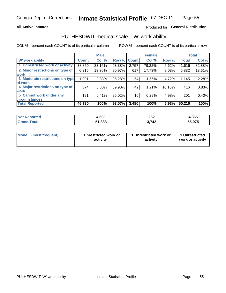### **All Active Inmates**

## Produced for General Distribution

## PULHESDWIT medical scale - 'W' work ability

COL % - percent each COUNT is of its particular column

|                                 |              | <b>Male</b> |        |                 | <b>Female</b> |        |              | <b>Total</b> |
|---------------------------------|--------------|-------------|--------|-----------------|---------------|--------|--------------|--------------|
| <b>W' work ability</b>          | <b>Count</b> | Col %       |        | Row % Count     | Col %         | Row %  | <b>Total</b> | Col %        |
| 1 Unrestricted work or activity | 38,859       | 83.16%      | 93.38% | 2,757           | 79.22%        | 6.62%  | 41,616       | 82.88%       |
| 2 Minor restrictions on type of | 6,215        | 13.30%      | 90.97% | 617             | 17.73%        | 9.03%  | 6,832        | 13.61%       |
| <b>work</b>                     |              |             |        |                 |               |        |              |              |
| 3 Moderate restrictions on type | 1,091        | 2.33%       | 95.28% | 54              | 1.55%         | 4.72%  | 1,145        | 2.28%        |
| lof work                        |              |             |        |                 |               |        |              |              |
| 4 Major restrictions on type of | 374          | 0.80%       | 89.90% | 42              | 1.21%         | 10.10% | 416          | 0.83%        |
| <b>work</b>                     |              |             |        |                 |               |        |              |              |
| 5 Cannot work under any         | 191          | 0.41%       | 95.02% | 10 <sub>1</sub> | 0.29%         | 4.98%  | 201          | 0.40%        |
| <b>circumstances</b>            |              |             |        |                 |               |        |              |              |
| <b>Total Reported</b>           | 46,730       | 100%        | 93.07% | 3,480           | 100%          | 6.93%  | 50,210       | 100%         |

| <b>Not Reported</b>   | 4,603  | 262   | 1,865  |
|-----------------------|--------|-------|--------|
| Total<br><b>Grand</b> | 51,333 | 3,742 | 55,075 |

| Mode            | 1 Unrestricted work or | 1 Unrestricted work or | 1 Unrestricted   |
|-----------------|------------------------|------------------------|------------------|
| (most frequent) | activity               | activity               | work or activity |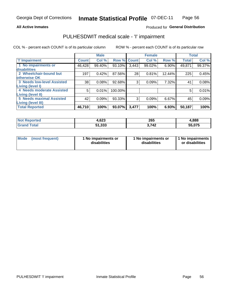### **All Active Inmates**

## Produced for General Distribution

# PULHESDWIT medical scale - 'I' impairment

COL % - percent each COUNT is of its particular column

|                                                             |              | <b>Male</b> |             |       | <b>Female</b> |        |              | <b>Total</b> |
|-------------------------------------------------------------|--------------|-------------|-------------|-------|---------------|--------|--------------|--------------|
| <b>T' Impairment</b>                                        | <b>Count</b> | Col %       | Row % Count |       | Col %         | Row %  | <b>Total</b> | Col %        |
| 1 No impairments or<br>disabilities                         | 46,428       | 99.40%      | 93.10%      | 3,443 | 99.02%        | 6.90%  | 49,871       | 99.37%       |
| 2 Wheelchair-bound but<br>otherwise OK                      | 197          | 0.42%       | 87.56%      | 28    | 0.81%         | 12.44% | 225          | 0.45%        |
| <b>3 Needs low-level Assisted</b>                           | 38           | 0.08%       | 92.68%      | 3     | 0.09%         | 7.32%  | 41           | 0.08%        |
| Living (level I)<br>4 Needs moderate Assisted               | 5            | 0.01%       | 100.00%     |       |               |        | 5            | 0.01%        |
| <b>Living (level II)</b><br><b>5 Needs maximal Assisted</b> |              |             |             |       |               |        |              |              |
| <b>Living (level III)</b>                                   | 42           | 0.09%       | 93.33%      | 3     | 0.09%         | 6.67%  | 45           | 0.09%        |
| <b>Total Reported</b>                                       | 46,710       | 100%        | 93.07%      | 3,477 | 100%          | 6.93%  | 50,187       | 100%         |

| <b>Not</b><br><b>Reported</b> | .623   | 265   | 4,888  |
|-------------------------------|--------|-------|--------|
| <b>otal</b>                   | 51,333 | - 742 | 55,075 |

| Mode | (most frequent) | 1 No impairments or<br>disabilities | 1 No impairments or<br>disabilities | 1 No impairments<br>or disabilities |
|------|-----------------|-------------------------------------|-------------------------------------|-------------------------------------|
|------|-----------------|-------------------------------------|-------------------------------------|-------------------------------------|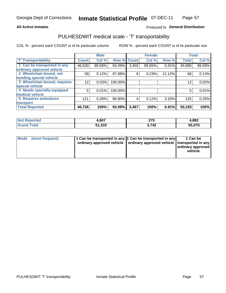### **All Active Inmates**

## Produced fo General Distribution

# PULHESDWIT medical scale - 'T' transportability

COL % - percent each COUNT is of its particular column

|                              |              | <b>Male</b> |         |              | <b>Female</b> |        |              | <b>Total</b> |
|------------------------------|--------------|-------------|---------|--------------|---------------|--------|--------------|--------------|
| <b>T' Transportability</b>   | <b>Count</b> | Col %       | Row %   | <b>Count</b> | Col %         | Row %  | <b>Total</b> | Col %        |
| 1 Can be transported in any  | 46,530       | 99.58%      | 93.09%  | 3,455        | 99.65%        | 6.91%  | 49,985       | 99.59%       |
| ordinary approved vehicle    |              |             |         |              |               |        |              |              |
| 2 Wheelchair-bound, not      | 58           | 0.12%       | 87.88%  | 8            | 0.23%         | 12.12% | 66           | 0.13%        |
| needing special vehicle      |              |             |         |              |               |        |              |              |
| 3 Wheelchair-bound, requires | 12           | 0.03%       | 100.00% |              |               |        | 12           | 0.02%        |
| special vehicle              |              |             |         |              |               |        |              |              |
| 4 Needs specially-equipped   | 5            | 0.01%       | 100.00% |              |               |        | 5            | 0.01%        |
| medical vehicle              |              |             |         |              |               |        |              |              |
| <b>5 Requires ambulance</b>  | 121          | 0.26%       | 96.80%  | 4            | 0.12%         | 3.20%  | 125          | 0.25%        |
| transport                    |              |             |         |              |               |        |              |              |
| <b>Total Reported</b>        | 46,726       | 100%        | 93.09%  | 3,467        | 100%          | 6.91%  | 50,193       | 100%         |

| orted | .,607  | クフド<br>41 V<br>$\sim$ | 4,882  |
|-------|--------|-----------------------|--------|
|       | 51,333 | ,742                  | 55.075 |

|  | Mode (most frequent) | 1 Can be transported in any 1 Can be transported in any<br>ordinary approved vehicle   ordinary approved vehicle   transported in any |  | 1 Can be<br>  ordinary approved  <br>vehicle |
|--|----------------------|---------------------------------------------------------------------------------------------------------------------------------------|--|----------------------------------------------|
|--|----------------------|---------------------------------------------------------------------------------------------------------------------------------------|--|----------------------------------------------|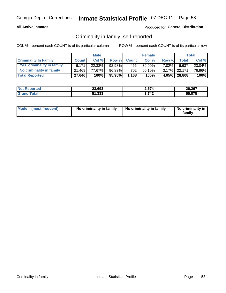## **All Active Inmates**

## Produced for General Distribution

## Criminality in family, self-reported

COL % - percent each COUNT is of its particular column

|                              | <b>Male</b>  |           | <b>Female</b> |              |        | Total    |              |        |
|------------------------------|--------------|-----------|---------------|--------------|--------|----------|--------------|--------|
| <b>Criminality In Family</b> | <b>Count</b> | Col %     | Row %         | <b>Count</b> | Col %  | Row %    | <b>Total</b> | Col %  |
| Yes, criminality in family   | 6.171        | $22.33\%$ | 92.98%        | 466          | 39.90% | $7.02\%$ | 6,637        | 23.04% |
| No criminality in family     | 21.469       | 77.67%    | 96.83%        | 702          | 60.10% |          | 3.17% 22.171 | 76.96% |
| <b>Total Reported</b>        | 27,640       | 100%      | 95.95%        | 1,168        | 100%   |          | 4.05% 28,808 | 100%   |

| <b>Not Reported</b>   | 23,693 | 2,574        | 26,267 |
|-----------------------|--------|--------------|--------|
| <b>Grand</b><br>™otal | 51,333 | -742<br>1 T. | 55.075 |

|  | Mode (most frequent) | No criminality in family | No criminality in family | No criminality in<br>family |
|--|----------------------|--------------------------|--------------------------|-----------------------------|
|--|----------------------|--------------------------|--------------------------|-----------------------------|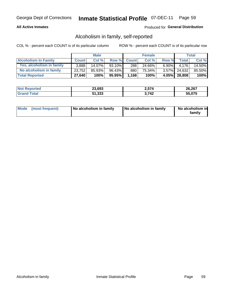## **All Active Inmates**

## Produced for General Distribution

## Alcoholism in family, self-reported

COL % - percent each COUNT is of its particular column

|                             | <b>Male</b>  |        | <b>Female</b> |              |        | Total    |              |        |
|-----------------------------|--------------|--------|---------------|--------------|--------|----------|--------------|--------|
| <b>Alcoholism In Family</b> | <b>Count</b> | Col %  | Row %         | <b>Count</b> | Col %  | Row %    | <b>Total</b> | Col %  |
| Yes, alcoholism in family   | 3.888        | 14.07% | 93.10%        | 288          | 24.66% | $6.90\%$ | 4.176        | 14.50% |
| No alcoholism in family     | 23,752       | 85.93% | 96.43%        | 880          | 75.34% |          | 3.57% 24,632 | 85.50% |
| <b>Total Reported</b>       | 27,640       | 100%   | 95.95%        | 1,168        | 100%   |          | 4.05% 28,808 | 100%   |

| <b>Not</b><br>Reported | 23,693 | 2,574      | 26,267 |
|------------------------|--------|------------|--------|
| 'ota                   | 51,333 | <b>742</b> | 55.075 |

|  | Mode (most frequent) | No alcoholism in family | No alcoholism in family | No alcoholism in<br>family |
|--|----------------------|-------------------------|-------------------------|----------------------------|
|--|----------------------|-------------------------|-------------------------|----------------------------|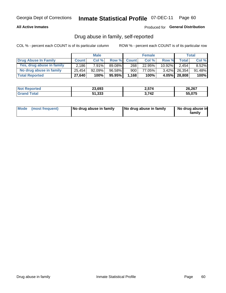## **All Active Inmates**

## Produced for General Distribution

## Drug abuse in family, self-reported

COL % - percent each COUNT is of its particular column

|                           | <b>Male</b>  |           | <b>Female</b> |              |        | <b>Total</b> |        |        |
|---------------------------|--------------|-----------|---------------|--------------|--------|--------------|--------|--------|
| Drug Abuse In Family      | <b>Count</b> | Col%      | Row %         | <b>Count</b> | Col%   | Row %        | Total  | Col %  |
| Yes, drug abuse in family | 2.186        | $7.91\%$  | 89.08%I       | 268          | 22.95% | $10.92\%$    | 2.454  | 8.52%  |
| No drug abuse in family   | 25,454       | $92.09\%$ | 96.58%        | 900          | 77.05% | $3.42\%$     | 26,354 | 91.48% |
| <b>Total Reported</b>     | 27,640       | 100%      | 95.95%        | 1,168        | 100%   | $4.05\%$     | 28,808 | 100%   |

| <b>Not Reported</b>   | 23,693 | 2,574        | 26,267 |
|-----------------------|--------|--------------|--------|
| <b>Grand</b><br>™otal | 51,333 | -742<br>1 T. | 55.075 |

|  | Mode (most frequent) | No drug abuse in family | No drug abuse in family | No drug abuse in<br>familv |
|--|----------------------|-------------------------|-------------------------|----------------------------|
|--|----------------------|-------------------------|-------------------------|----------------------------|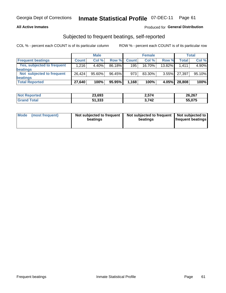## **All Active Inmates**

## **Produced for General Distribution**

## Subjected to frequent beatings, self-reported

COL % - percent each COUNT is of its particular column

|                            |              | <b>Male</b> |        |              | <b>Female</b> |          |              | Total  |
|----------------------------|--------------|-------------|--------|--------------|---------------|----------|--------------|--------|
| <b>Frequent beatings</b>   | <b>Count</b> | Col %       | Row %  | <b>Count</b> | Col %         | Row %    | <b>Total</b> | Col%   |
| Yes, subjected to frequent | 1,216        | 4.40%       | 86.18% | 195          | 16.70%        | 13.82%   | 1.411        | 4.90%  |
| beatings                   |              |             |        |              |               |          |              |        |
| Not subjected to frequent  | 26.424       | 95.60%      | 96.45% | 973          | 83.30%        | $3.55\%$ | 27.397       | 95.10% |
| beatings                   |              |             |        |              |               |          |              |        |
| <b>Total Reported</b>      | 27,640       | 100%        | 95.95% | 1,168        | 100%          | 4.05%    | 28,808       | 100%   |

| <b>Not</b><br>Reported | 23,693 | 2,574         | 26,267 |
|------------------------|--------|---------------|--------|
| <b>Total</b>           | 51,333 | 742<br>J.I TŁ | 55,075 |

| Mode (most frequent) | Not subjected to frequent<br>beatings | Not subjected to frequent<br>beatings | Not subjected to<br><b>frequent beatings</b> |
|----------------------|---------------------------------------|---------------------------------------|----------------------------------------------|
|                      |                                       |                                       |                                              |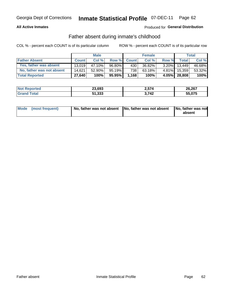## **All Active Inmates**

## **Produced for General Distribution**

## Father absent during inmate's childhood

COL % - percent each COUNT is of its particular column

|                           | <b>Male</b>  |        | <b>Female</b> |              |        | Total    |              |        |
|---------------------------|--------------|--------|---------------|--------------|--------|----------|--------------|--------|
| <b>Father Absent</b>      | <b>Count</b> | Col%   | Row %         | <b>Count</b> | Col %  | Row %    | <b>Total</b> | Col %  |
| Yes, father was absent    | 13.019       | 47.10% | 96.80%        | 430          | 36.82% | $3.20\%$ | 13.449       | 46.68% |
| No, father was not absent | 14.621       | 52.90% | $95.19\%$     | 738          | 63.18% | $4.81\%$ | 15,359       | 53.32% |
| <b>Total Reported</b>     | 27,640       | 100%   | 95.95%        | 1,168        | 100%   |          | 4.05% 28,808 | 100%   |

| <b>Not Reported</b> | 23,693 | 2,574 | 26,267 |
|---------------------|--------|-------|--------|
| <b>Srand Total</b>  | 51,333 | -742  | 55,075 |

|  | Mode (most frequent) | No, father was not absent No, father was not absent |  | No, father was not<br>absent |
|--|----------------------|-----------------------------------------------------|--|------------------------------|
|--|----------------------|-----------------------------------------------------|--|------------------------------|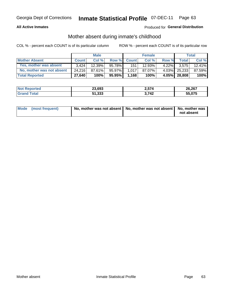## **All Active Inmates**

## Produced for General Distribution

## Mother absent during inmate's childhood

COL % - percent each COUNT is of its particular column

|                           |              | <b>Male</b> |        |              | <b>Female</b> |          |              | Total  |
|---------------------------|--------------|-------------|--------|--------------|---------------|----------|--------------|--------|
| <b>Mother Absent</b>      | <b>Count</b> | Col%        | Row %  | <b>Count</b> | Col %         | Row %    | <b>Total</b> | Col %  |
| Yes, mother was absent    | 3.424        | 12.39%      | 95.78% | 1511         | 12.93%        | $4.22\%$ | 3,575        | 12.41% |
| No, mother was not absent | 24.216       | 87.61%      | 95.97% | 1.017        | 87.07%        | $4.03\%$ | 25,233       | 87.59% |
| <b>Total Reported</b>     | 27,640       | 100%        | 95.95% | 1,168        | 100%          |          | 4.05% 28,808 | 100%   |

| <b>Not Reported</b>           | 23,693 | 2,574 | 26,267 |
|-------------------------------|--------|-------|--------|
| <i>i</i> otal<br><b>Grand</b> | 51,333 | 3742  | 55.075 |

| Mode (most frequent) | No, mother was not absent   No, mother was not absent   No, mother was | not absent |
|----------------------|------------------------------------------------------------------------|------------|
|                      |                                                                        |            |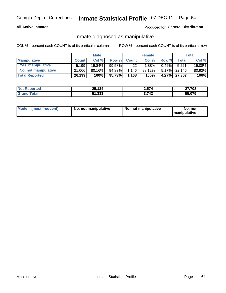## **All Active Inmates**

## Produced for General Distribution

## Inmate diagnosed as manipulative

COL % - percent each COUNT is of its particular column

|                       | <b>Male</b>  |        | <b>Female</b> |              |         | Total    |              |        |
|-----------------------|--------------|--------|---------------|--------------|---------|----------|--------------|--------|
| <b>Manipulative</b>   | <b>Count</b> | Col %  | Row %         | <b>Count</b> | Col%    | Row %    | <b>Total</b> | Col %  |
| Yes, manipulative     | 5,199        | 19.84% | $99.58\%$     | 22           | 1.88%   | 0.42%    | 5.221        | 19.08% |
| No, not manipulative  | 21.000       | 80.16% | 94.83%        | 1,146        | 98.12%」 | $5.17\%$ | 22.146       | 80.92% |
| <b>Total Reported</b> | 26,199       | 100%   | 95.73%        | 1,168        | 100%    | $4.27\%$ | 27.367       | 100%   |

| <b>Not Reported</b>      | 25,134 | 2,574       | 27,708 |
|--------------------------|--------|-------------|--------|
| <i>i</i> otal<br>l Grand | 51,333 | 3,742<br>v. | 55,075 |

| Mode | (most frequent) | No, not manipulative | No, not manipulative | No. not<br><b>I</b> manipulative |
|------|-----------------|----------------------|----------------------|----------------------------------|
|------|-----------------|----------------------|----------------------|----------------------------------|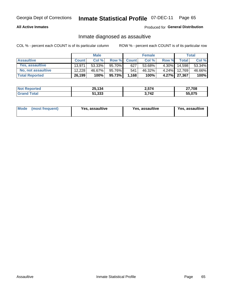## **All Active Inmates**

## Produced for General Distribution

## Inmate diagnosed as assaultive

COL % - percent each COUNT is of its particular column

|                       | <b>Male</b>  |           | <b>Female</b> |              |        | <b>Total</b> |              |        |
|-----------------------|--------------|-----------|---------------|--------------|--------|--------------|--------------|--------|
| <b>Assaultive</b>     | <b>Count</b> | Col%      | Row %         | <b>Count</b> | Col %  | Row %        | <b>Total</b> | Col %  |
| Yes, assaultive       | 13.971       | $53.33\%$ | 95.70%        | 627          | 53.68% | $4.30\%$     | 14,598       | 53.34% |
| No, not assaultive    | 12.228       | 46.67%    | 95.76%        | 541          | 46.32% | $4.24\%$     | 12.769       | 46.66% |
| <b>Total Reported</b> | 26,199       | 100%      | $95.73\%$     | 1,168        | 100%   |              | 4.27% 27,367 | 100%   |

| <b>Not</b><br>Reported | 25,134 | 2,574 | 27,708 |
|------------------------|--------|-------|--------|
| <i>i</i> otal          | 51,333 | 3742  | 55.075 |

| Mode (most frequent)<br>Yes, assaultive | Yes, assaultive | <b>Yes, assaultive</b> |
|-----------------------------------------|-----------------|------------------------|
|-----------------------------------------|-----------------|------------------------|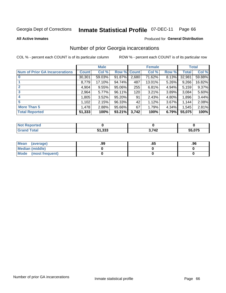#### **Inmate Statistical Profile 07-DEC-11** Page 66

**All Active Inmates** 

### Produced for General Distribution

## Number of prior Georgia incarcerations

COL % - percent each COUNT is of its particular column

|                                       |              | <b>Male</b> |             |       | <b>Female</b> |       |        | <b>Total</b> |
|---------------------------------------|--------------|-------------|-------------|-------|---------------|-------|--------|--------------|
| <b>Num of Prior GA Incarcerations</b> | <b>Count</b> | Col %       | Row % Count |       | Col %         | Row % | Total  | Col %        |
|                                       | 30,301       | 59.03%      | 91.87%      | 2,680 | 71.62%        | 8.13% | 32,981 | 59.88%       |
|                                       | 8,779        | 17.10%      | 94.74%      | 487   | 13.01%        | 5.26% | 9,266  | 16.82%       |
| $\overline{2}$                        | 4,904        | 9.55%       | 95.06%      | 255   | 6.81%         | 4.94% | 5,159  | 9.37%        |
| 3                                     | 2,964        | 5.77%       | 96.11%      | 120   | 3.21%         | 3.89% | 3,084  | 5.60%        |
| $\boldsymbol{4}$                      | 1,805        | 3.52%       | $95.20\%$   | 91    | 2.43%         | 4.80% | 1,896  | 3.44%        |
| 5                                     | 1,102        | 2.15%       | 96.33%      | 42'   | 1.12%         | 3.67% | 1.144  | 2.08%        |
| <b>More Than 5</b>                    | 1,478        | 2.88%       | 95.66%      | 67    | 1.79%         | 4.34% | 1,545  | 2.81%        |
| <b>Total Reported</b>                 | 51,333       | 100%        | 93.21%      | 3,742 | 100%          | 6.79% | 55,075 | 100%         |

| orted<br><b>NI</b> |                  |       |        |
|--------------------|------------------|-------|--------|
| <b>otal</b>        | E4 222<br>31.JJJ | 3,742 | 55,075 |

| Mean (average)       | .99 | .oa | .96 |
|----------------------|-----|-----|-----|
| Median (middle)      |     |     |     |
| Mode (most frequent) |     |     |     |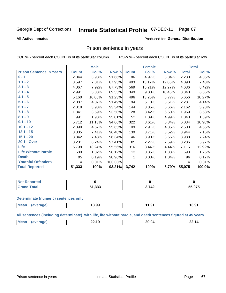#### Inmate Statistical Profile 07-DEC-11 Page 67

### **All Active Inmates**

### Produced for General Distribution

## Prison sentence in years

COL % - percent each COUNT is of its particular column

ROW % - percent each COUNT is of its particular row

|                                 |              | <b>Male</b> |         |              | <b>Female</b> |        |              | <b>Total</b> |
|---------------------------------|--------------|-------------|---------|--------------|---------------|--------|--------------|--------------|
| <b>Prison Sentence In Years</b> | <b>Count</b> | Col %       | Row %   | <b>Count</b> | Col %         | Row %  | <b>Total</b> | Col %        |
| $0 - 1$                         | 2,044        | 3.98%       | 91.66%  | 186          | 4.97%         | 8.34%  | 2,230        | 4.05%        |
| $1.1 - 2$                       | 3,597        | 7.01%       | 87.95%  | 493          | 13.17%        | 12.05% | 4,090        | 7.43%        |
| $2.1 - 3$                       | 4,067        | 7.92%       | 87.73%  | 569          | 15.21%        | 12.27% | 4,636        | 8.42%        |
| $3.1 - 4$                       | 2,991        | 5.83%       | 89.55%  | 349          | 9.33%         | 10.45% | 3,340        | 6.06%        |
| $4.1 - 5$                       | 5,160        | 10.05%      | 91.23%  | 496          | 13.25%        | 8.77%  | 5,656        | 10.27%       |
| $5.1 - 6$                       | 2,087        | 4.07%       | 91.49%  | 194          | 5.18%         | 8.51%  | 2,281        | 4.14%        |
| $6.1 - 7$                       | 2,018        | 3.93%       | 93.34%  | 144          | 3.85%         | 6.66%  | 2,162        | 3.93%        |
| $7.1 - 8$                       | 1,841        | 3.59%       | 93.50%  | 128          | 3.42%         | 6.50%  | 1,969        | 3.58%        |
| $8.1 - 9$                       | 991          | 1.93%       | 95.01%  | 52           | 1.39%         | 4.99%  | 1,043        | 1.89%        |
| $9.1 - 10$                      | 5,712        | 11.13%      | 94.66%  | 322          | 8.61%         | 5.34%  | 6,034        | 10.96%       |
| $10.1 - 12$                     | 2,399        | 4.67%       | 95.65%  | 109          | 2.91%         | 4.35%  | 2,508        | 4.55%        |
| $12.1 - 15$                     | 3,805        | 7.41%       | 96.48%  | 139          | 3.71%         | 3.52%  | 3,944        | 7.16%        |
| $15.1 - 20$                     | 3,842        | 7.48%       | 96.34%  | 146          | 3.90%         | 3.66%  | 3,988        | 7.24%        |
| 20.1 - Over                     | 3,201        | 6.24%       | 97.41%  | 85           | 2.27%         | 2.59%  | 3,286        | 5.97%        |
| <b>Life</b>                     | 6,799        | 13.24%      | 95.56%  | 316          | 8.44%         | 4.44%  | 7,115        | 12.92%       |
| <b>Life Without Parole</b>      | 680          | 1.32%       | 98.12%  | 13           | 0.35%         | 1.88%  | 693          | 1.26%        |
| <b>Death</b>                    | 95           | 0.19%       | 98.96%  |              | 0.03%         | 1.04%  | 96           | 0.17%        |
| <b>Youthful Offenders</b>       | 4            | 0.01%       | 100.00% |              |               |        | 4            | 0.01%        |
| <b>Total Reported</b>           | 51,333       | 100%        | 93.21%  | 3,742        | 100%          | 6.79%  | 55,075       | 100.0%       |

| <b>Not Reported</b> |                |                    |        |
|---------------------|----------------|--------------------|--------|
| <b>Fotal</b>        | 1. 222<br>,ააა | <b>742</b><br>- 74 | 55.075 |

### **Determinate (numeric) sentences only**

| <b>Mean</b> | ממו | 13.99 | ഹ<br>. .<br>J | 13.9 <sup>2</sup> |
|-------------|-----|-------|---------------|-------------------|
|             |     |       |               |                   |

All sentences (including determinate), with life, life without parole, and death sentences figured at 45 years

| M | $\overline{\phantom{a}}$<br>14<br>.<br>--- | . .<br>. .<br>,,,<br>அ∙<br>____ | - 12<br>. |
|---|--------------------------------------------|---------------------------------|-----------|
|   |                                            |                                 |           |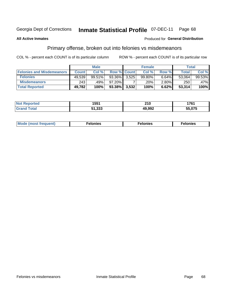#### **Inmate Statistical Profile 07-DEC-11** Page 68

### **All Active Inmates**

### Produced for General Distribution

## Primary offense, broken out into felonies vs misdemeanors

COL % - percent each COUNT is of its particular column

|                                  |              | <b>Male</b> |        |                    | <b>Female</b> |          | Total  |         |
|----------------------------------|--------------|-------------|--------|--------------------|---------------|----------|--------|---------|
| <b>Felonies and Misdemeanors</b> | <b>Count</b> | Col%        |        | <b>Row % Count</b> | Col%          | Row %    | Total, | Col %   |
| <b>Felonies</b>                  | 49,539       | 99.51%      | 93.36% | 3.525              | 99.80%        | 6.64%    | 53,064 | 99.53%  |
| <b>Misdemeanors</b>              | 243          | .49%        | 97.20% |                    | .20%          | $2.80\%$ | 250    | $.47\%$ |
| <b>Total Reported</b>            | 49,782       | 100%        | 93.38% | 3,532              | 100%          | 6.62%    | 53,314 | 100%    |

| <b>Not</b><br>rted  | 1551               | <b>240</b><br>– IV | 1761 |
|---------------------|--------------------|--------------------|------|
| Grar<br><b>otal</b> | :4 222<br>. ددد. ا | 49,992             | .075 |

| M      | .    | nes | onies |
|--------|------|-----|-------|
| nuenti | ____ | .   | .     |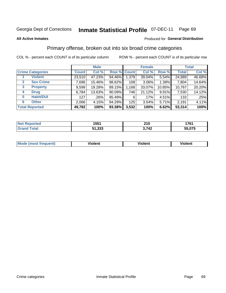### **All Active Inmates**

### Produced for **General Distribution**

## Primary offense, broken out into six broad crime categories

|                                 | <b>Male</b>  |        |           |             | <b>Female</b> | <b>Total</b> |              |        |
|---------------------------------|--------------|--------|-----------|-------------|---------------|--------------|--------------|--------|
| <b>Crime Categories</b>         | <b>Count</b> | Col %  |           | Row % Count | Col %         | Row %        | <b>Total</b> | Col %  |
| <b>Violent</b>                  | 23,510       | 47.23% | 94.46%    | 1,379       | 39.04%        | 5.54%        | 24,889       | 46.68% |
| <b>Sex Crime</b><br>2           | 7,696        | 15.46% | 98.62%    | 108         | $3.06\%$      | 1.38%        | 7,804        | 14.64% |
| $\mathbf{3}$<br><b>Property</b> | 9,599        | 19.28% | 89.15%    | 1,168       | 33.07%        | 10.85%       | 10,767       | 20.20% |
| <b>Drug</b><br>4                | 6,784        | 13.63% | $90.09\%$ | 746         | 21.12%        | 9.91%        | 7,530        | 14.12% |
| <b>Habit/DUI</b><br>5           | 127          | .26%   | 95.49%    | 6           | .17%          | 4.51%        | 133          | .25%   |
| <b>Other</b><br>6               | 2,066        | 4.15%  | 94.29%    | 125         | 3.54%         | 5.71%        | 2,191        | 4.11%  |
| <b>Total Reported</b>           | 49,782       | 100%   | 93.38%    | 3,532       | 100%          | 6.62%        | 53,314       | 100%   |

| тес | 1551                   | 240             | 4 7 C 4                    |
|-----|------------------------|-----------------|----------------------------|
| N   |                        | <u>ziv</u>      | 17 V I                     |
|     | - 222<br>E4<br>ວ ເ.ວວວ | ר איד<br>. . 74 | <b>075</b><br>--<br>.ט ו ט |

| <b>Mode (most frequent)</b> | .<br><b>iolent</b> | 'iolent | ---<br>Violent |
|-----------------------------|--------------------|---------|----------------|
|                             |                    |         |                |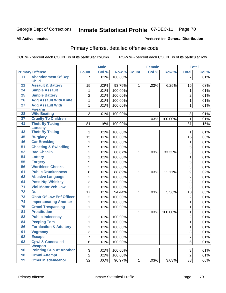**All Active Inmates**

### Produced for **General Distribution**

# Primary offense, detailed offense code

|                 |                                       | <b>Male</b>     |       |         | <b>Female</b> | <b>Total</b> |         |                |       |
|-----------------|---------------------------------------|-----------------|-------|---------|---------------|--------------|---------|----------------|-------|
|                 | <b>Primary Offense</b>                | <b>Count</b>    | Col % | Row %   | <b>Count</b>  | Col %        | Row %   | <b>Total</b>   | Col % |
| 11              | <b>Abandonment Of Dep</b>             | 7 <sup>1</sup>  | .01%  | 100.00% |               |              |         | $\overline{7}$ | .01%  |
|                 | <b>Child</b>                          |                 |       |         |               |              |         |                |       |
| 21              | <b>Assault &amp; Battery</b>          | 15              | .03%  | 93.75%  | 1             | .03%         | 6.25%   | 16             | .03%  |
| 24              | <b>Simple Assault</b>                 | 1               | .01%  | 100.00% |               |              |         | 1              | .01%  |
| 25              | <b>Simple Battery</b>                 | $\overline{2}$  | .01%  | 100.00% |               |              |         | $\overline{2}$ | .01%  |
| 26              | <b>Agg Assault With Knife</b>         | $\mathbf{1}$    | .01%  | 100.00% |               |              |         | 1              | .01%  |
| $\overline{27}$ | <b>Agg Assault With</b>               | $\mathbf{1}$    | .01%  | 100.00% |               |              |         | $\mathbf{1}$   | .01%  |
| 28              | <b>Firearm</b><br><b>Wife Beating</b> | 3               | .01%  | 100.00% |               |              |         | 3              | .01%  |
| 37              | <b>Cruelty To Children</b>            |                 |       |         | 1             | .03%         | 100.00% | $\mathbf{1}$   | .01%  |
| 41              | <b>Theft By Taking -</b>              | 81              | .16%  | 100.00% |               |              |         | 81             | .15%  |
|                 | <b>Larceny</b>                        |                 |       |         |               |              |         |                |       |
| 43              | <b>Theft By Taking</b>                | 1               | .01%  | 100.00% |               |              |         | 1              | .01%  |
| 45              | <b>Burglary</b>                       | $\overline{15}$ | .03%  | 100.00% |               |              |         | 15             | .03%  |
| 46              | <b>Car Breaking</b>                   | 1               | .01%  | 100.00% |               |              |         | 1              | .01%  |
| 51              | <b>Cheating &amp; Swindling</b>       | $\overline{5}$  | .01%  | 100.00% |               |              |         | 5              | .01%  |
| 52              | <b>Bad Checks</b>                     | $\overline{2}$  | .01%  | 66.67%  | 1             | .03%         | 33.33%  | 3              | .01%  |
| 54              | Lottery                               | $\mathbf{1}$    | .01%  | 100.00% |               |              |         | 1              | .01%  |
| 55              | <b>Forgery</b>                        | 5               | .01%  | 100.00% |               |              |         | 5              | .01%  |
| 56              | <b>Worthless Checks</b>               | 3               | .01%  | 100.00% |               |              |         | 3              | .01%  |
| 61              | <b>Public Drunkenness</b>             | 8               | .02%  | 88.89%  | 1             | .03%         | 11.11%  | 9              | .02%  |
| 63              | <b>Abusive Language</b>               | $\overline{2}$  | .01%  | 100.00% |               |              |         | $\overline{2}$ | .01%  |
| 64              | <b>Poss Ntp Whiskey</b>               | $\overline{3}$  | .01%  | 100.00% |               |              |         | $\overline{3}$ | .01%  |
| $\overline{71}$ | <b>Viol Motor Veh Law</b>             | 3               | .01%  | 100.00% |               |              |         | 3              | .01%  |
| 72              | Dui                                   | $\overline{17}$ | .03%  | 94.44%  | 1             | .03%         | 5.56%   | 18             | .03%  |
| 73              | <b>Obstr Of Law Enf Officer</b>       | $\overline{2}$  | .01%  | 100.00% |               |              |         | $\overline{2}$ | .01%  |
| 74              | <b>Impersonating Another</b>          | 1               | .01%  | 100.00% |               |              |         | 1              | .01%  |
| 75              | <b>Crmnl Trespassing</b>              | 1               | .01%  | 100.00% |               |              |         | $\mathbf{1}$   | .01%  |
| 81              | <b>Prostitution</b>                   |                 |       |         | 1             | .03%         | 100.00% | 1              | .01%  |
| 83              | <b>Public Indecency</b>               | $\overline{2}$  | .01%  | 100.00% |               |              |         | $\overline{2}$ | .01%  |
| 84              | <b>Peeping Tom</b>                    | $\mathbf{1}$    | .01%  | 100.00% |               |              |         | $\mathbf{1}$   | .01%  |
| 86              | <b>Fornication &amp; Adultery</b>     | 1               | .01%  | 100.00% |               |              |         | 1              | .01%  |
| 91              | <b>Vagrancy</b>                       | $\frac{3}{2}$   | .01%  | 100.00% |               |              |         | 3              | .01%  |
| 92              | <b>Escape</b>                         | $\overline{7}$  | .01%  | 100.00% |               |              |         | $\overline{7}$ | .01%  |
| 93              | <b>Cpwl &amp; Concealed</b>           | 6 <sup>1</sup>  | .01%  | 100.00% |               |              |         | 6              | .01%  |
|                 | Weapon                                |                 |       |         |               |              |         |                |       |
| 96              | <b>Pointing Gun At Another</b>        | 3 <sup>1</sup>  | .01%  | 100.00% |               |              |         | 3              | .01%  |
| 98              | <b>Crmnl Attempt</b>                  | $\overline{2}$  | .01%  | 100.00% |               |              |         | $\overline{2}$ | .01%  |
| 99              | <b>Other Misdemeanor</b>              | 32              | .06%  | 96.97%  | $\mathbf{1}$  | .03%         | 3.03%   | 33             | .06%  |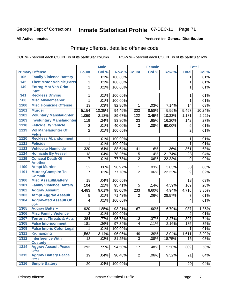Produced for **General Distribution**

### **All Active Inmates**

# Primary offense, detailed offense code

|      |                                             | <b>Male</b>             |        | <b>Female</b> |                         |       | <b>Total</b> |                |        |
|------|---------------------------------------------|-------------------------|--------|---------------|-------------------------|-------|--------------|----------------|--------|
|      | <b>Primary Offense</b>                      | <b>Count</b>            | Col %  | Row %         | <b>Count</b>            | Col % | Row %        | <b>Total</b>   | Col %  |
| 105  | <b>Family Violence Battery</b>              | 1 <sup>1</sup>          | .01%   | 100.00%       |                         |       |              | 1              | .01%   |
| 145  | <b>Theft Motor Vehicle, Parts</b>           | $\mathbf{1}$            | .01%   | 100.00%       |                         |       |              | $\mathbf{1}$   | .01%   |
| 149  | <b>Entrng Mot Veh Crim</b>                  | $\mathbf{1}$            | .01%   | 100.00%       |                         |       |              | $\mathbf{1}$   | .01%   |
|      | Intnt                                       |                         |        |               |                         |       |              |                |        |
| 341  | <b>Reckless Driving</b>                     | 1                       | .01%   | 100.00%       |                         |       |              | 1              | .01%   |
| 500  | <b>Misc Misdemeanor</b>                     | $\mathbf{1}$            | .01%   | 100.00%       |                         |       |              | 1              | .01%   |
| 1100 | <b>Misc Homicide Offense</b>                | 13                      | .03%   | 92.86%        | 1                       | .03%  | 7.14%        | 14             | .03%   |
| 1101 | <b>Murder</b>                               | 5,154                   | 10.35% | 94.45%        | 303                     | 8.58% | 5.55%        | 5,457          | 10.24% |
| 1102 | <b>Voluntary Manslaughter</b>               | 1,059                   | 2.13%  | 89.67%        | 122                     | 3.45% | 10.33%       | 1,181          | 2.22%  |
| 1103 | <b>Involuntary Manslaughter</b>             | 119                     | .24%   | 83.80%        | 23                      | .65%  | 16.20%       | 142            | .27%   |
| 1118 | <b>Feticide By Vehicle</b>                  | $\overline{c}$          | .01%   | 40.00%        | 3                       | .08%  | 60.00%       | 5              | .01%   |
| 1119 | <b>Vol Manslaughter Of</b><br><b>Fetus</b>  | $\overline{2}$          | .01%   | 100.00%       |                         |       |              | $\overline{2}$ | .01%   |
| 1120 | <b>Reckless Abandonment</b>                 | 1                       | .01%   | 100.00%       |                         |       |              | 1              | .01%   |
| 1121 | <b>Feticide</b>                             | $\mathbf{1}$            | .01%   | 100.00%       |                         |       |              | $\mathbf{1}$   | .01%   |
| 1123 | <b>Vehicular Homicide</b>                   | 320                     | .64%   | 88.64%        | 41                      | 1.16% | 11.36%       | 361            | .68%   |
| 1124 | <b>Homicide By Vessel</b>                   | 18                      | .04%   | 78.26%        | 5                       | .14%  | 21.74%       | 23             | .04%   |
| 1125 | <b>Conceal Death Of</b><br><b>Another</b>   | $\overline{7}$          | .01%   | 77.78%        | $\overline{2}$          | .06%  | 22.22%       | 9              | .02%   |
| 1190 | <b>Atmpt Murder</b>                         | 32                      | .06%   | 96.97%        | $\mathbf 1$             | .03%  | 3.03%        | 33             | .06%   |
| 1191 | <b>Murder, Conspire To</b><br><b>Commit</b> | $\overline{7}$          | .01%   | 77.78%        | $\overline{2}$          | .06%  | 22.22%       | 9              | .02%   |
| 1300 | <b>Misc Assault/Battery</b>                 | 18                      | .04%   | 100.00%       |                         |       |              | 18             | .03%   |
| 1301 | <b>Family Violence Battery</b>              | 104                     | .21%   | 95.41%        | 5                       | .14%  | 4.59%        | 109            | .20%   |
| 1302 | <b>Aggrav Assault</b>                       | 4,483                   | 9.01%  | 95.06%        | 233                     | 6.60% | 4.94%        | 4,716          | 8.85%  |
| 1303 | <b>Atmpt Aggrav Assault</b>                 | 5                       | .01%   | 71.43%        | 2                       | .06%  | 28.57%       | 7              | .01%   |
| 1304 | <b>Aggravated Assault On</b><br>$65+$       | $\overline{\mathbf{4}}$ | .01%   | 100.00%       |                         |       |              | 4              | .01%   |
| 1305 | <b>Aggrav Battery</b>                       | 920                     | 1.85%  | 93.21%        | 67                      | 1.90% | 6.79%        | 987            | 1.85%  |
| 1306 | <b>Misc Family Violence</b>                 | $\overline{2}$          | .01%   | 100.00%       |                         |       |              | $\overline{2}$ | .01%   |
| 1307 | <b>Terrorist Threats &amp; Acts</b>         | 384                     | .77%   | 96.73%        | 13                      | .37%  | 3.27%        | 397            | .74%   |
| 1308 | <b>False Imprisonment</b>                   | 181                     | .36%   | 97.84%        | $\overline{\mathbf{4}}$ | .11%  | 2.16%        | 185            | .35%   |
| 1309 | <b>False Impris Color Legal</b>             | 1                       | .01%   | 100.00%       |                         |       |              | 1              | .01%   |
| 1311 | <b>Kidnapping</b>                           | 1,562                   | 3.14%  | 96.96%        | 49                      | 1.39% | 3.04%        | 1,611          | 3.02%  |
| 1312 | <b>Interference With</b>                    | 13                      | .03%   | 81.25%        | 3                       | .08%  | 18.75%       | 16             | .03%   |
|      | <b>Custody</b>                              |                         |        |               |                         |       |              |                |        |
| 1314 | <b>Aggrav Assault Peace</b><br><b>Ofcr</b>  | 292                     | .59%   | 94.50%        | 17                      | .48%  | 5.50%        | 309            | .58%   |
| 1315 | <b>Aggrav Battery Peace</b><br><b>Ofcr</b>  | 19                      | .04%   | 90.48%        | $\overline{2}$          | .06%  | 9.52%        | 21             | .04%   |
| 1316 | <b>Simple Battery</b>                       | 20                      | .04%   | 100.00%       |                         |       |              | 20             | .04%   |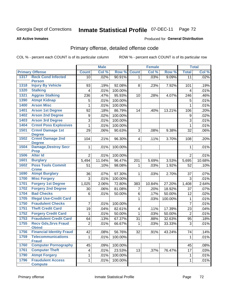Produced for **General Distribution**

### **All Active Inmates**

# Primary offense, detailed offense code

|      |                                             | <b>Male</b>             |        | <b>Female</b> |                |        | <b>Total</b> |                         |        |
|------|---------------------------------------------|-------------------------|--------|---------------|----------------|--------|--------------|-------------------------|--------|
|      | <b>Primary Offense</b>                      | <b>Count</b>            | Col %  | Row %         | <b>Count</b>   | Col %  | Row %        | <b>Total</b>            | Col %  |
| 1317 | <b>Reck Cond Infected</b>                   | 10 <sup>1</sup>         | .02%   | 90.91%        | $\mathbf{1}$   | .03%   | 9.09%        | $\overline{11}$         | .02%   |
|      | <b>Person</b>                               |                         |        |               |                |        |              |                         |        |
| 1318 | <b>Injury By Vehicle</b>                    | 93                      | .19%   | 92.08%        | 8              | .23%   | 7.92%        | 101                     | .19%   |
| 1320 | <b>Stalking</b>                             | 4                       | .01%   | 100.00%       |                |        |              | $\overline{\mathbf{4}}$ | .01%   |
| 1321 | <b>Aggrav Stalking</b>                      | 236                     | .47%   | 95.93%        | 10             | .28%   | 4.07%        | 246                     | .46%   |
| 1390 | <b>Atmpt Kidnap</b>                         | 5                       | .01%   | 100.00%       |                |        |              | 5                       | .01%   |
| 1400 | <b>Arson Misc</b>                           | 1                       | .01%   | 100.00%       |                |        |              | 1                       | .01%   |
| 1401 | <b>Arson 1st Degree</b>                     | 92                      | .18%   | 86.79%        | 14             | .40%   | 13.21%       | 106                     | .20%   |
| 1402 | <b>Arson 2nd Degree</b>                     | 9                       | .02%   | 100.00%       |                |        |              | 9                       | .02%   |
| 1403 | <b>Arson 3rd Degree</b>                     | 3                       | .01%   | 100.00%       |                |        |              | 3                       | .01%   |
| 1404 | <b>Crmnl Poss Explosives</b>                | 1                       | .01%   | 100.00%       |                |        |              | 1                       | .01%   |
| 1501 | <b>Crmnl Damage 1st</b><br><b>Degree</b>    | 29                      | .06%   | 90.63%        | 3              | .08%   | 9.38%        | 32                      | .06%   |
| 1502 | <b>Crmnl Damage 2nd</b><br><b>Degree</b>    | 104                     | .21%   | 96.30%        | $\overline{4}$ | .11%   | 3.70%        | 108                     | .20%   |
| 1504 | <b>Damage, Destroy Secr</b><br><b>Prop</b>  | $\mathbf{1}$            | .01%   | 100.00%       |                |        |              | 1                       | .01%   |
| 1506 | <b>Alter Id</b>                             | $\overline{2}$          | .01%   | 100.00%       |                |        |              | $\overline{2}$          | .01%   |
| 1601 | <b>Burglary</b>                             | 5,494                   | 11.04% | 96.47%        | 201            | 5.69%  | 3.53%        | 5,695                   | 10.68% |
| 1602 | <b>Poss Tools Commit</b>                    | 51                      | .10%   | 98.08%        | $\mathbf{1}$   | .03%   | 1.92%        | 52                      | .10%   |
|      | <b>Crime</b>                                |                         |        |               |                |        |              |                         |        |
| 1690 | <b>Atmpt Burglary</b>                       | 36                      | .07%   | 97.30%        | $\mathbf{1}$   | .03%   | 2.70%        | 37                      | .07%   |
| 1700 | <b>Misc Forgery</b>                         | 3                       | .01%   | 100.00%       |                |        |              | 3                       | .01%   |
| 1701 | <b>Forgery 1st Degree</b>                   | 1,025                   | 2.06%  | 72.80%        | 383            | 10.84% | 27.20%       | 1,408                   | 2.64%  |
| 1702 | <b>Forgery 2nd Degree</b>                   | 30                      | .06%   | 81.08%        | $\overline{7}$ | .20%   | 18.92%       | 37                      | .07%   |
| 1704 | <b>Bad Checks</b>                           | 6                       | .01%   | 50.00%        | 6              | .17%   | 50.00%       | 12                      | .02%   |
| 1705 | <b>Illegal Use-Credit Card</b>              |                         |        |               | $\mathbf{1}$   | .03%   | 100.00%      | $\mathbf{1}$            | .01%   |
| 1750 | <b>Fraudulent Checks</b>                    | $\overline{7}$          | .01%   | 100.00%       |                |        |              | $\overline{7}$          | .01%   |
| 1751 | <b>Theft Credit Card</b>                    | 19                      | .04%   | 82.61%        | $\overline{4}$ | .11%   | 17.39%       | 23                      | .04%   |
| 1752 | <b>Forgery Credit Card</b>                  | 1                       | .01%   | 50.00%        | 1              | .03%   | 50.00%       | $\overline{2}$          | .01%   |
| 1753 | <b>Fraudulent Credit Card</b>               | 64                      | .13%   | 67.37%        | 31             | .88%   | 32.63%       | 95                      | .18%   |
| 1755 | <b>Recv Gds, Srvs Fraud</b><br><b>Obtnd</b> | $\overline{2}$          | .01%   | 66.67%        | $\mathbf{1}$   | .03%   | 33.33%       | 3                       | .01%   |
| 1756 | <b>Financial Identity Fraud</b>             | 42                      | .08%   | 56.76%        | 32             | .91%   | 43.24%       | 74                      | .14%   |
| 1759 | <b>Telecommunications</b><br><b>Fraud</b>   | $\mathbf{1}$            | .01%   | 100.00%       |                |        |              | $\mathbf 1$             | .01%   |
| 1760 | <b>Computer Pornography</b>                 | 45                      | .09%   | 100.00%       |                |        |              | 45                      | .08%   |
| 1761 | <b>Computer Theft</b>                       | $\overline{\mathbf{4}}$ | .01%   | 23.53%        | 13             | .37%   | 76.47%       | 17                      | .03%   |
| 1790 | <b>Atmpt Forgery</b>                        | 1                       | .01%   | 100.00%       |                |        |              | 1                       | .01%   |
| 1796 | <b>Fraudulent Access</b>                    | $\mathbf 1$             | .01%   | 100.00%       |                |        |              | 1                       | .01%   |
|      | <b>Compute</b>                              |                         |        |               |                |        |              |                         |        |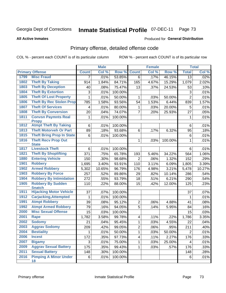#### **All Active Inmates**

### Produced for **General Distribution**

# Primary offense, detailed offense code

|      |                                            | <b>Male</b>  |        | <b>Female</b> |                         |       | <b>Total</b> |                           |        |
|------|--------------------------------------------|--------------|--------|---------------|-------------------------|-------|--------------|---------------------------|--------|
|      | <b>Primary Offense</b>                     | <b>Count</b> | Col %  | Row %         | <b>Count</b>            | Col % | Row %        | <b>Total</b>              | Col %  |
| 1799 | <b>Misc Fraud</b>                          | 7            | .01%   | 53.85%        | $\overline{6}$          | .17%  | 46.15%       | 13                        | .02%   |
| 1802 | <b>Theft By Taking</b>                     | 914          | 1.84%  | 84.71%        | 165                     | 4.67% | 15.29%       | 1,079                     | 2.02%  |
| 1803 | <b>Theft By Deception</b>                  | 40           | .08%   | 75.47%        | 13                      | .37%  | 24.53%       | 53                        | .10%   |
| 1804 | <b>Theft By Extortion</b>                  | 3            | .01%   | 100.00%       |                         |       |              | $\ensuremath{\mathsf{3}}$ | .01%   |
| 1805 | <b>Theft Of Lost Property</b>              | 1            | .01%   | 50.00%        | 1                       | .03%  | 50.00%       | $\overline{2}$            | .01%   |
| 1806 | <b>Theft By Rec Stolen Prop</b>            | 785          | 1.58%  | 93.56%        | 54                      | 1.53% | 6.44%        | 839                       | 1.57%  |
| 1807 | <b>Theft Of Services</b>                   | 4            | .01%   | 80.00%        | 1                       | .03%  | 20.00%       | 5                         | .01%   |
| 1808 | <b>Theft By Conversion</b>                 | 20           | .04%   | 74.07%        | $\overline{7}$          | .20%  | 25.93%       | 27                        | .05%   |
| 1811 | <b>Convsn Paymnts Real</b><br><b>Propy</b> | 1            | .01%   | 100.00%       |                         |       |              | 1                         | .01%   |
| 1812 | <b>Atmpt Theft By Taking</b>               | 6            | .01%   | 100.00%       |                         |       |              | 6                         | .01%   |
| 1813 | <b>Theft Motorveh Or Part</b>              | 89           | .18%   | 93.68%        | 6                       | .17%  | 6.32%        | 95                        | .18%   |
| 1815 | <b>Theft Bring Prop In State</b>           | 6            | .01%   | 100.00%       |                         |       |              | 6                         | .01%   |
| 1816 | <b>Theft Recv Prop Out</b><br><b>State</b> |              |        |               | $\mathbf 1$             | .03%  | 100.00%      | 1                         | .01%   |
| 1817 | <b>Livestock Theft</b>                     | 6            | .01%   | 100.00%       |                         |       |              | 6                         | .01%   |
| 1821 | <b>Theft By Shoplifting</b>                | 371          | .75%   | 65.78%        | 193                     | 5.46% | 34.22%       | 564                       | 1.06%  |
| 1880 | <b>Entering Vehicle</b>                    | 150          | .30%   | 98.68%        | $\overline{2}$          | .06%  | 1.32%        | 152                       | .29%   |
| 1901 | <b>Robbery</b>                             | 1,695        | 3.40%  | 93.91%        | 110                     | 3.11% | 6.09%        | 1,805                     | 3.39%  |
| 1902 | <b>Armed Robbery</b>                       | 5,302        | 10.65% | 96.79%        | 176                     | 4.98% | 3.21%        | 5,478                     | 10.27% |
| 1903 | <b>Robbery By Force</b>                    | 257          | .52%   | 89.86%        | 29                      | .82%  | 10.14%       | 286                       | .54%   |
| 1904 | <b>Robbery By Intimidation</b>             | 272          | .55%   | 93.79%        | 18                      | .51%  | 6.21%        | 290                       | .54%   |
| 1905 | <b>Robbery By Sudden</b><br><b>Snatch</b>  | 110          | .22%   | 88.00%        | 15                      | .42%  | 12.00%       | 125                       | .23%   |
| 1911 | <b>Hijacking Motor Vehicle</b>             | 37           | .07%   | 100.00%       |                         |       |              | 37                        | .07%   |
| 1912 | <b>Carjacking, Attempted</b>               | 1            | .01%   | 100.00%       |                         |       |              | 1                         | .01%   |
| 1991 | <b>Atmpt Robbery</b>                       | 39           | .08%   | 95.12%        | $\overline{2}$          | .06%  | 4.88%        | 41                        | .08%   |
| 1992 | <b>Atmpt Armed Robbery</b>                 | 79           | .16%   | 94.05%        | $\overline{5}$          | .14%  | 5.95%        | 84                        | .16%   |
| 2000 | <b>Misc Sexual Offense</b>                 | 15           | .03%   | 100.00%       |                         |       |              | 15                        | .03%   |
| 2001 | <b>Rape</b>                                | 1,782        | 3.58%  | 99.78%        | 4                       | .11%  | .22%         | 1,786                     | 3.35%  |
| 2002 | <b>Sodomy</b>                              | 21           | .04%   | 95.45%        | 1                       | .03%  | 4.55%        | 22                        | .04%   |
| 2003 | <b>Aggrav Sodomy</b>                       | 209          | .42%   | 99.05%        | $\overline{2}$          | .06%  | .95%         | 211                       | .40%   |
| 2004 | <b>Bestiality</b>                          | $\mathbf 1$  | .01%   | 50.00%        | $\mathbf{1}$            | .03%  | 50.00%       | $\overline{2}$            | .01%   |
| 2006 | <b>Incest</b>                              | 172          | .35%   | 97.73%        | $\overline{\mathbf{4}}$ | .11%  | 2.27%        | 176                       | .33%   |
| 2007 | <b>Bigamy</b>                              | 3            | .01%   | 75.00%        | 1                       | .03%  | 25.00%       | 4                         | .01%   |
| 2009 | <b>Aggrav Sexual Battery</b>               | 175          | .35%   | 99.43%        | 1                       | .03%  | .57%         | 176                       | .33%   |
| 2011 | <b>Sexual Battery</b>                      | 148          | .30%   | 100.00%       |                         |       |              | 148                       | .28%   |
| 2016 | <b>Pimping A Minor Under</b><br>18         | 6            | .01%   | 100.00%       |                         |       |              | 6                         | .01%   |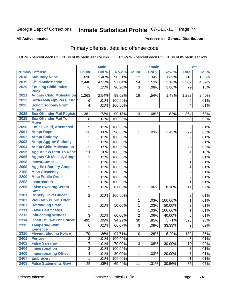Produced for **General Distribution**

#### **All Active Inmates**

# Primary offense, detailed offense code

|              |                                                |                         | <b>Male</b> |                    |                | <b>Female</b> |         |                           | <b>Total</b> |
|--------------|------------------------------------------------|-------------------------|-------------|--------------------|----------------|---------------|---------|---------------------------|--------------|
|              | <b>Primary Offense</b>                         | <b>Count</b>            | Col %       | Row %              | <b>Count</b>   | Col %         | Row %   | <b>Total</b>              | Col %        |
| 2018         | <b>Statutory Rape</b>                          | 698                     | 1.40%       | 98.31%             | 12             | .34%          | 1.69%   | $\overline{710}$          | 1.33%        |
| 2019         | <b>Child Molestation</b>                       | 2,448                   | 4.92%       | 97.84%             | 54             | 1.53%         | 2.16%   | 2,502                     | 4.69%        |
| 2020         | <b>Enticing Child-Indec</b>                    | 76                      | .15%        | 96.20%             | 3              | .08%          | 3.80%   | 79                        | .15%         |
| 2021         | <b>Purp</b><br><b>Aggrav Child Molestation</b> |                         |             |                    |                |               |         |                           |              |
| 2023         | Sexl/AssIt/Agn/Pers/Cstdy                      | 1,263                   | 2.54%       | 98.52%             | 19             | .54%          | 1.48%   | 1,282                     | 2.40%        |
| 2025         | <b>Solicit Sodomy From</b>                     | 6                       | .01%        | 100.00%<br>100.00% |                |               |         | 6                         | .01%         |
|              | <b>Minor</b>                                   | $\overline{\mathbf{4}}$ | .01%        |                    |                |               |         | 4                         | .01%         |
| 2026         | <b>Sex Offender Fail Registr</b>               | 361                     | .73%        | 99.18%             | 3              | .08%          | .82%    | 364                       | .68%         |
| 2028         | <b>Sex Offender Fail To</b>                    | 8                       | .02%        | 100.00%            |                |               |         | 8                         | .02%         |
|              | <b>Move</b>                                    |                         |             |                    |                |               |         |                           |              |
| 2090         | <b>Entice Child, Attempted</b>                 | 5                       | .01%        | 100.00%            |                |               |         | 5                         | .01%         |
| 2091         | <b>Atmpt Rape</b>                              | 28                      | .06%        | 96.55%             | 1              | .03%          | 3.45%   | 29                        | .05%         |
| 2092         | <b>Atmpt Sodomy</b>                            | $\overline{c}$          | .01%        | 100.00%            |                |               |         | $\overline{2}$            | .01%         |
| 2093         | <b>Atmpt Aggrav Sodomy</b>                     | 3                       | .01%        | 100.00%            |                |               |         | 3                         | .01%         |
| 2094         | <b>Atmpt Child Molestation</b>                 | 25                      | .05%        | 100.00%            |                |               |         | 25                        | .05%         |
| 2095         | <b>Agg Aslt W Intnt To Rape</b>                | 51                      | .10%        | 100.00%            |                |               |         | 51                        | .10%         |
| 2096         | <b>Aggrav Ch Molest, Atmpt</b>                 | 3                       | .01%        | 100.00%            |                |               |         | 3                         | .01%         |
| 2098         | <b>Incest, Atmpt</b>                           | $\mathbf{1}$            | .01%        | 100.00%            |                |               |         | 1                         | .01%         |
| 2099         | <b>Agg Sex Battery Atmpt</b>                   | $\mathbf{1}$            | .01%        | 100.00%            |                |               |         | 1                         | .01%         |
| 2100         | <b>Misc Obscenity</b>                          | 2                       | .01%        | 100.00%            |                |               |         | $\overline{2}$            | .01%         |
| 2200         | <b>Misc Public Order</b>                       | $\overline{2}$          | .01%        | 100.00%            |                |               |         | $\overline{2}$            | .01%         |
| 2202         | <b>Insurrection</b>                            | $\mathbf{1}$            | .01%        | 100.00%            |                |               |         | $\mathbf{1}$              | .01%         |
| 2205         | <b>False Swearng Writtn</b>                    | 9                       | .02%        | 81.82%             | $\overline{2}$ | .06%          | 18.18%  | 11                        | .02%         |
| 2301         | <b>Stmt</b><br><b>Bribery Govt Officer</b>     |                         |             |                    |                |               |         |                           |              |
| 2302         | <b>Viol Oath Public Offcr</b>                  | $\overline{2}$          | .01%        | 100.00%            |                |               |         | $\overline{2}$            | .01%         |
| 2307         | <b>Defrauding State</b>                        |                         |             |                    | 1              | .03%          | 100.00% | 1                         | .01%         |
| 2311         | <b>False Certificates</b>                      | 1                       | .01%        | 50.00%             | 1              | .03%          | 50.00%  | $\overline{2}$            | .01%         |
|              |                                                |                         |             |                    | $\mathbf 1$    | .03%          | 100.00% | $\mathbf{1}$              | .01%         |
| 2313<br>2314 | <b>Influencing Witness</b>                     | 3                       | .01%        | 60.00%             | $\overline{2}$ | .06%          | 40.00%  | 5                         | .01%         |
|              | <b>Obstr Of Law Enf Officer</b>                | 495                     | .99%        | 94.29%             | 30             | .85%          | 5.71%   | 525                       | .98%         |
| 2315         | <b>Tampering With</b><br><b>Evidence</b>       | 6                       | .01%        | 66.67%             | 3              | .08%          | 33.33%  | 9                         | .02%         |
| 2316         | <b>Fleeing/Eluding Police</b>                  | 179                     | .36%        | 94.71%             | 10             | .28%          | 5.29%   | 189                       | .35%         |
| 2401         | <b>Perjury</b>                                 | 3                       | .01%        | 100.00%            |                |               |         | 3                         | .01%         |
| 2402         | <b>False Swearing</b>                          | $\overline{7}$          | .01%        | 70.00%             | 3              | .08%          | 30.00%  | 10                        | .02%         |
| 2404         | <b>Impersonation</b>                           | 3                       | .01%        | 100.00%            |                |               |         | $\ensuremath{\mathsf{3}}$ | .01%         |
| 2405         | <b>Impersonating Officer</b>                   | $\overline{\mathbf{4}}$ | .01%        | 80.00%             | $\mathbf 1$    | .03%          | 20.00%  | $\mathbf 5$               | .01%         |
| 2407         | <b>Embracery</b>                               | $\mathbf 1$             | .01%        | 100.00%            |                |               |         | $\mathbf{1}$              | .01%         |
| 2408         | <b>False Statements Govt</b>                   | 25                      | .05%        | 69.44%             | 11             | .31%          | 30.56%  | 36                        | .07%         |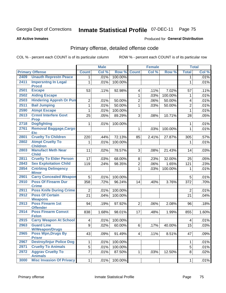**All Active Inmates**

### Produced for **General Distribution**

# Primary offense, detailed offense code

|      |                                            |                 | <b>Male</b> |         | <b>Female</b>  |       |         | <b>Total</b>   |       |
|------|--------------------------------------------|-----------------|-------------|---------|----------------|-------|---------|----------------|-------|
|      | <b>Primary Offense</b>                     | <b>Count</b>    | Col %       | Row %   | <b>Count</b>   | Col % | Row %   | <b>Total</b>   | Col % |
| 2409 | <b>Unauth Represtn Peace</b>               | 1 <sup>1</sup>  | .01%        | 100.00% |                |       |         | 1              | .01%  |
| 2411 | <b>Impersntng In Legal</b><br><b>Procd</b> | $\mathbf{1}$    | .01%        | 100.00% |                |       |         | $\mathbf{1}$   | .01%  |
| 2501 | <b>Escape</b>                              | 53              | .11%        | 92.98%  | 4              | .11%  | 7.02%   | 57             | .11%  |
| 2502 | <b>Aiding Escape</b>                       |                 |             |         | 1              | .03%  | 100.00% | 1              | .01%  |
| 2503 | <b>Hindering Appreh Or Pun</b>             | $\overline{c}$  | .01%        | 50.00%  | $\overline{2}$ | .06%  | 50.00%  | 4              | .01%  |
| 2511 | <b>Bail Jumping</b>                        | $\mathbf{1}$    | .01%        | 50.00%  | $\mathbf{1}$   | .03%  | 50.00%  | $\overline{2}$ | .01%  |
| 2590 | <b>Atmpt Escape</b>                        | $\mathbf{1}$    | .01%        | 100.00% |                |       |         | $\mathbf{1}$   | .01%  |
| 2613 | <b>Crmnl Interfere Govt</b><br><b>Prop</b> | 25              | .05%        | 89.29%  | 3              | .08%  | 10.71%  | 28             | .05%  |
| 2718 | <b>Dogfighting</b>                         | 1               | .01%        | 100.00% |                |       |         | 1              | .01%  |
| 2761 | Removal Baggage, Cargo<br><b>Etc</b>       |                 |             |         | 1              | .03%  | 100.00% | $\mathbf{1}$   | .01%  |
| 2801 | <b>Cruelty To Children</b>                 | 220             | .44%        | 72.13%  | 85             | 2.41% | 27.87%  | 305            | .57%  |
| 2802 | <b>Atmpt Cruelty To</b><br><b>Children</b> | 1               | .01%        | 100.00% |                |       |         | 1              | .01%  |
| 2803 | <b>Manufact Meth Near</b><br><b>Child</b>  | 11              | .02%        | 78.57%  | 3              | .08%  | 21.43%  | 14             | .03%  |
| 2811 | <b>Cruelty To Elder Person</b>             | 17              | .03%        | 68.00%  | 8              | .23%  | 32.00%  | 25             | .05%  |
| 2843 | <b>Sex Exploitation Child</b>              | 119             | .24%        | 98.35%  | $\overline{2}$ | .06%  | 1.65%   | 121            | .23%  |
| 2854 | <b>Cntrbtng Delingency</b><br><b>Minor</b> |                 |             |         | 1              | .03%  | 100.00% | 1              | .01%  |
| 2901 | <b>Carry Concealed Weapon</b>              | $\overline{5}$  | .01%        | 100.00% |                |       |         | 5              | .01%  |
| 2910 | <b>Poss Of Firearm Dur</b><br><b>Crime</b> | 358             | .72%        | 96.24%  | 14             | .40%  | 3.76%   | 372            | .70%  |
| 2911 | <b>Poss Knife During Crime</b>             | $\overline{2}$  | .01%        | 100.00% |                |       |         | $\overline{2}$ | .01%  |
| 2912 | <b>Poss Of Certain</b><br><b>Weapons</b>   | $\overline{21}$ | .04%        | 100.00% |                |       |         | 21             | .04%  |
| 2913 | Poss Firearm 1st<br><b>Offender</b>        | 94              | .19%        | 97.92%  | $\overline{2}$ | .06%  | 2.08%   | 96             | .18%  |
| 2914 | <b>Poss Firearm Convct</b><br><b>Felon</b> | 838             | 1.68%       | 98.01%  | 17             | .48%  | 1.99%   | 855            | 1.60% |
| 2915 | <b>Carry Weapon At School</b>              | 4               | .01%        | 100.00% |                |       |         | 4              | .01%  |
| 2963 | <b>Guard Line</b><br><b>W/Weapon/Drugs</b> | 9               | .02%        | 60.00%  | $6\phantom{1}$ | .17%  | 40.00%  | 15             | .03%  |
| 2965 | <b>Poss Wpn, Drugs By</b><br><b>Prisnr</b> | 43              | .09%        | 91.49%  | 4              | .11%  | 8.51%   | 47             | .09%  |
| 2967 | <b>Destroy/Injur Police Dog</b>            | $\mathbf 1$     | .01%        | 100.00% |                |       |         | 1              | .01%  |
| 2971 | <b>Cruelty To Animals</b>                  | $\overline{5}$  | .01%        | 100.00% |                |       |         | 5              | .01%  |
| 2972 | <b>Aggrav Cruelty To</b><br><b>Animals</b> | $\overline{7}$  | .01%        | 87.50%  | $\mathbf{1}$   | .03%  | 12.50%  | 8              | .02%  |
| 3000 | <b>Misc Invasion Of Privacy</b>            | 1               | .01%        | 100.00% |                |       |         | $\mathbf{1}$   | .01%  |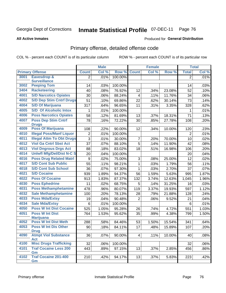Produced for **General Distribution**

#### **All Active Inmates**

# Primary offense, detailed offense code

|      |                                            |                  | <b>Male</b> |         |                 | <b>Female</b> |        |                 | <b>Total</b> |
|------|--------------------------------------------|------------------|-------------|---------|-----------------|---------------|--------|-----------------|--------------|
|      | <b>Primary Offense</b>                     | <b>Count</b>     | Col %       | Row %   | <b>Count</b>    | Col %         | Row %  | <b>Total</b>    | Col %        |
| 3001 | <b>Eavesdrop &amp;</b>                     | $\overline{2}$   | .01%        | 100.00% |                 |               |        | $\overline{2}$  | .01%         |
|      | <b>Surveillance</b>                        |                  |             |         |                 |               |        |                 |              |
| 3002 | <b>Peeping Tom</b>                         | 14               | .03%        | 100.00% |                 |               |        | 14              | .03%         |
| 3404 | <b>Racketeering</b>                        | 40               | .08%        | 76.92%  | 12              | .34%          | 23.08% | 52              | .10%         |
| 4001 | <b>S/D Narcotics Opiates</b>               | 30               | .06%        | 88.24%  | 4               | .11%          | 11.76% | 34              | .06%         |
| 4002 | <b>S/D Dep Stim Cntrf Drugs</b>            | $\overline{51}$  | .10%        | 69.86%  | 22              | .62%          | 30.14% | 73              | .14%         |
| 4004 | <b>S/D Of Marijuana</b>                    | 317              | .64%        | 96.65%  | 11              | .31%          | 3.35%  | 328             | .62%         |
| 4005 | <b>S/D Of Alcoholic Intox</b>              | 1                | .01%        | 100.00% |                 |               |        | 1               | .01%         |
| 4006 | <b>Poss Narcotics Opiates</b>              | 58               | .12%        | 81.69%  | 13              | .37%          | 18.31% | 71              | .13%         |
| 4007 | <b>Poss Dep Stim Cntrf</b>                 | 78               | .16%        | 72.22%  | 30              | .85%          | 27.78% | 108             | .20%         |
| 4009 | <b>Drugs</b><br><b>Poss Of Marijuana</b>   | 108              | .22%        | 90.00%  | 12              | .34%          | 10.00% | 120             | .23%         |
| 4010 | <b>Illegal Poss/Manf Liquor</b>            | $\overline{2}$   | .01%        | 100.00% |                 |               |        | $\overline{2}$  | .01%         |
| 4011 | <b>Illegal Attm To Obt Drugs</b>           | $\overline{3}$   | .01%        | 30.00%  | 7               | .20%          | 70.00% | 10              | .02%         |
| 4012 | <b>Viol Ga Cntrl Sbst Act</b>              | 37               | .07%        | 88.10%  | $\overline{5}$  | .14%          | 11.90% | 42              | .08%         |
| 4013 | <b>Viol Dngrous Drgs Act</b>               | 88               | .18%        | 83.02%  | 18              | .51%          | 16.98% | 106             | .20%         |
| 4014 | <b>Uniwfl Mfg/Del/Dist N-C S</b>           | 20               | .04%        | 100.00% |                 |               |        | 20              | .04%         |
| 4016 | <b>Poss Drug Related Matri</b>             | $\boldsymbol{9}$ | .02%        | 75.00%  | 3               | .08%          | 25.00% | 12              | .02%         |
| 4017 | <b>S/D Cont Sub Public</b>                 | 55               | .11%        | 98.21%  | 1               | .03%          | 1.79%  | 56              | .11%         |
| 4018 | <b>S/D Cont Sub School</b>                 | 36               | .07%        | 97.30%  | 1               | .03%          | 2.70%  | 37              | .07%         |
| 4021 | <b>S/D Cocaine</b>                         | 939              | 1.89%       | 94.37%  | 56              | 1.59%         | 5.63%  | 995             | 1.87%        |
| 4022 | <b>Poss Of Cocaine</b>                     | 913              | 1.83%       | 87.37%  | 132             | 3.74%         | 12.63% | 1,045           | 1.96%        |
| 4030 | <b>Poss Ephedrine</b>                      | 11               | .02%        | 68.75%  | 5               | .14%          | 31.25% | 16              | .03%         |
| 4031 | <b>Poss Methamphetamine</b>                | 478              | .96%        | 80.07%  | 119             | 3.37%         | 19.93% | 597             | 1.12%        |
| 4032 | <b>Sale Methamphetamine</b>                | 100              | .20%        | 78.13%  | 28              | .79%          | 21.88% | 128             | .24%         |
| 4033 | <b>Poss Mda/Extsy</b>                      | 19               | .04%        | 90.48%  | $\overline{2}$  | .06%          | 9.52%  | 21              | .04%         |
| 4034 | <b>Sale Mda/Extsy</b>                      | 6                | .01%        | 100.00% |                 |               |        | $6\phantom{1}6$ | .01%         |
| 4050 | <b>Poss W Int Dist Cocaine</b>             | 525              | 1.05%       | 95.28%  | 26              | .74%          | 4.72%  | 551             | 1.03%        |
| 4051 | <b>Poss W Int Dist</b>                     | 764              | 1.53%       | 95.62%  | 35              | .99%          | 4.38%  | 799             | 1.50%        |
|      | <b>Marijuana</b>                           |                  |             |         |                 |               |        |                 |              |
| 4052 | <b>Poss W Int Dist Meth</b>                | 288              | .58%        | 84.46%  | 53              | 1.50%         | 15.54% | 341             | .64%         |
| 4053 | <b>Poss W Int Dis Other</b><br><b>Drug</b> | 90               | .18%        | 84.11%  | $\overline{17}$ | .48%          | 15.89% | 107             | .20%         |
| 4090 | <b>Atmpt Viol Substance</b>                | 36               | .07%        | 90.00%  | 4 <sup>1</sup>  | .11%          | 10.00% | 40              | .08%         |
|      | <b>Act</b>                                 |                  |             |         |                 |               |        |                 |              |
| 4100 | <b>Misc Drugs Trafficking</b>              | 32               | .06%        | 100.00% |                 |               |        | 32              | .06%         |
| 4101 | <b>Traf Cocaine Less 200</b><br>Gm         | 443              | .89%        | 97.15%  | 13              | .37%          | 2.85%  | 456             | .86%         |
| 4102 | <b>Traf Cocaine 201-400</b>                | 210              | .42%        | 94.17%  | 13              | .37%          | 5.83%  | 223             | .42%         |
|      | Gm                                         |                  |             |         |                 |               |        |                 |              |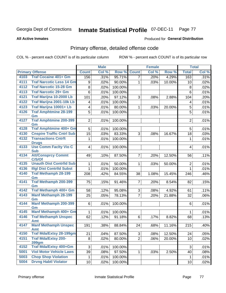#### **All Active Inmates**

### Produced for **General Distribution**

# Primary offense, detailed offense code

|      |                                            |                | <b>Male</b> |         |                | <b>Female</b> |        |                | <b>Total</b> |
|------|--------------------------------------------|----------------|-------------|---------|----------------|---------------|--------|----------------|--------------|
|      | <b>Primary Offense</b>                     | <b>Count</b>   | Col %       | Row %   | <b>Count</b>   | Col %         | Row %  | <b>Total</b>   | Col %        |
| 4103 | <b>Traf Cocaine 401+ Gm</b>                | 156            | .31%        | 95.71%  | $\overline{7}$ | .20%          | 4.29%  | 163            | .31%         |
| 4111 | <b>Traf Narcotic Less 14 Gm</b>            | 9              | .02%        | 90.00%  | $\mathbf 1$    | .03%          | 10.00% | 10             | .02%         |
| 4112 | <b>Traf Narcotic 15-28 Gm</b>              | 8              | .02%        | 100.00% |                |               |        | 8              | .02%         |
| 4113 | <b>Traf Narcotic 29+ Gm</b>                | 6              | .01%        | 100.00% |                |               |        | 6              | .01%         |
| 4121 | Traf Marijna 10-2000 Lb                    | 101            | .20%        | 97.12%  | 3              | .08%          | 2.88%  | 104            | .20%         |
| 4122 | <b>Traf Marijna 2001-10k Lb</b>            | 4              | .01%        | 100.00% |                |               |        | 4              | .01%         |
| 4123 | Traf Marijna 10001+ Lb                     | 4              | .01%        | 80.00%  | 1              | .03%          | 20.00% | $\mathbf 5$    | .01%         |
| 4126 | <b>Traf Amphtmine 28-199</b><br>Gm         | 5              | .01%        | 100.00% |                |               |        | 5              | .01%         |
| 4127 | <b>Traf Amphtmine 200-399</b><br>Gm        | $\overline{2}$ | .01%        | 100.00% |                |               |        | $\overline{2}$ | .01%         |
| 4128 | <b>Traf Amphtmine 400+ Gm</b>              | 5              | .01%        | 100.00% |                |               |        | 5              | .01%         |
| 4130 | <b>Cnspire Traffic Cntrl Sub</b>           | 15             | .03%        | 83.33%  | 3              | .08%          | 16.67% | 18             | .03%         |
| 4132 | <b>Transactions Cntrft</b><br><b>Drugs</b> | 1              | .01%        | 100.00% |                |               |        | 1              | .01%         |
| 4133 | <b>Use Comm Facity Vio C</b><br><b>Sub</b> | 4              | .01%        | 100.00% |                |               |        | 4              | .01%         |
| 4134 | <b>Att/Consprcy Commt</b><br>C/S/Of        | 49             | .10%        | 87.50%  | 7 <sup>1</sup> | .20%          | 12.50% | 56             | .11%         |
| 4135 | <b>Unauth Dist Contrild Sub</b>            | 1              | .01%        | 50.00%  | $\mathbf{1}$   | .03%          | 50.00% | $\overline{2}$ | .01%         |
| 4136 | <b>Illgl Dist Contrild Subst</b>           | 1              | .01%        | 100.00% |                |               |        | $\mathbf{1}$   | .01%         |
| 4140 | <b>Traf Methamph 28-199</b><br>Gm          | 208            | .42%        | 84.55%  | 38             | 1.08%         | 15.45% | 246            | .46%         |
| 4141 | <b>Traf Methamph 200-399</b><br>Gm         | 75             | .15%        | 91.46%  | $\overline{7}$ | .20%          | 8.54%  | 82             | .15%         |
| 4142 | Traf Methamph 400+ Gm                      | 58             | .12%        | 95.08%  | 3              | .08%          | 4.92%  | 61             | .11%         |
| 4143 | <b>Manf Methamph 28-199</b><br>Gm          | 25             | .05%        | 78.13%  | $\overline{7}$ | .20%          | 21.88% | 32             | .06%         |
| 4144 | <b>Manf Methamph 200-399</b><br>Gm         | 6              | .01%        | 100.00% |                |               |        | 6              | .01%         |
| 4145 | Manf Methamph 400+ Gm                      | 1              | .01%        | 100.00% |                |               |        | 1              | .01%         |
| 4146 | <b>Traf Methamph Unspec</b><br><b>Amt</b>  | 62             | .12%        | 91.18%  | 6              | .17%          | 8.82%  | 68             | .13%         |
| 4147 | <b>Manf Methamph Unspec</b><br>Amt         | 191            | .38%        | 88.84%  | 24             | .68%          | 11.16% | 215            | .40%         |
| 4150 | <b>Traf Mda/Extsy 28-199gm</b>             | 21             | .04%        | 87.50%  | 3 <sup>1</sup> | .08%          | 12.50% | 24             | .05%         |
| 4151 | <b>Traf Mda/Extsy 200-</b><br><b>399gm</b> | 8              | .02%        | 80.00%  | $\overline{2}$ | .06%          | 20.00% | 10             | .02%         |
| 4152 | <b>Traf Mda/Extsy 400+Gm</b>               | 3              | .01%        | 100.00% |                |               |        | $\sqrt{3}$     | .01%         |
| 5001 | <b>Viol Motor Vehicle Laws</b>             | 39             | .08%        | 97.50%  | $\mathbf{1}$   | .03%          | 2.50%  | 40             | .08%         |
| 5003 | <b>Chop Shop Violation</b>                 | 1              | .01%        | 100.00% |                |               |        | 1              | .01%         |
| 5004 | <b>Drvng Habtl Violator</b>                | 10             | .02%        | 100.00% |                |               |        | 10             | .02%         |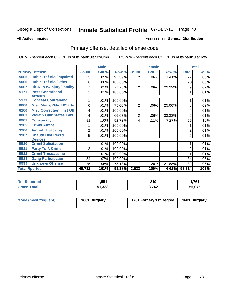Produced for **General Distribution**

#### **All Active Inmates**

# Primary offense, detailed offense code

|      |                                  | <b>Male</b>    |       |         |                | <b>Female</b> |        | <b>Total</b>   |       |
|------|----------------------------------|----------------|-------|---------|----------------|---------------|--------|----------------|-------|
|      | <b>Primary Offense</b>           | <b>Count</b>   | Col % | Row %   | <b>Count</b>   | Col %         | Row %  | <b>Total</b>   | Col % |
| 5005 | <b>Habit Traf Viol/Impaired</b>  | 25             | .05%  | 92.59%  | 2              | .06%          | 7.41%  | 27             | .05%  |
| 5006 | <b>Habit Traf Viol/Other</b>     | 28             | .06%  | 100.00% |                |               |        | 28             | .05%  |
| 5007 | <b>Hit-Run W/Injury/Fatality</b> | 7              | .01%  | 77.78%  | 2              | .06%          | 22.22% | 9              | .02%  |
| 5171 | <b>Poss Contraband</b>           |                | .01%  | 100.00% |                |               |        |                | .01%  |
|      | <b>Articles</b>                  |                |       |         |                |               |        |                |       |
| 5173 | <b>Conceal Contraband</b>        |                | .01%  | 100.00% |                |               |        |                | .01%  |
| 6000 | <b>Misc Mrals/Pblic H/Safty</b>  | 6              | .01%  | 75.00%  | $\overline{2}$ | .06%          | 25.00% | 8              | .02%  |
| 6200 | <b>Misc CorrectionI Inst Off</b> | 4              | .01%  | 100.00% |                |               |        | 4              | .01%  |
| 8001 | <b>Violatn Othr States Law</b>   | 4              | .01%  | 66.67%  | $\overline{2}$ | .06%          | 33.33% | 6              | .01%  |
| 9901 | <b>Conspiracy</b>                | 51             | .10%  | 92.73%  | 4              | .11%          | 7.27%  | 55             | .10%  |
| 9905 | <b>Crmnl Atmpt</b>               |                | .01%  | 100.00% |                |               |        |                | .01%  |
| 9906 | <b>Aircraft Hijacking</b>        | $\overline{2}$ | .01%  | 100.00% |                |               |        | $\overline{2}$ | .01%  |
| 9907 | <b>Unauth Dist Recrd</b>         | 5              | .01%  | 100.00% |                |               |        | 5              | .01%  |
|      | <b>Devices</b>                   |                |       |         |                |               |        |                |       |
| 9910 | <b>Crmnl Solicitation</b>        |                | .01%  | 100.00% |                |               |        |                | .01%  |
| 9911 | <b>Party To A Crime</b>          | 2              | .01%  | 100.00% |                |               |        | 2              | .01%  |
| 9912 | <b>Crmnl Trespassing</b>         |                | .01%  | 100.00% |                |               |        |                | .01%  |
| 9914 | <b>Gang Participation</b>        | 34             | .07%  | 100.00% |                |               |        | 34             | .06%  |
| 9999 | <b>Unknown Offense</b>           | 25             | .05%  | 78.13%  | 7              | .20%          | 21.88% | 32             | .06%  |
|      | <b>Total Rported</b>             | 49,782         | 101%  | 93.38%  | 3,532          | 100%          | 6.62%  | 53,314         | 101%  |

| <b>Not Reported</b> | ,551 | 210   | 1,761  |
|---------------------|------|-------|--------|
| <b>Fotal</b>        | .333 | 2,742 | 55.075 |

| Mode (most frequent) | 1601 Burglary | 1701 Forgery 1st Degree | 1601 Burglary |
|----------------------|---------------|-------------------------|---------------|
|----------------------|---------------|-------------------------|---------------|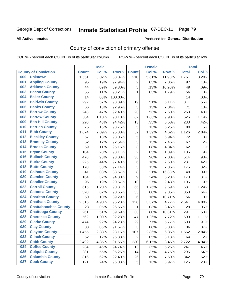#### **All Active Inmates**

### Produced for **General Distribution**

# County of conviction of primary offense

|                                    |              | <b>Male</b> |         |                  | <b>Female</b> |        |              | <b>Total</b> |
|------------------------------------|--------------|-------------|---------|------------------|---------------|--------|--------------|--------------|
| <b>County of Conviction</b>        | <b>Count</b> | Col %       | Row %   | <b>Count</b>     | Col %         | Row %  | <b>Total</b> | Col %        |
| <b>Unknown</b><br>000              | 1,551        | 3.02%       | 88.07%  | $\overline{210}$ | 5.61%         | 11.93% | 1,761        | 3.20%        |
| <b>Appling County</b><br>001       | 95           | .19%        | 97.94%  | 2                | .05%          | 2.06%  | 97           | .18%         |
| <b>Atkinson County</b><br>002      | 44           | .09%        | 89.80%  | 5                | .13%          | 10.20% | 49           | .09%         |
| <b>Bacon County</b><br>003         | 55           | .11%        | 98.21%  | $\mathbf 1$      | .03%          | 1.79%  | 56           | .10%         |
| <b>Baker County</b><br>004         | 14           | .03%        | 100.00% |                  |               |        | 14           | .03%         |
| <b>Baldwin County</b><br>005       | 292          | .57%        | 93.89%  | 19               | .51%          | 6.11%  | 311          | .56%         |
| <b>Banks County</b><br>006         | 66           | .13%        | 92.96%  | 5                | .13%          | 7.04%  | 71           | .13%         |
| <b>Barrow County</b><br>007        | 243          | .47%        | 92.40%  | 20               | .53%          | 7.60%  | 263          | .48%         |
| <b>Bartow County</b><br>008        | 564          | 1.10%       | 90.10%  | 62               | 1.66%         | 9.90%  | 626          | 1.14%        |
| <b>Ben Hill County</b><br>009      | 220          | .43%        | 94.42%  | 13               | .35%          | 5.58%  | 233          | .42%         |
| <b>Berrien County</b><br>010       | 75           | .15%        | 93.75%  | 5                | .13%          | 6.25%  | 80           | .15%         |
| <b>Bibb County</b><br>011          | 1,074        | 2.09%       | 95.38%  | 52               | 1.39%         | 4.62%  | 1,126        | 2.04%        |
| <b>Bleckley County</b><br>012      | 67           | .13%        | 93.06%  | 5                | .13%          | 6.94%  | 72           | .13%         |
| <b>Brantley County</b><br>013      | 62           | .12%        | 92.54%  | 5                | .13%          | 7.46%  | 67           | .12%         |
| <b>Brooks County</b><br>014        | 59           | .11%        | 95.16%  | 3                | .08%          | 4.84%  | 62           | .11%         |
| 015<br><b>Bryan County</b>         | 104          | .20%        | 98.11%  | $\overline{2}$   | .05%          | 1.89%  | 106          | .19%         |
| <b>Bulloch County</b><br>016       | 478          | .93%        | 93.00%  | 36               | .96%          | 7.00%  | 514          | .93%         |
| <b>Burke County</b><br>017         | 225          | .44%        | 97.40%  | 6                | .16%          | 2.60%  | 231          | .42%         |
| <b>Butts County</b><br>018         | 170          | .33%        | 97.14%  | 5                | .13%          | 2.86%  | 175          | .32%         |
| <b>Calhoun County</b><br>019       | 41           | .08%        | 83.67%  | 8                | .21%          | 16.33% | 49           | .09%         |
| <b>Camden County</b><br>020        | 164          | .32%        | 94.80%  | 9                | .24%          | 5.20%  | 173          | .31%         |
| <b>Candler County</b><br>021       | 96           | .19%        | 90.57%  | 10               | .27%          | 9.43%  | 106          | .19%         |
| <b>Carroll County</b><br>022       | 615          | 1.20%       | 90.31%  | 66               | 1.76%         | 9.69%  | 681          | 1.24%        |
| <b>Catoosa County</b><br>023       | 320          | .62%        | 90.65%  | 33               | .88%          | 9.35%  | 353          | .64%         |
| <b>Charlton County</b><br>024      | 50           | .10%        | 89.29%  | 6                | .16%          | 10.71% | 56           | .10%         |
| 025<br><b>Chatham County</b>       | 2,515        | 4.90%       | 95.23%  | 126              | 3.37%         | 4.77%  | 2,641        | 4.80%        |
| <b>Chattahoochee County</b><br>026 | 28           | .05%        | 96.55%  | 1                | .03%          | 3.45%  | 29           | .05%         |
| <b>Chattooga County</b><br>027     | 261          | .51%        | 89.69%  | 30               | .80%          | 10.31% | 291          | .53%         |
| <b>Cherokee County</b><br>028      | 562          | 1.09%       | 92.28%  | 47               | 1.26%         | 7.72%  | 609          | 1.11%        |
| <b>Clarke County</b><br>029        | 474          | .92%        | 94.23%  | 29               | .77%          | 5.77%  | 503          | .91%         |
| <b>Clay County</b><br>030          | 33           | .06%        | 91.67%  | 3                | .08%          | 8.33%  | 36           | .07%         |
| 031<br><b>Clayton County</b>       | 1,455        | 2.83%       | 93.15%  | 107              | 2.86%         | 6.85%  | 1,562        | 2.84%        |
| <b>Clinch County</b><br>032        | 62           | .12%        | 96.88%  | $\overline{2}$   | .05%          | 3.13%  | 64           | .12%         |
| <b>Cobb County</b><br>033          | 2,492        | 4.85%       | 91.55%  | 230              | 6.15%         | 8.45%  | 2,722        | 4.94%        |
| <b>Coffee County</b><br>034        | 234          | .46%        | 94.74%  | 13               | .35%          | 5.26%  | 247          | .45%         |
| <b>Colquitt County</b><br>035      | 281          | .55%        | 95.25%  | 14               | .37%          | 4.75%  | 295          | .54%         |
| <b>Columbia County</b><br>036      | 316          | .62%        | 92.40%  | 26               | .69%          | 7.60%  | 342          | .62%         |
| <b>Cook County</b><br>037          | 121          | .24%        | 96.03%  | 5                | .13%          | 3.97%  | 126          | .23%         |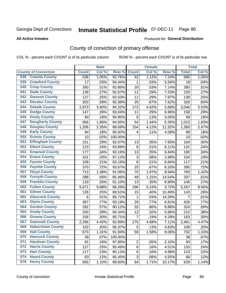**All Active Inmates**

### Produced for **General Distribution**

# County of conviction of primary offense

|     |                             |              | <b>Male</b> |         |                           | <b>Female</b> |        |                | <b>Total</b> |
|-----|-----------------------------|--------------|-------------|---------|---------------------------|---------------|--------|----------------|--------------|
|     | <b>County of Conviction</b> | <b>Count</b> | Col %       | Row %   | <b>Count</b>              | Col %         | Row %  | <b>Total</b>   | Col %        |
| 038 | <b>Coweta County</b>        | 538          | 1.05%       | 92.76%  | 42                        | 1.12%         | 7.24%  | 580            | 1.05%        |
| 039 | <b>Crawford County</b>      | 17           | .03%        | 94.44%  | 1                         | .03%          | 5.56%  | 18             | .03%         |
| 040 | <b>Crisp County</b>         | 260          | .51%        | 92.86%  | 20                        | .53%          | 7.14%  | 280            | .51%         |
| 041 | <b>Dade County</b>          | 139          | .27%        | 92.67%  | 11                        | .29%          | 7.33%  | 150            | .27%         |
| 042 | <b>Dawson County</b>        | 127          | .25%        | 92.03%  | 11                        | .29%          | 7.97%  | 138            | .25%         |
| 043 | <b>Decatur County</b>       | 303          | .59%        | 92.38%  | 25                        | .67%          | 7.62%  | 328            | .60%         |
| 044 | <b>Dekalb County</b>        | 2,873        | 5.60%       | 94.32%  | 173                       | 4.62%         | 5.68%  | 3,046          | 5.53%        |
| 045 | <b>Dodge County</b>         | 147          | .29%        | 93.04%  | 11                        | .29%          | 6.96%  | 158            | .29%         |
| 046 | <b>Dooly County</b>         | 94           | .18%        | 94.95%  | 5                         | .13%          | 5.05%  | 99             | .18%         |
| 047 | <b>Dougherty County</b>     | 956          | 1.86%       | 94.65%  | 54                        | 1.44%         | 5.35%  | 1,010          | 1.83%        |
| 048 | <b>Douglas County</b>       | 1,206        | 2.35%       | 88.68%  | 154                       | 4.12%         | 11.32% | 1,360          | 2.47%        |
| 049 | <b>Early County</b>         | 94           | .18%        | 95.92%  | 4                         | .11%          | 4.08%  | 98             | .18%         |
| 050 | <b>Echols County</b>        | 10           | .02%        | 100.00% |                           |               |        | 10             | .02%         |
| 051 | <b>Effingham County</b>     | 151          | .29%        | 92.07%  | 13                        | .35%          | 7.93%  | 164            | .30%         |
| 052 | <b>Elbert County</b>        | 123          | .24%        | 93.89%  | 8                         | .21%          | 6.11%  | 131            | .24%         |
| 053 | <b>Emanuel County</b>       | 177          | .34%        | 93.16%  | 13                        | .35%          | 6.84%  | 190            | .34%         |
| 054 | <b>Evans County</b>         | 101          | .20%        | 97.12%  | $\ensuremath{\mathsf{3}}$ | .08%          | 2.88%  | 104            | .19%         |
| 055 | <b>Fannin County</b>        | 109          | .21%        | 93.16%  | 8                         | .21%          | 6.84%  | 117            | .21%         |
| 056 | <b>Fayette County</b>       | 370          | .72%        | 93.67%  | 25                        | .67%          | 6.33%  | 395            | .72%         |
| 057 | <b>Floyd County</b>         | 713          | 1.39%       | 91.06%  | 70                        | 1.87%         | 8.94%  | 783            | 1.42%        |
| 058 | <b>Forsyth County</b>       | 288          | .56%        | 85.46%  | 49                        | 1.31%         | 14.54% | 337            | .61%         |
| 059 | <b>Franklin County</b>      | 133          | .26%        | 91.10%  | 13                        | .35%          | 8.90%  | 146            | .27%         |
| 060 | <b>Fulton County</b>        | 5,071        | 9.88%       | 96.28%  | 196                       | 5.24%         | 3.72%  | 5,267          | 9.56%        |
| 061 | <b>Gilmer County</b>        | 128          | .25%        | 89.51%  | 15                        | .40%          | 10.49% | 143            | .26%         |
| 062 | <b>Glascock County</b>      | 6            | .01%        | 85.71%  | $\mathbf 1$               | .03%          | 14.29% | $\overline{7}$ | .01%         |
| 063 | <b>Glynn County</b>         | 397          | .77%        | 93.19%  | 29                        | .77%          | 6.81%  | 426            | .77%         |
| 064 | <b>Gordon County</b>        | 292          | .57%        | 90.12%  | 32                        | .86%          | 9.88%  | 324            | .59%         |
| 065 | <b>Grady County</b>         | 200          | .39%        | 94.34%  | 12                        | .32%          | 5.66%  | 212            | .38%         |
| 066 | <b>Greene County</b>        | 156          | .30%        | 95.71%  | $\overline{7}$            | .19%          | 4.29%  | 163            | .30%         |
| 067 | <b>Gwinnett County</b>      | 2,286        | 4.45%       | 92.89%  | 175                       | 4.68%         | 7.11%  | 2,461          | 4.47%        |
| 068 | <b>Habersham County</b>     | 103          | .20%        | 95.37%  | 5                         | .13%          | 4.63%  | 108            | .20%         |
| 069 | <b>Hall County</b>          | 673          | 1.31%       | 91.94%  | 59                        | 1.58%         | 8.06%  | 732            | 1.33%        |
| 070 | <b>Hancock County</b>       | 38           | .07%        | 100.00% |                           |               |        | 38             | .07%         |
| 071 | <b>Haralson County</b>      | 91           | .18%        | 97.85%  | $\overline{c}$            | .05%          | 2.15%  | 93             | .17%         |
| 072 | <b>Harris County</b>        | 127          | .25%        | 95.49%  | 6                         | .16%          | 4.51%  | 133            | .24%         |
| 073 | <b>Hart County</b>          | 117          | .23%        | 95.12%  | 6                         | .16%          | 4.88%  | 123            | .22%         |
| 074 | <b>Heard County</b>         | 63           | .12%        | 95.45%  | 3                         | .08%          | 4.55%  | 66             | .12%         |
| 075 | <b>Henry County</b>         | 565          | 1.10%       | 89.83%  | 64                        | 1.71%         | 10.17% | 629            | 1.14%        |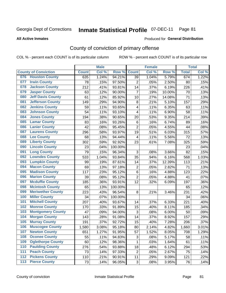**All Active Inmates**

#### Produced for **General Distribution**

# County of conviction of primary offense

|       |                             |              | <b>Male</b> |         |                           | <b>Female</b> |        |              | <b>Total</b> |
|-------|-----------------------------|--------------|-------------|---------|---------------------------|---------------|--------|--------------|--------------|
|       | <b>County of Conviction</b> | <b>Count</b> | Col %       | Row %   | <b>Count</b>              | Col %         | Row %  | <b>Total</b> | Col %        |
| 076   | <b>Houston County</b>       | 635          | 1.24%       | 94.21%  | 39                        | 1.04%         | 5.79%  | 674          | 1.22%        |
| 077   | <b>Irwin County</b>         | 78           | .15%        | 97.50%  | $\overline{2}$            | .05%          | 2.50%  | 80           | .15%         |
| 078   | <b>Jackson County</b>       | 212          | .41%        | 93.81%  | 14                        | .37%          | 6.19%  | 226          | .41%         |
| 079   | <b>Jasper County</b>        | 63           | .12%        | 90.00%  | $\overline{7}$            | .19%          | 10.00% | 70           | .13%         |
| 080   | <b>Jeff Davis County</b>    | 61           | .12%        | 85.92%  | 10                        | .27%          | 14.08% | 71           | .13%         |
| 081   | <b>Jefferson County</b>     | 149          | .29%        | 94.90%  | 8                         | .21%          | 5.10%  | 157          | .29%         |
| 082   | <b>Jenkins County</b>       | 59           | .11%        | 93.65%  | 4                         | .11%          | 6.35%  | 63           | .11%         |
| 083   | <b>Johnson County</b>       | 54           | .11%        | 93.10%  | 4                         | .11%          | 6.90%  | 58           | .11%         |
| 084   | <b>Jones County</b>         | 194          | .38%        | 90.65%  | 20                        | .53%          | 9.35%  | 214          | .39%         |
| 085   | <b>Lamar County</b>         | 83           | .16%        | 93.26%  | 6                         | .16%          | 6.74%  | 89           | .16%         |
| 086   | <b>Lanier County</b>        | 42           | .08%        | 95.45%  | $\overline{2}$            | .05%          | 4.55%  | 44           | .08%         |
| 087   | <b>Laurens County</b>       | 296          | .58%        | 93.97%  | 19                        | .51%          | 6.03%  | 315          | .57%         |
| 088   | <b>Lee County</b>           | 68           | .13%        | 94.44%  | 4                         | .11%          | 5.56%  | 72           | .13%         |
| 089   | <b>Liberty County</b>       | 302          | .59%        | 92.92%  | 23                        | .61%          | 7.08%  | 325          | .59%         |
| 090   | <b>Lincoln County</b>       | 23           | .04%        | 100.00% |                           |               |        | 23           | .04%         |
| 091   | <b>Long County</b>          | 79           | .15%        | 96.34%  | 3                         | .08%          | 3.66%  | 82           | .15%         |
| 092   | <b>Lowndes County</b>       | 533          | 1.04%       | 93.84%  | 35                        | .94%          | 6.16%  | 568          | 1.03%        |
| 093   | <b>Lumpkin County</b>       | 99           | .19%        | 87.61%  | 14                        | .37%          | 12.39% | 113          | .21%         |
| 094   | <b>Macon County</b>         | 69           | .13%        | 97.18%  | $\mathbf 2$               | .05%          | 2.82%  | 71           | .13%         |
| 095   | <b>Madison County</b>       | 117          | .23%        | 95.12%  | 6                         | .16%          | 4.88%  | 123          | .22%         |
| 096   | <b>Marion County</b>        | 39           | .08%        | 95.12%  | $\overline{2}$            | .05%          | 4.88%  | 41           | .07%         |
| 097   | <b>Mcduffie County</b>      | 185          | .36%        | 93.91%  | 12                        | .32%          | 6.09%  | 197          | .36%         |
| 098   | <b>Mcintosh County</b>      | 65           | .13%        | 100.00% |                           |               |        | 65           | .12%         |
| 099   | <b>Meriwether County</b>    | 223          | .43%        | 96.54%  | 8                         | .21%          | 3.46%  | 231          | .42%         |
| 100   | <b>Miller County</b>        | 34           | .07%        | 100.00% |                           |               |        | 34           | .06%         |
| 101   | <b>Mitchell County</b>      | 207          | .40%        | 93.67%  | 14                        | .37%          | 6.33%  | 221          | .40%         |
| 102   | <b>Monroe County</b>        | 170          | .33%        | 91.89%  | 15                        | .40%          | 8.11%  | 185          | .34%         |
| 103   | <b>Montgomery County</b>    | 47           | .09%        | 94.00%  | $\ensuremath{\mathsf{3}}$ | .08%          | 6.00%  | 50           | .09%         |
| 104   | <b>Morgan County</b>        | 143          | .28%        | 91.08%  | 14                        | .37%          | 8.92%  | 157          | .29%         |
| 105   | <b>Murray County</b>        | 191          | .37%        | 92.72%  | 15                        | .40%          | 7.28%  | 206          | .37%         |
| 106   | <b>Muscogee County</b>      | 1,580        | 3.08%       | 95.18%  | 80                        | 2.14%         | 4.82%  | 1,660        | 3.01%        |
| 107   | <b>Newton County</b>        | 651          | 1.27%       | 91.95%  | 57                        | 1.52%         | 8.05%  | 708          | 1.29%        |
| 108   | <b>Oconee County</b>        | 55           | .11%        | 94.83%  | 3                         | .08%          | 5.17%  | 58           | .11%         |
| 109   | <b>Oglethorpe County</b>    | 60           | .12%        | 98.36%  | $\mathbf{1}$              | .03%          | 1.64%  | 61           | .11%         |
| 110   | <b>Paulding County</b>      | 276          | .54%        | 93.88%  | 18                        | .48%          | 6.12%  | 294          | .53%         |
| 111   | <b>Peach County</b>         | 73           | .14%        | 97.33%  | $\overline{2}$            | .05%          | 2.67%  | 75           | .14%         |
| 112   | <b>Pickens County</b>       | 110          | .21%        | 90.91%  | 11                        | .29%          | 9.09%  | 121          | .22%         |
| $113$ | <b>Pierce County</b>        | 73           | .14%        | 96.05%  | 3                         | .08%          | 3.95%  | 76           | .14%         |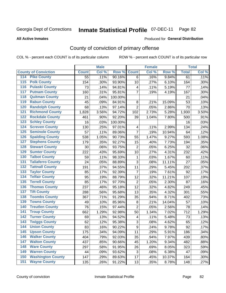#### **All Active Inmates**

### Produced for **General Distribution**

# County of conviction of primary offense

|                                        |                 | <b>Male</b> |         |                         | <b>Female</b> |        |                 | <b>Total</b> |
|----------------------------------------|-----------------|-------------|---------|-------------------------|---------------|--------|-----------------|--------------|
| <b>County of Conviction</b>            | <b>Count</b>    | Col %       | Row %   | <b>Count</b>            | Col %         | Row %  | <b>Total</b>    | Col %        |
| <b>Pike County</b><br>114              | $\overline{55}$ | .11%        | 90.16%  | 6                       | .16%          | 9.84%  | $\overline{61}$ | .11%         |
| <b>Polk County</b><br>$\overline{115}$ | 154             | .30%        | 93.90%  | 10                      | .27%          | 6.10%  | 164             | .30%         |
| <b>Pulaski County</b><br>116           | 73              | .14%        | 94.81%  | 4                       | .11%          | 5.19%  | 77              | .14%         |
| <b>Putnam County</b><br>117            | 160             | .31%        | 95.81%  | $\overline{7}$          | .19%          | 4.19%  | 167             | .30%         |
| 118<br><b>Quitman County</b>           | 21              | .04%        | 100.00% |                         |               |        | 21              | .04%         |
| <b>Rabun County</b><br>119             | 45              | .09%        | 84.91%  | $\,8\,$                 | .21%          | 15.09% | 53              | .10%         |
| <b>Randolph County</b><br>120          | 68              | .13%        | 97.14%  | $\overline{2}$          | .05%          | 2.86%  | 70              | .13%         |
| <b>Richmond County</b><br>121          | 1,828           | 3.56%       | 94.72%  | 102                     | 2.73%         | 5.28%  | 1,930           | 3.50%        |
| <b>Rockdale County</b><br>122          | 461             | .90%        | 92.20%  | 39                      | 1.04%         | 7.80%  | 500             | .91%         |
| <b>Schley County</b><br>123            | 16              | .03%        | 100.00% |                         |               |        | 16              | .03%         |
| <b>Screven County</b><br>124           | 130             | .25%        | 97.01%  | 4                       | .11%          | 2.99%  | 134             | .24%         |
| <b>Seminole County</b><br>125          | 57              | .11%        | 89.06%  | $\overline{7}$          | .19%          | 10.94% | 64              | .12%         |
| 126<br><b>Spalding County</b>          | 538             | 1.05%       | 90.73%  | 55                      | 1.47%         | 9.27%  | 593             | 1.08%        |
| 127<br><b>Stephens County</b>          | 179             | .35%        | 92.27%  | 15                      | .40%          | 7.73%  | 194             | .35%         |
| <b>Stewart County</b><br>128           | 30              | .06%        | 93.75%  | $\overline{2}$          | .05%          | 6.25%  | 32              | .06%         |
| <b>Sumter County</b><br>129            | 222             | .43%        | 95.69%  | 10                      | .27%          | 4.31%  | 232             | .42%         |
| <b>Talbot County</b><br>130            | 59              | .11%        | 98.33%  | 1                       | .03%          | 1.67%  | 60              | .11%         |
| <b>Taliaferro County</b><br>131        | 24              | .05%        | 88.89%  | 3                       | .08%          | 11.11% | 27              | .05%         |
| <b>Tattnall County</b><br>132          | 191             | .37%        | 94.55%  | 11                      | .29%          | 5.45%  | 202             | .37%         |
| <b>Taylor County</b><br>133            | 85              | .17%        | 92.39%  | $\overline{7}$          | .19%          | 7.61%  | 92              | .17%         |
| <b>Telfair County</b><br>134           | 95              | .19%        | 88.79%  | 12                      | .32%          | 11.21% | 107             | .19%         |
| <b>Terrell County</b><br>135           | 85              | .17%        | 97.70%  | $\overline{2}$          | .05%          | 2.30%  | 87              | .16%         |
| <b>Thomas County</b><br>136            | 237             | .46%        | 95.18%  | 12                      | .32%          | 4.82%  | 249             | .45%         |
| <b>Tift County</b><br>137              | 288             | .56%        | 95.68%  | 13                      | .35%          | 4.32%  | 301             | .55%         |
| <b>Toombs County</b><br>138            | 367             | .71%        | 91.29%  | 35                      | .94%          | 8.71%  | 402             | .73%         |
| <b>Towns County</b><br>139             | 49              | .10%        | 85.96%  | 8                       | .21%          | 14.04% | 57              | .10%         |
| <b>Treutlen County</b><br>140          | 76              | .15%        | 97.44%  | $\overline{2}$          | .05%          | 2.56%  | 78              | .14%         |
| <b>Troup County</b><br>141             | 662             | 1.29%       | 92.98%  | 50                      | 1.34%         | 7.02%  | 712             | 1.29%        |
| <b>Turner County</b><br>142            | 69              | .13%        | 94.52%  | $\overline{\mathbf{4}}$ | .11%          | 5.48%  | 73              | .13%         |
| <b>Twiggs County</b><br>143            | 62              | .12%        | 95.38%  | $\sqrt{3}$              | .08%          | 4.62%  | 65              | .12%         |
| <b>Union County</b><br>144             | 83              | .16%        | 90.22%  | 9                       | .24%          | 9.78%  | 92              | .17%         |
| 145<br><b>Upson County</b>             | 175             | .34%        | 94.09%  | 11                      | .29%          | 5.91%  | 186             | .34%         |
| <b>Walker County</b><br>146            | 404             | .79%        | 92.03%  | 35                      | .94%          | 7.97%  | 439             | .80%         |
| <b>Walton County</b><br>147            | 437             | .85%        | 90.66%  | 45                      | 1.20%         | 9.34%  | 482             | .88%         |
| <b>Ware County</b><br>148              | 297             | .58%        | 91.95%  | 26                      | .69%          | 8.05%  | 323             | .59%         |
| <b>Warren County</b><br>149            | 44              | .09%        | 93.62%  | 3                       | .08%          | 6.38%  | 47              | .09%         |
| <b>Washington County</b><br>150        | 147             | .29%        | 89.63%  | 17                      | .45%          | 10.37% | 164             | .30%         |
| <b>Wayne County</b><br>151             | 135             | .26%        | 91.22%  | 13                      | .35%          | 8.78%  | 148             | .27%         |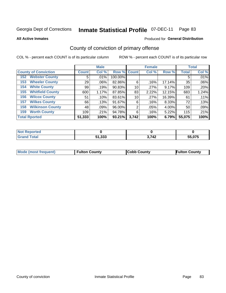**All Active Inmates**

### Produced for **General Distribution**

# County of conviction of primary offense

|                                | <b>Male</b>        |         |             |       | <b>Female</b> | <b>Total</b> |              |       |
|--------------------------------|--------------------|---------|-------------|-------|---------------|--------------|--------------|-------|
| <b>County of Conviction</b>    | Count <sup>'</sup> | Col %   | Row % Count |       | Col %         | Row %        | <b>Total</b> | Col % |
| <b>Webster County</b><br>152   | 5                  | $.01\%$ | 100.00%     |       |               |              | 5            | .01%  |
| <b>Wheeler County</b><br>153   | 29                 | $.06\%$ | 82.86%      | 6     | .16%          | 17.14%       | 35           | .06%  |
| <b>White County</b><br>154     | 99                 | .19%    | 90.83%      | 10    | .27%          | 9.17%        | 109          | .20%  |
| <b>Whitfield County</b><br>155 | 600                | 1.17%   | 87.85%      | 83    | 2.22%         | 12.15%       | 683          | 1.24% |
| <b>Wilcox County</b><br>156    | 51                 | .10%    | 83.61%      | 10    | .27%          | 16.39%       | 61           | .11%  |
| <b>Wilkes County</b><br>157    | 66                 | .13%    | 91.67%      | 6     | .16%          | 8.33%        | 72           | .13%  |
| <b>Wilkinson County</b><br>158 | 48                 | .09%    | 96.00%      | 2     | .05%          | 4.00%        | 50           | .09%  |
| <b>Worth County</b><br>159     | 109                | .21%    | 94.78%      | 6     | .16%          | 5.22%        | 115          | .21%  |
| <b>Total Rported</b>           | 51,333             | 100%    | 93.21%      | 3,742 | 100%          | 6.79%        | 55,075       | 100%  |

| <b>Not Reported</b> |        |       |        |
|---------------------|--------|-------|--------|
| <b>Grand Total</b>  | 51,333 | 3,742 | 55,075 |

| Mode (most frequent) | <b>Fulton County</b> | <b>Cobb County</b> | <b>Fulton County</b> |
|----------------------|----------------------|--------------------|----------------------|
|                      |                      |                    |                      |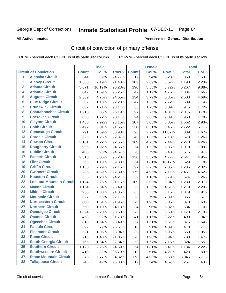Produced for **General Distribution**

#### **All Active Inmates**

# Circuit of conviction of primary offense

|                         |                                 |              | <b>Male</b> |        |              | <b>Female</b> |        |              | <b>Total</b> |
|-------------------------|---------------------------------|--------------|-------------|--------|--------------|---------------|--------|--------------|--------------|
|                         | <b>Circuit of Conviction</b>    | <b>Count</b> | Col %       | Row %  | <b>Count</b> | Col %         | Row %  | <b>Total</b> | Col %        |
| $\overline{1}$          | <b>Alapaha Circuit</b>          | 344          | .69%        | 94.77% | 19           | .54%          | 5.23%  | 363          | .68%         |
| $\overline{2}$          | <b>Alcovy Circuit</b>           | 1,088        | 2.19%       | 91.43% | 102          | 2.89%         | 8.57%  | 1,190        | 2.23%        |
| $\overline{\mathbf{3}}$ | <b>Atlanta Circuit</b>          | 5,071        | 10.19%      | 96.28% | 196          | 5.55%         | 3.72%  | 5,267        | 9.88%        |
| 4                       | <b>Atlantic Circuit</b>         | 842          | 1.69%       | 95.25% | 42           | 1.19%         | 4.75%  | 884          | 1.66%        |
| 5                       | <b>Augusta Circuit</b>          | 2,369        | 4.76%       | 94.65% | 134          | 3.79%         | 5.35%  | 2,503        | 4.69%        |
| $\overline{\mathbf{6}}$ | <b>Blue Ridge Circuit</b>       | 562          | 1.13%       | 92.28% | 47           | 1.33%         | 7.72%  | 609          | 1.14%        |
| $\overline{\mathbf{7}}$ | <b>Brunswick Circuit</b>        | 852          | 1.71%       | 93.11% | 63           | 1.78%         | 6.89%  | 915          | 1.72%        |
| 8                       | <b>Chattahoochee Circuit</b>    | 1,918        | 3.85%       | 95.19% | 97           | 2.75%         | 4.81%  | 2,015        | 3.78%        |
| $\overline{9}$          | <b>Cherokee Circuit</b>         | 856          | 1.72%       | 90.11% | 94           | 2.66%         | 9.89%  | 950          | 1.78%        |
| 10                      | <b>Clayton Circuit</b>          | 1,455        | 2.92%       | 93.15% | 107          | 3.03%         | 6.85%  | 1,562        | 2.93%        |
| 11                      | <b>Cobb Circuit</b>             | 2,492        | 5.01%       | 91.55% | 230          | 6.51%         | 8.45%  | 2,722        | 5.11%        |
| 12                      | <b>Conasauga Circuit</b>        | 791          | 1.59%       | 88.98% | 98           | 2.77%         | 11.02% | 889          | 1.67%        |
| 13                      | <b>Cordele Circuit</b>          | 625          | 1.26%       | 92.87% | 48           | 1.36%         | 7.13%  | 673          | 1.26%        |
| 14                      | <b>Coweta Circuit</b>           | 2,101        | 4.22%       | 92.56% | 169          | 4.78%         | 7.44%  | 2,270        | 4.26%        |
| 15                      | <b>Dougherty Circuit</b>        | 956          | 1.92%       | 94.65% | 54           | 1.53%         | 5.35%  | 1,010        | 1.89%        |
| 16                      | <b>Dublin Circuit</b>           | 488          | .98%        | 94.57% | 28           | .79%          | 5.43%  | 516          | .97%         |
| 17                      | <b>Eastern Circuit</b>          | 2,515        | 5.05%       | 95.23% | 126          | 3.57%         | 4.77%  | 2,641        | 4.95%        |
| 18                      | <b>Flint Circuit</b>            | 565          | 1.13%       | 89.83% | 64           | 1.81%         | 10.17% | 629          | 1.18%        |
| 19                      | <b>Griffin Circuit</b>          | 1,138        | 2.29%       | 92.15% | 97           | 2.75%         | 7.85%  | 1,235        | 2.32%        |
| 20                      | <b>Gwinnett Circuit</b>         | 2,286        | 4.59%       | 92.89% | 175          | 4.95%         | 7.11%  | 2,461        | 4.62%        |
| $\overline{21}$         | <b>Houston Circuit</b>          | 635          | 1.28%       | 94.21% | 39           | 1.10%         | 5.79%  | 674          | 1.26%        |
| $\overline{22}$         | <b>Lookout Mountain Circuit</b> | 1,124        | 2.26%       | 91.16% | 109          | 3.09%         | 8.84%  | 1,233        | 2.31%        |
| 23                      | <b>Macon Circuit</b>            | 1,164        | 2.34%       | 95.49% | 55           | 1.56%         | 4.51%  | 1,219        | 2.29%        |
| 24                      | <b>Middle Circuit</b>           | 936          | 1.88%       | 91.85% | 83           | 2.35%         | 8.15%  | 1,019        | 1.91%        |
| 25                      | <b>Mountain Circuit</b>         | 327          | .66%        | 92.11% | 28           | .79%          | 7.89%  | 355          | .67%         |
| 26                      | <b>Northeastern Circuit</b>     | 800          | 1.61%       | 91.95% | 70           | 1.98%         | 8.05%  | 870          | 1.63%        |
| $\overline{27}$         | <b>Northern Circuit</b>         | 550          | 1.10%       | 94.18% | 34           | .96%          | 5.82%  | 584          | 1.10%        |
| 28                      | <b>Ocmulgee Circuit</b>         | 1,094        | 2.20%       | 93.50% | 76           | 2.15%         | 6.50%  | 1,170        | 2.19%        |
| 29                      | <b>Oconee Circuit</b>           | 458          | .92%        | 91.78% | 41           | 1.16%         | 8.22%  | 499          | .94%         |
| 30                      | <b>Ogeechee Circuit</b>         | 818          | 1.64%       | 93.49% | 57           | 1.61%         | 6.51%  | 875          | 1.64%        |
| $\overline{31}$         | <b>Pataula Circuit</b>          | 392          | .79%        | 95.61% | 18           | .51%          | 4.39%  | 410          | .77%         |
| 32                      | <b>Piedmont Circuit</b>         | 521          | 1.05%       | 93.04% | 39           | 1.10%         | 6.96%  | 560          | 1.05%        |
| 33                      | <b>Rome Circuit</b>             | 713          | 1.43%       | 91.06% | 70           | 1.98%         | 8.94%  | 783          | 1.47%        |
| 34                      | <b>South Georgia Circuit</b>    | 765          | 1.54%       | 92.84% | 59           | 1.67%         | 7.16%  | 824          | 1.55%        |
| 35                      | <b>Southern Circuit</b>         | 1,120        | 2.25%       | 94.59% | 64           | 1.81%         | 5.41%  | 1,184        | 2.22%        |
| 36                      | <b>Southwestern Circuit</b>     | 410          | .82%        | 95.79% | 18           | .51%          | 4.21%  | 428          | .80%         |
| 37                      | <b>Stone Mountain Circuit</b>   | 2,873        | 5.77%       | 94.32% | 173          | 4.90%         | 5.68%  | 3,046        | 5.71%        |
| 38                      | <b>Tallapoosa Circuit</b>       | 245          | .49%        | 95.33% | 12           | .34%          | 4.67%  | 257          | .48%         |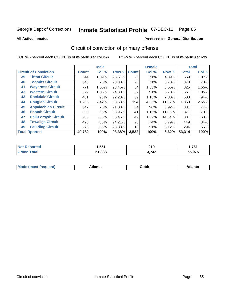Produced for **General Distribution**

#### **All Active Inmates**

# Circuit of conviction of primary offense

|                                   |              | <b>Male</b> |        |              | <b>Female</b> |        |              | <b>Total</b> |
|-----------------------------------|--------------|-------------|--------|--------------|---------------|--------|--------------|--------------|
| <b>Circuit of Conviction</b>      | <b>Count</b> | Col %       | Row %  | <b>Count</b> | Col %         | Row %  | <b>Total</b> | Col %        |
| <b>Tifton Circuit</b><br>39       | 544          | 1.09%       | 95.61% | 25           | .71%          | 4.39%  | 569          | 1.07%        |
| <b>Toombs Circuit</b><br>40       | 348          | .70%        | 93.30% | 25           | .71%          | 6.70%  | 373          | .70%         |
| <b>Waycross Circuit</b><br>41     | 771          | 1.55%       | 93.45% | 54           | 1.53%         | 6.55%  | 825          | 1.55%        |
| <b>Western Circuit</b><br>42      | 529          | 1.06%       | 94.30% | 32           | .91%          | 5.70%  | 561          | 1.05%        |
| <b>Rockdale Circuit</b><br>43     | 461          | .93%        | 92.20% | 39           | 1.10%         | 7.80%  | 500          | .94%         |
| <b>Douglas Circuit</b><br>44      | 1,206        | 2.42%       | 88.68% | 154          | 4.36%         | 11.32% | 1,360        | 2.55%        |
| <b>Appalachian Circuit</b><br>45  | 347          | .70%        | 91.08% | 34           | .96%          | 8.92%  | 381          | .71%         |
| <b>Enotah Circuit</b><br>46       | 330          | .66%        | 88.95% | 41           | 1.16%         | 11.05% | 371          | .70%         |
| <b>Bell-Forsyth Circuit</b><br>47 | 288          | .58%        | 85.46% | 49           | 1.39%         | 14.54% | 337          | .63%         |
| <b>Towaliga Circuit</b><br>48     | 423          | .85%        | 94.21% | 26           | .74%          | 5.79%  | 449          | .84%         |
| <b>Paulding Circuit</b><br>49     | 276          | .55%        | 93.88% | 18           | .51%          | 6.12%  | 294          | .55%         |
| <b>Total Rported</b>              | 49,782       | 100%        | 93.38% | 3,532        | 100%          | 6.62%  | 53,314       | 100%         |

| eс | .,551  | <b>040</b><br>ZIU | 1.70<br>.        |
|----|--------|-------------------|------------------|
|    | 51.333 | 3742<br>- 14      | $F = A = F$<br>. |

| M<br>- - -<br>.<br>.<br>∪opp<br>нс |
|------------------------------------|
|------------------------------------|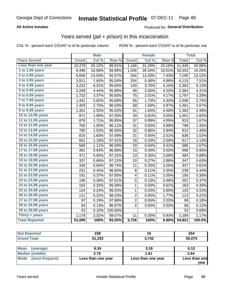### **All Active Inmates**

### Produced for **General Distribution**

### Years served (jail + prison) in this incarceration

COL % - percent each COUNT is of its particular column ROW % - percent each COUNT is of its particular row

|                       |              | <b>Male</b> |         |                | <b>Female</b> |        |              | <b>Total</b> |
|-----------------------|--------------|-------------|---------|----------------|---------------|--------|--------------|--------------|
| <b>Years Served</b>   | <b>Count</b> | Col %       | Row %   | <b>Count</b>   | Col %         | Row %  | <b>Total</b> | Col %        |
| Less than one year    | 10,279       | 20.12%      | 89.81%  | 1,166          | 31.29%        | 10.19% | 11,445       | 20.88%       |
| 1 to 1.99 years       | 9,496        | 18.58%      | 89.99%  | 1,056          | 28.34%        | 10.01% | 10,552       | 19.25%       |
| 2 to 2.99 years       | 6,656        | 13.03%      | 92.57%  | 534            | 14.33%        | 7.43%  | 7,190        | 13.12%       |
| 3 to 3.99 years       | 3,911        | 7.65%       | 95.04%  | 204            | 5.48%         | 4.96%  | 4,115        | 7.51%        |
| 4 to 4.99 years       | 3,222        | 6.31%       | 95.84%  | 140            | 3.76%         | 4.16%  | 3,362        | 6.13%        |
| 5 to 5.99 years       | 2,269        | 4.44%       | 95.98%  | 95             | 2.55%         | 4.02%  | 2,364        | 4.31%        |
| $6$ to $6.99$ years   | 1,722        | 3.37%       | 95.83%  | 75             | 2.01%         | 4.17%  | 1,797        | 3.28%        |
| 7 to 7.99 years       | 1,441        | 2.82%       | 95.68%  | 65             | 1.74%         | 4.32%  | 1,506        | 2.75%        |
| 8 to 8.99 years       | 1,403        | 2.75%       | 96.03%  | 58             | 1.56%         | 3.97%  | 1,461        | 2.67%        |
| 9 to 9.99 years       | 1,301        | 2.55%       | 95.52%  | 61             | 1.64%         | 4.48%  | 1,362        | 2.48%        |
| 10 to 10.99 years     | 971          | 1.90%       | 97.00%  | 30             | 0.81%         | 3.00%  | 1,001        | 1.83%        |
| 11 to 11.99 years     | 876          | 1.71%       | 95.95%  | 37             | 0.99%         | 4.05%  | 913          | 1.67%        |
| 12 to 12.99 years     | 765          | 1.50%       | 96.11%  | 31             | 0.83%         | 3.89%  | 796          | 1.45%        |
| 13 to 13.99 years     | 780          | 1.53%       | 96.06%  | 32             | 0.86%         | 3.94%  | 812          | 1.48%        |
| 14 to 14.99 years     | 815          | 1.60%       | 97.49%  | 21             | 0.56%         | 2.51%  | 836          | 1.52%        |
| 15 to 15.99 years     | 601          | 1.18%       | 97.41%  | 16             | 0.43%         | 2.59%  | 617          | 1.13%        |
| 16 to 16.99 years     | 566          | 1.11%       | 96.59%  | 20             | 0.54%         | 3.41%  | 586          | 1.07%        |
| 17 to 17.99 years     | 481          | 0.94%       | 96.98%  | 15             | 0.40%         | 3.02%  | 496          | 0.90%        |
| 18 to 18.99 years     | 471          | 0.92%       | 97.31%  | 13             | 0.35%         | 2.69%  | 484          | 0.88%        |
| 19 to 19.99 years     | 337          | 0.66%       | 97.12%  | 10             | 0.27%         | 2.88%  | 347          | 0.63%        |
| 20 to 20.99 years     | 326          | 0.64%       | 96.74%  | 11             | 0.30%         | 3.26%  | 337          | 0.61%        |
| 21 to 21.99 years     | 231          | 0.45%       | 96.65%  | 8              | 0.21%         | 3.35%  | 239          | 0.44%        |
| 22 to 22.99 years     | 191          | 0.37%       | 97.95%  | 4              | 0.11%         | 2.05%  | 195          | 0.36%        |
| 23 to 23.99 years     | 196          | 0.38%       | 97.51%  | 5              | 0.13%         | 2.49%  | 201          | 0.37%        |
| 24 to 24.99 years     | 162          | 0.32%       | 99.39%  | 1              | 0.03%         | 0.61%  | 163          | 0.30%        |
| 25 to 25.99 years     | 124          | 0.24%       | 99.20%  | $\mathbf 1$    | 0.03%         | 0.80%  | 125          | 0.23%        |
| 26 to 26.99 years     | 111          | 0.22%       | 98.23%  | $\overline{2}$ | 0.05%         | 1.77%  | 113          | 0.21%        |
| 27 to 27.99 years     | 97           | 0.19%       | 97.98%  | $\overline{2}$ | 0.05%         | 2.02%  | 99           | 0.18%        |
| 28 to 28.99 years     | 64           | 0.13%       | 96.97%  | 2              | 0.05%         | 3.03%  | 66           | 0.12%        |
| 29 to 29.99 years     | 52           | 0.10%       | 100.00% |                |               |        | 52           | 0.09%        |
| Thirty + years        | 1,178        | 2.31%       | 99.07%  | 11             | 0.30%         | 0.93%  | 1,189        | 2.17%        |
| <b>Total Reported</b> | 51,095       | 100%        | 93.20%  | 3,726          | 100%          | 6.80%  | 54,821       | 100.0%       |

| <b>Not Reported</b>     | 238                | 16                 | 254           |
|-------------------------|--------------------|--------------------|---------------|
| <b>Grand Total</b>      | 51,333             | 3.742              | 55,075        |
|                         |                    |                    |               |
| Mean<br>(average)       | 6.34               | 3.18               | 6.13          |
| <b>Median (middle)</b>  | 2.79               | 1.61               | 2.64          |
| Mode<br>(most frequent) | Less than one year | Less than one year | Less than one |

**year**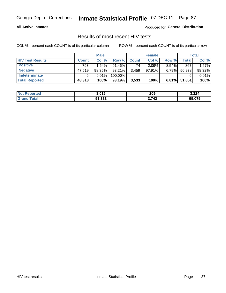### **All Active Inmates**

Produced for **General Distribution**

# Results of most recent HIV tests

|                         |              | <b>Male</b> |           |              | <b>Female</b> |          |        | Total  |
|-------------------------|--------------|-------------|-----------|--------------|---------------|----------|--------|--------|
| <b>HIV Test Results</b> | <b>Count</b> | Col %       | Row %I    | <b>Count</b> | Col %         | Row %    | Total  | Col %  |
| <b>Positive</b>         | 793          | 1.64%       | $91.46\%$ | 74           | 2.09%         | $8.54\%$ | 867    | 1.67%  |
| <b>Negative</b>         | 47,519       | 98.35%      | $93.21\%$ | 3,459        | 97.91%        | 6.79%    | 50,978 | 98.32% |
| Indeterminate           | 6            | 0.01%       | 100.00%   |              |               |          |        | 0.01%  |
| <b>Total Reported</b>   | 48,318       | 100%        | 93.19%    | 3,533        | 100%          | 6.81%    | 51,851 | 100%   |

| <b>Not Reported</b> | 3,015  | 209   | 3,224  |
|---------------------|--------|-------|--------|
| Total<br>Gran       | 51,333 | 3,742 | 55,075 |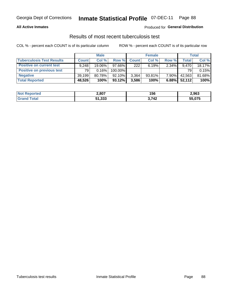### **All Active Inmates**

### Produced for **General Distribution**

### Results of most recent tuberculosis test

|                                  | <b>Male</b>  |        |           | <b>Female</b> |           |          | Total        |        |
|----------------------------------|--------------|--------|-----------|---------------|-----------|----------|--------------|--------|
| <b>Tuberculosis Test Results</b> | <b>Count</b> | Col%   | Row %     | <b>Count</b>  | Col %     | Row %    | <b>Total</b> | Col %  |
| <b>Positive on current test</b>  | 9.248        | 19.06% | $97.66\%$ | 222           | 6.19%     | $2.34\%$ | 9.470        | 18.17% |
| <b>Positive on previous test</b> | 791          | 0.16%  | 100.00%   |               |           |          | 79           | 0.15%  |
| <b>Negative</b>                  | 39,199       | 80.78% | 92.10%    | 3,364         | $93.81\%$ | 7.90%    | 42,563       | 81.68% |
| <b>Total Reported</b>            | 48,526       | 100%   | $93.12\%$ | 3,586         | 100%      | 6.88%    | 52,112       | 100%   |

| <b>Not Reported</b> | 2,807  | 156           | 2,963  |
|---------------------|--------|---------------|--------|
| Total               | 51,333 | 3,742<br>- -- | 55,075 |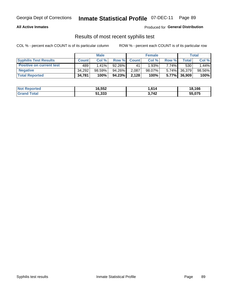### **All Active Inmates**

Produced for **General Distribution**

### Results of most recent syphilis test

|                                 | <b>Male</b>  |           |           | <b>Female</b> |           |          | Total        |        |
|---------------------------------|--------------|-----------|-----------|---------------|-----------|----------|--------------|--------|
| <b>Syphilis Test Results</b>    | <b>Count</b> | Col%      | Row %     | <b>Count</b>  | Col %     | Row %    | Total I      | Col %  |
| <b>Positive on current test</b> | 489          | $1.41\%$  | $92.26\%$ | 41            | 1.93%     | $7.74\%$ | 530          | 1.44%  |
| <b>Negative</b>                 | 34,292       | $98.59\%$ | 94.26%    | 2,087         | $98.07\%$ |          | 5.74% 36,379 | 98.56% |
| <b>Total Reported</b>           | 34,781       | 100%      | 94.23%    | 2,128         | 100%      |          | 5.77% 36,909 | 100%   |

| <b>Not Reported</b> | 16,552 | 1,614 | 18,166 |
|---------------------|--------|-------|--------|
| <b>Grand Total</b>  | 51,333 | 3,742 | 55,075 |